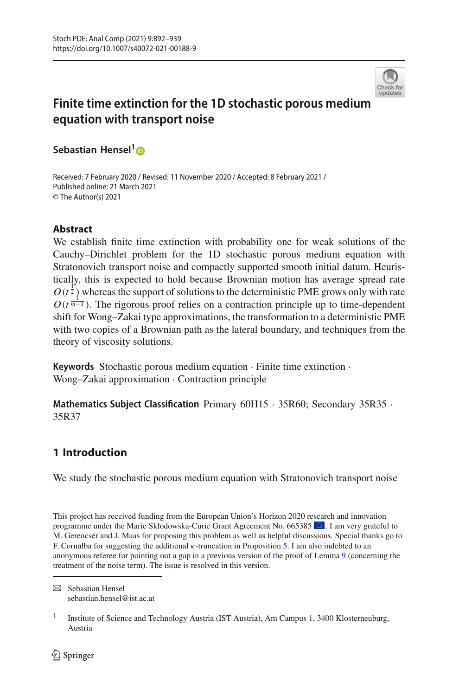

# **Finite time extinction for the 1D stochastic porous medium equation with transport noise**

**Sebastian Hensel[1](http://orcid.org/0000-0001-7252-8072)**

Received: 7 February 2020 / Revised: 11 November 2020 / Accepted: 8 February 2021 / Published online: 21 March 2021 © The Author(s) 2021

# **Abstract**

We establish finite time extinction with probability one for weak solutions of the Cauchy–Dirichlet problem for the 1D stochastic porous medium equation with Stratonovich transport noise and compactly supported smooth initial datum. Heuristically, this is expected to hold because Brownian motion has average spread rate  $O(t^{\frac{1}{2}})$  whereas the support of solutions to the deterministic PME grows only with rate  $O(t^{\frac{1}{m+1}})$ . The rigorous proof relies on a contraction principle up to time-dependent shift for Wong–Zakai type approximations, the transformation to a deterministic PME with two copies of a Brownian path as the lateral boundary, and techniques from the theory of viscosity solutions.

**Keywords** Stochastic porous medium equation · Finite time extinction · Wong–Zakai approximation · Contraction principle

**Mathematics Subject Classification** Primary 60H15 · 35R60; Secondary 35R35 · 35R37

# **1 Introduction**

We study the stochastic porous medium equation with Stratonovich transport noise

This project has received funding from the European Union's Horizon 2020 research and innovation programme under the Marie Skłodowska-Curie Grant Agreement No. 665385 . I am very grateful to M. Gerencsér and J. Maas for proposing this problem as well as helpful discussions. Special thanks go to F. Cornalba for suggesting the additional  $\kappa$ -truncation in Proposition [5.](#page-8-0) I am also indebted to an anonymous referee for pointing out a gap in a previous version of the proof of Lemma [9](#page-22-0) (concerning the treatment of the noise term). The issue is resolved in this version.

 $\boxtimes$  Sebastian Hensel sebastian.hensel@ist.ac.at

<sup>&</sup>lt;sup>1</sup> Institute of Science and Technology Austria (IST Austria), Am Campus 1, 3400 Klosterneuburg, Austria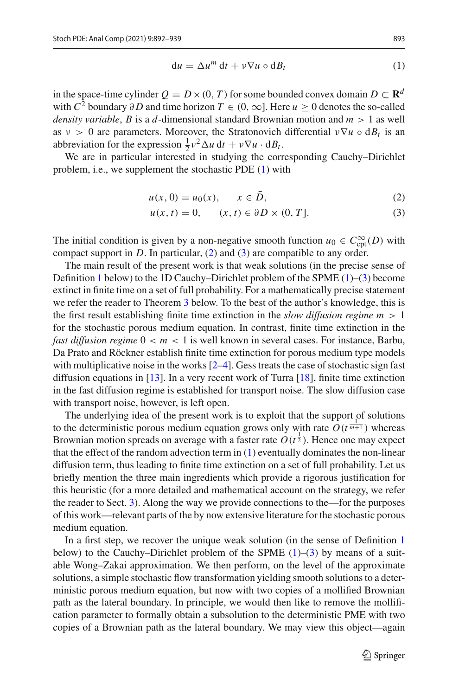<span id="page-1-0"></span>
$$
du = \Delta u^m dt + v \nabla u \circ dB_t \tag{1}
$$

in the space-time cylinder  $Q = D \times (0, T)$  for some bounded convex domain  $D \subset \mathbb{R}^d$ with  $C^2$  boundary ∂D and time horizon  $T \in (0, \infty]$ . Here  $u \ge 0$  denotes the so-called *density variable*, *B* is a *d*-dimensional standard Brownian motion and *m* > 1 as well as  $v > 0$  are parameters. Moreover, the Stratonovich differential  $v \nabla u \circ dB_t$  is an abbreviation for the expression  $\frac{1}{2}v^2 \Delta u \, dt + v \nabla u \cdot dB_t$ .

We are in particular interested in studying the corresponding Cauchy–Dirichlet problem, i.e., we supplement the stochastic PDE [\(1\)](#page-1-0) with

<span id="page-1-1"></span>
$$
u(x, 0) = u_0(x), \quad x \in \bar{D},
$$
 (2)

<span id="page-1-2"></span>
$$
u(x, t) = 0, \qquad (x, t) \in \partial D \times (0, T]. \tag{3}
$$

The initial condition is given by a non-negative smooth function  $u_0 \in C^{\infty}_{\text{cpt}}(D)$  with compact support in  $D$ . In particular,  $(2)$  and  $(3)$  are compatible to any order.

The main result of the present work is that weak solutions (in the precise sense of Definition [1](#page-4-0) below) to the 1D Cauchy–Dirichlet problem of the SPME  $(1)$ – $(3)$  become extinct in finite time on a set of full probability. For a mathematically precise statement we refer the reader to Theorem [3](#page-4-1) below. To the best of the author's knowledge, this is the first result establishing finite time extinction in the *slow diffusion regime m* > 1 for the stochastic porous medium equation. In contrast, finite time extinction in the *fast diffusion regime* 0 < *m* < 1 is well known in several cases. For instance, Barbu, Da Prato and Röckner establish finite time extinction for porous medium type models with multiplicative noise in the works  $[2-4]$  $[2-4]$ . Gess treats the case of stochastic sign fast diffusion equations in [\[13](#page-47-2)]. In a very recent work of Turra [\[18\]](#page-47-3), finite time extinction in the fast diffusion regime is established for transport noise. The slow diffusion case with transport noise, however, is left open.

The underlying idea of the present work is to exploit that the support of solutions to the deterministic porous medium equation grows only with rate  $O(t^{\frac{1}{m+1}})$  whereas Brownian motion spreads on average with a faster rate  $O(t^{\frac{1}{2}})$ . Hence one may expect that the effect of the random advection term in  $(1)$  eventually dominates the non-linear diffusion term, thus leading to finite time extinction on a set of full probability. Let us briefly mention the three main ingredients which provide a rigorous justification for this heuristic (for a more detailed and mathematical account on the strategy, we refer the reader to Sect. [3\)](#page-5-0). Along the way we provide connections to the—for the purposes of this work—relevant parts of the by now extensive literature for the stochastic porous medium equation.

In a first step, we recover the unique weak solution (in the sense of Definition [1](#page-4-0) below) to the Cauchy–Dirichlet problem of the SPME  $(1)$ – $(3)$  by means of a suitable Wong–Zakai approximation. We then perform, on the level of the approximate solutions, a simple stochastic flow transformation yielding smooth solutions to a deterministic porous medium equation, but now with two copies of a mollified Brownian path as the lateral boundary. In principle, we would then like to remove the mollification parameter to formally obtain a subsolution to the deterministic PME with two copies of a Brownian path as the lateral boundary. We may view this object—again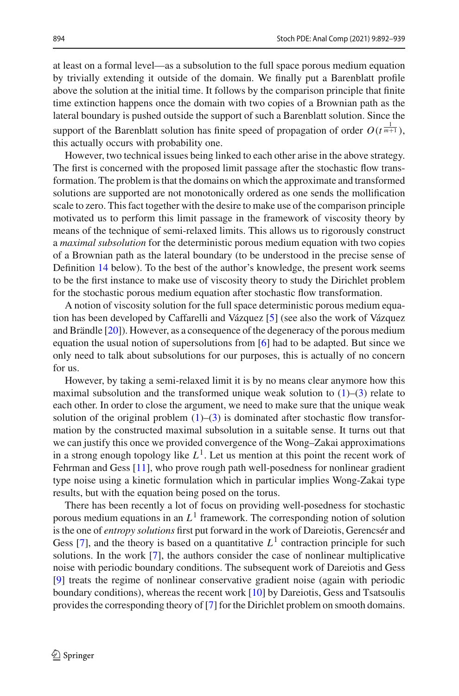at least on a formal level—as a subsolution to the full space porous medium equation by trivially extending it outside of the domain. We finally put a Barenblatt profile above the solution at the initial time. It follows by the comparison principle that finite time extinction happens once the domain with two copies of a Brownian path as the lateral boundary is pushed outside the support of such a Barenblatt solution. Since the support of the Barenblatt solution has finite speed of propagation of order  $O(t^{\frac{1}{m+1}})$ , this actually occurs with probability one.

However, two technical issues being linked to each other arise in the above strategy. The first is concerned with the proposed limit passage after the stochastic flow transformation. The problem is that the domains on which the approximate and transformed solutions are supported are not monotonically ordered as one sends the mollification scale to zero. This fact together with the desire to make use of the comparison principle motivated us to perform this limit passage in the framework of viscosity theory by means of the technique of semi-relaxed limits. This allows us to rigorously construct a *maximal subsolution* for the deterministic porous medium equation with two copies of a Brownian path as the lateral boundary (to be understood in the precise sense of Definition [14](#page-38-0) below). To the best of the author's knowledge, the present work seems to be the first instance to make use of viscosity theory to study the Dirichlet problem for the stochastic porous medium equation after stochastic flow transformation.

A notion of viscosity solution for the full space deterministic porous medium equation has been developed by Caffarelli and Vázquez [\[5](#page-47-4)] (see also the work of Vázquez and Brändle [\[20](#page-47-5)]). However, as a consequence of the degeneracy of the porous medium equation the usual notion of supersolutions from [\[6](#page-47-6)] had to be adapted. But since we only need to talk about subsolutions for our purposes, this is actually of no concern for us.

However, by taking a semi-relaxed limit it is by no means clear anymore how this maximal subsolution and the transformed unique weak solution to  $(1)$ – $(3)$  relate to each other. In order to close the argument, we need to make sure that the unique weak solution of the original problem  $(1)$ – $(3)$  is dominated after stochastic flow transformation by the constructed maximal subsolution in a suitable sense. It turns out that we can justify this once we provided convergence of the Wong–Zakai approximations in a strong enough topology like  $L^1$ . Let us mention at this point the recent work of Fehrman and Gess [\[11](#page-47-7)], who prove rough path well-posedness for nonlinear gradient type noise using a kinetic formulation which in particular implies Wong-Zakai type results, but with the equation being posed on the torus.

There has been recently a lot of focus on providing well-posedness for stochastic porous medium equations in an  $L^1$  framework. The corresponding notion of solution is the one of *entropy solutions* first put forward in the work of Dareiotis, Gerencsér and Gess [\[7](#page-47-8)], and the theory is based on a quantitative  $L<sup>1</sup>$  contraction principle for such solutions. In the work [\[7](#page-47-8)], the authors consider the case of nonlinear multiplicative noise with periodic boundary conditions. The subsequent work of Dareiotis and Gess [\[9](#page-47-9)] treats the regime of nonlinear conservative gradient noise (again with periodic boundary conditions), whereas the recent work [\[10](#page-47-10)] by Dareiotis, Gess and Tsatsoulis provides the corresponding theory of [\[7\]](#page-47-8) for the Dirichlet problem on smooth domains.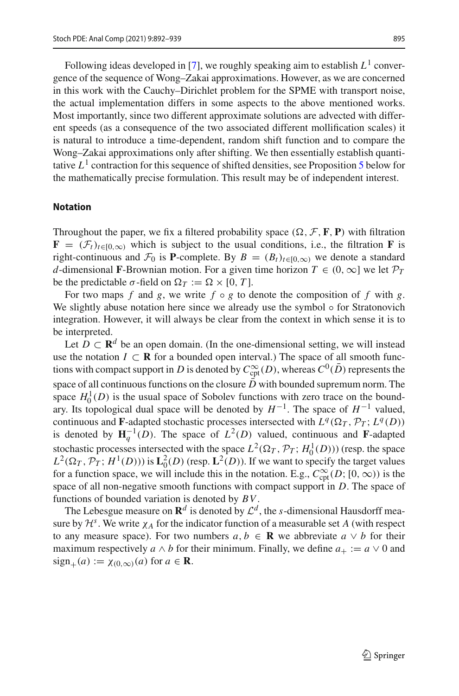Following ideas developed in [\[7](#page-47-8)], we roughly speaking aim to establish  $L^1$  convergence of the sequence of Wong–Zakai approximations. However, as we are concerned in this work with the Cauchy–Dirichlet problem for the SPME with transport noise, the actual implementation differs in some aspects to the above mentioned works. Most importantly, since two different approximate solutions are advected with different speeds (as a consequence of the two associated different mollification scales) it is natural to introduce a time-dependent, random shift function and to compare the Wong–Zakai approximations only after shifting. We then essentially establish quantitative  $L<sup>1</sup>$  contraction for this sequence of shifted densities, see Proposition [5](#page-8-0) below for the mathematically precise formulation. This result may be of independent interest.

### **Notation**

Throughout the paper, we fix a filtered probability space  $(\Omega, \mathcal{F}, \mathbf{F}, \mathbf{P})$  with filtration  $\mathbf{F} = (\mathcal{F}_t)_{t \in [0,\infty)}$  which is subject to the usual conditions, i.e., the filtration **F** is right-continuous and  $\mathcal{F}_0$  is **P**-complete. By  $B = (B_t)_{t \in [0,\infty)}$  we denote a standard *d*-dimensional **F**-Brownian motion. For a given time horizon  $T \in (0, \infty]$  we let  $\mathcal{P}_T$ be the predictable  $\sigma$ -field on  $\Omega_T := \Omega \times [0, T]$ .

For two maps *f* and *g*, we write  $f \circ g$  to denote the composition of *f* with *g*. We slightly abuse notation here since we already use the symbol  $\circ$  for Stratonovich integration. However, it will always be clear from the context in which sense it is to be interpreted.

Let  $D \subset \mathbb{R}^d$  be an open domain. (In the one-dimensional setting, we will instead use the notation  $I \subset \mathbf{R}$  for a bounded open interval.) The space of all smooth functions with compact support in  $D$  is denoted by  $C^\infty_{\mathrm{cpt}}(D),$  whereas  $C^0(\bar D)$  represents the space of all continuous functions on the closure  $\bar{D}$  with bounded supremum norm. The space  $H_0^1(D)$  is the usual space of Sobolev functions with zero trace on the boundary. Its topological dual space will be denoted by  $H^{-1}$ . The space of  $H^{-1}$  valued, continuous and **F**-adapted stochastic processes intersected with  $L^q(\Omega_T, \mathcal{P}_T; L^q(D))$ is denoted by  $H_q^{-1}(D)$ . The space of  $L^2(D)$  valued, continuous and **F**-adapted stochastic processes intersected with the space  $L^2(\Omega_T, \mathcal{P}_T; H_0^1(D))$  (resp. the space  $L^2(\Omega_T, \mathcal{P}_T; H^1(D))$  is  $\mathbf{L}_0^2(D)$  (resp.  $\mathbf{L}^2(D)$ ). If we want to specify the target values for a function space, we will include this in the notation. E.g.,  $C_{\text{cpt}}^{\infty}(D; [0, \infty))$  is the space of all non-negative smooth functions with compact support in *D*. The space of functions of bounded variation is denoted by *BV*.

The Lebesgue measure on  $\mathbb{R}^d$  is denoted by  $\mathcal{L}^d$ , the *s*-dimensional Hausdorff measure by  $\mathcal{H}^s$ . We write  $\chi_A$  for the indicator function of a measurable set *A* (with respect to any measure space). For two numbers  $a, b \in \mathbf{R}$  we abbreviate  $a \vee b$  for their maximum respectively *a*  $\land$  *b* for their minimum. Finally, we define  $a_+ := a \lor 0$  and  $sign_{+}(a) := \chi_{(0,\infty)}(a)$  for  $a \in \mathbf{R}$ .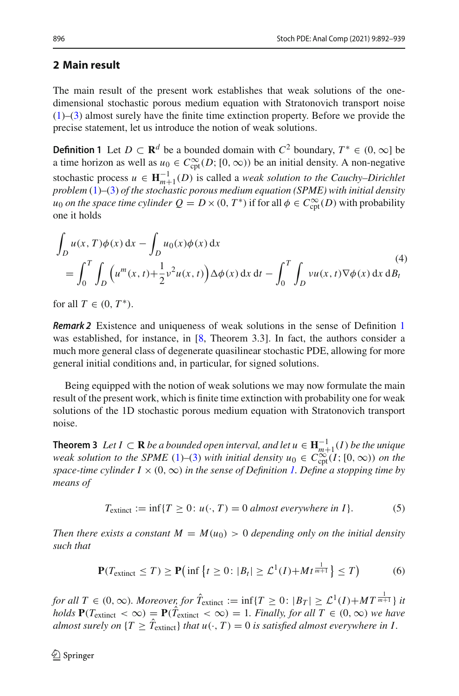# **2 Main result**

The main result of the present work establishes that weak solutions of the onedimensional stochastic porous medium equation with Stratonovich transport noise [\(1\)](#page-1-0)–[\(3\)](#page-1-2) almost surely have the finite time extinction property. Before we provide the precise statement, let us introduce the notion of weak solutions.

<span id="page-4-0"></span>**Definition 1** Let *D* ⊂ **R**<sup>*d*</sup> be a bounded domain with  $C^2$  boundary,  $T^* \in (0, \infty]$  be a time horizon as well as  $u_0 \in C^{\infty}_{\text{cpt}}(D; [0, \infty))$  be an initial density. A non-negative stochastic process  $u \in \mathbf{H}_{m+1}^{-1}(D)$  is called a *weak solution to the Cauchy–Dirichlet problem* [\(1\)](#page-1-0)–[\(3\)](#page-1-2) *of the stochastic porous medium equation (SPME) with initial density u*<sub>0</sub> *on the space time cylinder*  $Q = D \times (0, T^*)$  *if for all*  $\phi \in C_{\text{cpt}}^{\infty}(D)$  *with probability* one it holds

<span id="page-4-3"></span>
$$
\int_{D} u(x, T)\phi(x) dx - \int_{D} u_0(x)\phi(x) dx
$$
\n
$$
= \int_0^T \int_{D} \left( u^m(x, t) + \frac{1}{2} v^2 u(x, t) \right) \Delta \phi(x) dx dt - \int_0^T \int_{D} vu(x, t) \nabla \phi(x) dx dB_t
$$
\n(4)

for all  $T \in (0, T^*)$ .

*Remark 2* Existence and uniqueness of weak solutions in the sense of Definition [1](#page-4-0) was established, for instance, in [\[8](#page-47-11), Theorem 3.3]. In fact, the authors consider a much more general class of degenerate quasilinear stochastic PDE, allowing for more general initial conditions and, in particular, for signed solutions.

Being equipped with the notion of weak solutions we may now formulate the main result of the present work, which is finite time extinction with probability one for weak solutions of the 1D stochastic porous medium equation with Stratonovich transport noise.

<span id="page-4-1"></span>**Theorem 3** *Let I* ⊂ **R** *be a bounded open interval, and let*  $u \in \mathbf{H}_{m+1}^{-1}(I)$  *be the unique weak solution to the SPME* [\(1\)](#page-1-0)–[\(3\)](#page-1-2) *with initial density*  $u_0 \in C_{\text{cpt}}^{\infty}(I; [0, \infty))$  *on the space-time cylinder I*  $\times$  (0,  $\infty$ ) *in the sense of Definition [1.](#page-4-0) Define a stopping time by means of*

<span id="page-4-2"></span>
$$
T_{\text{extinct}} := \inf \{ T \ge 0 : u(\cdot, T) = 0 \text{ almost everywhere in } I \}. \tag{5}
$$

*Then there exists a constant*  $M = M(u_0) > 0$  *depending only on the initial density such that*

$$
\mathbf{P}(T_{\text{extinct}} \leq T) \geq \mathbf{P}\left(\inf\left\{t \geq 0 : |B_t| \geq \mathcal{L}^1(I) + Mt^{\frac{1}{m+1}}\right\} \leq T\right) \tag{6}
$$

*for all T* ∈ (0, ∞)*. Moreover, for*  $\hat{T}_{extinct} := \inf\{T \geq 0: |B_T| \geq \mathcal{L}^1(I) + MT^{\frac{1}{m+1}}\}$  *it holds*  $P(T_{\text{extinct}} < \infty) = P(T_{\text{extinct}} < \infty) = 1$ *. Finally, for all*  $T \in (0, \infty)$  *we have almost surely on*  $\{T \geq T_{\text{extinct}}\}$  *that*  $u(\cdot, T) = 0$  *is satisfied almost everywhere in I*.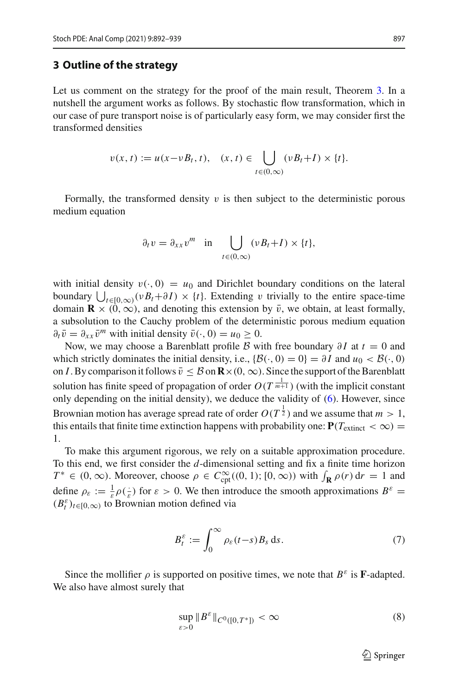### <span id="page-5-0"></span>**3 Outline of the strategy**

Let us comment on the strategy for the proof of the main result, Theorem [3.](#page-4-1) In a nutshell the argument works as follows. By stochastic flow transformation, which in our case of pure transport noise is of particularly easy form, we may consider first the transformed densities

$$
v(x,t) := u(x-vB_t,t), \quad (x,t) \in \bigcup_{t \in (0,\infty)} (vB_t+I) \times \{t\}.
$$

Formally, the transformed density  $v$  is then subject to the deterministic porous medium equation

$$
\partial_t v = \partial_{xx} v^m \quad \text{in} \quad \bigcup_{t \in (0,\infty)} (v B_t + I) \times \{t\},
$$

with initial density  $v(\cdot, 0) = u_0$  and Dirichlet boundary conditions on the lateral boundary  $\bigcup_{t\in[0,\infty)} (\nu B_t + \partial I) \times \{t\}$ . Extending v trivially to the entire space-time domain  $\mathbf{R} \times (0, \infty)$ , and denoting this extension by  $\bar{v}$ , we obtain, at least formally, a subsolution to the Cauchy problem of the deterministic porous medium equation  $\partial_t \bar{v} = \partial_{xx} \bar{v}^m$  with initial density  $\bar{v}(\cdot, 0) = u_0 \geq 0$ .

Now, we may choose a Barenblatt profile *B* with free boundary  $\partial I$  at  $t = 0$  and which strictly dominates the initial density, i.e.,  $\{\mathcal{B}(\cdot, 0) = 0\} = \partial I$  and  $u_0 < \mathcal{B}(\cdot, 0)$ on *I*. By comparison it follows  $\bar{v} \leq \mathcal{B}$  on  $\mathbf{R} \times (0, \infty)$ . Since the support of the Barenblatt solution has finite speed of propagation of order  $O(T^{\frac{1}{m+1}})$  (with the implicit constant only depending on the initial density), we deduce the validity of [\(6\)](#page-4-2). However, since Brownian motion has average spread rate of order  $O(T^{\frac{1}{2}})$  and we assume that  $m>1$ , this entails that finite time extinction happens with probability one:  $P(T_{extinct} < \infty)$ 1.

To make this argument rigorous, we rely on a suitable approximation procedure. To this end, we first consider the *d*-dimensional setting and fix a finite time horizon *T*<sup>\*</sup> ∈ (0, ∞). Moreover, choose  $\rho$  ∈  $C_{\text{cpt}}^{\infty}((0, 1); [0, \infty))$  with  $\int_{\mathbf{R}} \rho(r) dr = 1$  and define  $\rho_{\varepsilon} := \frac{1}{\varepsilon} \rho(\frac{1}{\varepsilon})$  for  $\varepsilon > 0$ . We then introduce the smooth approximations  $B^{\varepsilon} =$  $(B_t^{\varepsilon})_{t \in [0,\infty)}$  to Brownian motion defined via

$$
B_t^{\varepsilon} := \int_0^{\infty} \rho_{\varepsilon}(t-s) B_s \, \mathrm{d}s. \tag{7}
$$

Since the mollifier  $\rho$  is supported on positive times, we note that  $B^{\varepsilon}$  is **F**-adapted. We also have almost surely that

$$
\sup_{\varepsilon>0} \|B^{\varepsilon}\|_{C^0([0,T^*])} < \infty \tag{8}
$$

<span id="page-5-2"></span><span id="page-5-1"></span> $\mathcal{D}$  Springer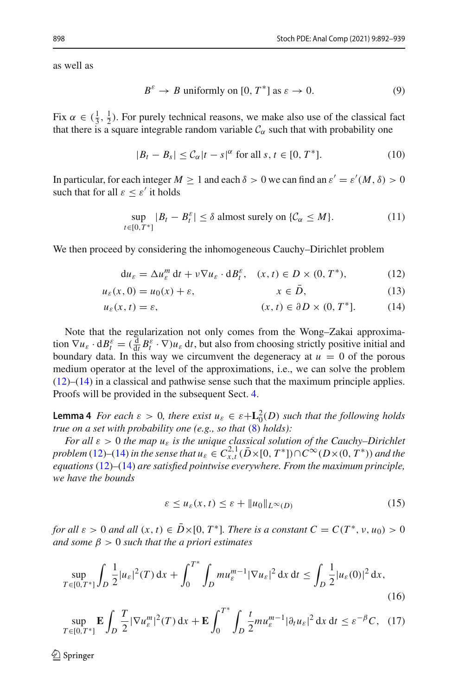as well as

<span id="page-6-8"></span><span id="page-6-7"></span>
$$
B^{\varepsilon} \to B \text{ uniformly on } [0, T^*] \text{ as } \varepsilon \to 0. \tag{9}
$$

Fix  $\alpha \in (\frac{1}{3}, \frac{1}{2})$ . For purely technical reasons, we make also use of the classical fact that there is a square integrable random variable  $C_\alpha$  such that with probability one

<span id="page-6-3"></span>
$$
|B_t - B_s| \leq C_\alpha |t - s|^\alpha \text{ for all } s, t \in [0, T^*]. \tag{10}
$$

In particular, for each integer  $M \ge 1$  and each  $\delta > 0$  we can find an  $\varepsilon' = \varepsilon'(M, \delta) > 0$ such that for all  $\varepsilon < \varepsilon'$  it holds

<span id="page-6-0"></span>
$$
\sup_{t \in [0,T^*]} |B_t - B_t^{\varepsilon}| \le \delta \text{ almost surely on } \{\mathcal{C}_{\alpha} \le M\}. \tag{11}
$$

We then proceed by considering the inhomogeneous Cauchy–Dirichlet problem

<span id="page-6-1"></span>
$$
du_{\varepsilon} = \Delta u_{\varepsilon}^{m} dt + \nu \nabla u_{\varepsilon} \cdot dB_{t}^{\varepsilon}, \quad (x, t) \in D \times (0, T^{*}), \tag{12}
$$

$$
u_{\varepsilon}(x,0) = u_0(x) + \varepsilon, \qquad x \in D, \tag{13}
$$

$$
u_{\varepsilon}(x,t) = \varepsilon, \qquad (x,t) \in \partial D \times (0,T^*]. \tag{14}
$$

Note that the regularization not only comes from the Wong–Zakai approximation  $\nabla u_{\varepsilon} \cdot dB_t^{\varepsilon} = (\frac{d}{dt} B_t^{\varepsilon} \cdot \nabla) u_{\varepsilon} dt$ , but also from choosing strictly positive initial and boundary data. In this way we circumvent the degeneracy at  $u = 0$  of the porous medium operator at the level of the approximations, i.e., we can solve the problem [\(12\)](#page-6-0)–[\(14\)](#page-6-1) in a classical and pathwise sense such that the maximum principle applies. Proofs will be provided in the subsequent Sect. [4.](#page-10-0)

<span id="page-6-2"></span>**Lemma 4** *For each*  $\varepsilon > 0$ *, there exist*  $u_{\varepsilon} \in \varepsilon + \mathbf{L}_0^2(D)$  *such that the following holds true on a set with probability one (e.g., so that* [\(8\)](#page-5-1) *holds):*

*For all*  $\varepsilon > 0$  *the map*  $u_{\varepsilon}$  *is the unique classical solution of the Cauchy–Dirichlet problem* [\(12\)](#page-6-0)–[\(14\)](#page-6-1) *in the sense that*  $u_{\varepsilon} \in C^{2,1}_{x,t}$  ( $\bar{D} \times [0, T^*]$ )∩ $C^{\infty}(D \times (0, T^*))$  *and the equations* [\(12\)](#page-6-0)*–*[\(14\)](#page-6-1) *are satisfied pointwise everywhere. From the maximum principle, we have the bounds*

<span id="page-6-6"></span><span id="page-6-5"></span><span id="page-6-4"></span>
$$
\varepsilon \le u_{\varepsilon}(x,t) \le \varepsilon + \|u_0\|_{L^{\infty}(D)}\tag{15}
$$

*for all*  $\varepsilon > 0$  *and all*  $(x, t) \in D \times [0, T^*]$ *. There is a constant*  $C = C(T^*, v, u_0) > 0$ *and some* β > 0 *such that the a priori estimates*

$$
\sup_{T \in [0,T^*]} \int_D \frac{1}{2} |u_{\varepsilon}|^2(T) \, \mathrm{d}x + \int_0^{T^*} \int_D m u_{\varepsilon}^{m-1} |\nabla u_{\varepsilon}|^2 \, \mathrm{d}x \, \mathrm{d}t \le \int_D \frac{1}{2} |u_{\varepsilon}(0)|^2 \, \mathrm{d}x,\tag{16}
$$

$$
\sup_{T\in[0,T^*]} \mathbf{E} \int_D \frac{T}{2} |\nabla u_{\varepsilon}^m|^2(T) \, \mathrm{d}x + \mathbf{E} \int_0^{T^*} \int_D \frac{t}{2} m u_{\varepsilon}^{m-1} |\partial_t u_{\varepsilon}|^2 \, \mathrm{d}x \, \mathrm{d}t \leq \varepsilon^{-\beta} C, \tag{17}
$$

 $\textcircled{2}$  Springer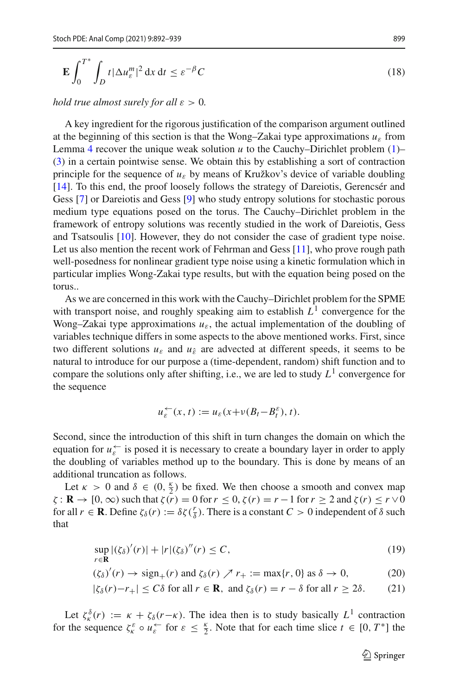<span id="page-7-0"></span>
$$
\mathbf{E} \int_0^{T^*} \int_D t |\Delta u_{\varepsilon}^m|^2 \, \mathrm{d}x \, \mathrm{d}t \le \varepsilon^{-\beta} C \tag{18}
$$

*hold true almost surely for all*  $\varepsilon > 0$ *.* 

A key ingredient for the rigorous justification of the comparison argument outlined at the beginning of this section is that the Wong–Zakai type approximations  $u_{\varepsilon}$  from Lemma [4](#page-6-2) recover the unique weak solution  $u$  to the Cauchy–Dirichlet problem  $(1)$ – [\(3\)](#page-1-2) in a certain pointwise sense. We obtain this by establishing a sort of contraction principle for the sequence of  $u_{\varepsilon}$  by means of Kružkov's device of variable doubling [\[14](#page-47-12)]. To this end, the proof loosely follows the strategy of Dareiotis, Gerencsér and Gess [\[7\]](#page-47-8) or Dareiotis and Gess [\[9\]](#page-47-9) who study entropy solutions for stochastic porous medium type equations posed on the torus. The Cauchy–Dirichlet problem in the framework of entropy solutions was recently studied in the work of Dareiotis, Gess and Tsatsoulis [\[10](#page-47-10)]. However, they do not consider the case of gradient type noise. Let us also mention the recent work of Fehrman and Gess [\[11](#page-47-7)], who prove rough path well-posedness for nonlinear gradient type noise using a kinetic formulation which in particular implies Wong-Zakai type results, but with the equation being posed on the torus..

As we are concerned in this work with the Cauchy–Dirichlet problem for the SPME with transport noise, and roughly speaking aim to establish  $L<sup>1</sup>$  convergence for the Wong–Zakai type approximations  $u_{\varepsilon}$ , the actual implementation of the doubling of variables technique differs in some aspects to the above mentioned works. First, since two different solutions  $u_{\varepsilon}$  and  $u_{\varepsilon}$  are advected at different speeds, it seems to be natural to introduce for our purpose a (time-dependent, random) shift function and to compare the solutions only after shifting, i.e., we are led to study  $L^1$  convergence for the sequence

$$
u_{\varepsilon}^{\leftarrow}(x,t) := u_{\varepsilon}(x + v(B_t - B_t^{\varepsilon}), t).
$$

Second, since the introduction of this shift in turn changes the domain on which the equation for  $u_{\varepsilon}^{\leftarrow}$  is posed it is necessary to create a boundary layer in order to apply the doubling of variables method up to the boundary. This is done by means of an additional truncation as follows.

Let  $\kappa > 0$  and  $\delta \in (0, \frac{\kappa}{2})$  be fixed. We then choose a smooth and convex map  $\zeta$ : **R**  $\rightarrow$  [0,  $\infty$ ) such that  $\zeta(r) = 0$  for  $r \le 0$ ,  $\zeta(r) = r - 1$  for  $r \ge 2$  and  $\zeta(r) \le r \vee 0$ for all  $r \in \mathbf{R}$ . Define  $\zeta_\delta(r) := \delta \zeta(\frac{r}{\delta})$ . There is a constant  $C > 0$  independent of  $\delta$  such that

$$
\sup_{r \in \mathbf{R}} |(\zeta_{\delta})'(r)| + |r|(\zeta_{\delta})''(r) \le C,\tag{19}
$$

$$
(\zeta_{\delta})'(r) \to \text{sign}_{+}(r) \text{ and } \zeta_{\delta}(r) \nearrow r_{+} := \max\{r, 0\} \text{ as } \delta \to 0,
$$
 (20)

$$
|\zeta_{\delta}(r) - r_{+}| \le C\delta \text{ for all } r \in \mathbf{R}, \text{ and } \zeta_{\delta}(r) = r - \delta \text{ for all } r \ge 2\delta. \tag{21}
$$

Let  $\zeta_k^{\delta}(r) := \kappa + \zeta_{\delta}(r-\kappa)$ . The idea then is to study basically  $L^1$  contraction for the sequence  $\zeta_k^{\varepsilon} \circ u_{\varepsilon}^{\leftarrow}$  for  $\varepsilon \leq \frac{\kappa}{2}$ . Note that for each time slice  $t \in [0, T^*]$  the

<span id="page-7-2"></span><span id="page-7-1"></span><sup>2</sup> Springer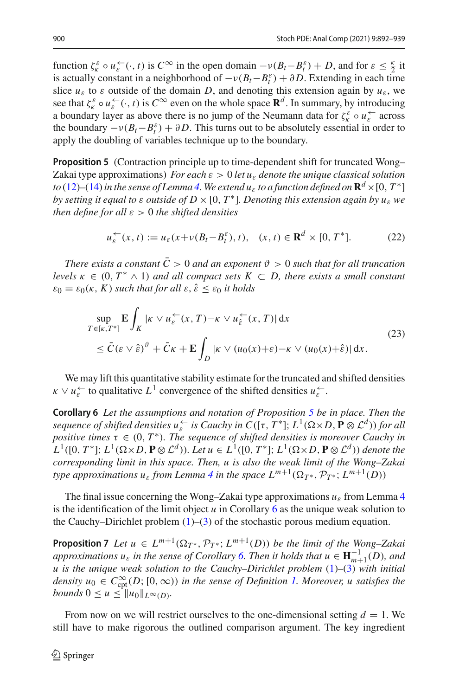function  $\zeta_k^{\varepsilon} \circ u_{\varepsilon}^{\leftarrow}(\cdot,t)$  is  $C^{\infty}$  in the open domain  $-v(B_t - B_t^{\varepsilon}) + D$ , and for  $\varepsilon \leq \frac{\kappa}{2}$  it is actually constant in a neighborhood of  $-v(B_t - B_t^{\varepsilon}) + \partial D$ . Extending in each time slice  $u_{\varepsilon}$  to  $\varepsilon$  outside of the domain *D*, and denoting this extension again by  $u_{\varepsilon}$ , we see that  $\zeta_k^{\varepsilon} \circ u_{\varepsilon}^{\leftarrow}(\cdot,t)$  is  $C^{\infty}$  even on the whole space  $\mathbf{R}^d$ . In summary, by introducing a boundary layer as above there is no jump of the Neumann data for  $\zeta_k^{\varepsilon} \circ u_{\varepsilon}^{\leftarrow}$  across the boundary  $-v(B_t - B_t^{\varepsilon}) + \partial D$ . This turns out to be absolutely essential in order to apply the doubling of variables technique up to the boundary.

<span id="page-8-0"></span>**Proposition 5** (Contraction principle up to time-dependent shift for truncated Wong– Zakai type approximations) *For each*  $\varepsilon > 0$  *let*  $u_{\varepsilon}$  *denote the unique classical solution to* [\(12\)](#page-6-0)–[\(14\)](#page-6-1) in the sense of Lemma [4.](#page-6-2) We extend  $u_{\varepsilon}$  to a function defined on  $\mathbb{R}^d \times [0, T^*]$ *by setting it equal to*  $\varepsilon$  *<i>outside of D*  $\times$  [0,  $T^*$ ]*. Denoting this extension again by*  $u_{\varepsilon}$  *we then define for all* ε > 0 *the shifted densities*

<span id="page-8-2"></span>
$$
u_{\varepsilon}^{\leftarrow}(x,t) := u_{\varepsilon}(x + v(B_t - B_t^{\varepsilon}), t), \quad (x,t) \in \mathbf{R}^d \times [0, T^*]. \tag{22}
$$

*There exists a constant*  $\bar{C} > 0$  *and an exponent*  $\vartheta > 0$  *such that for all truncation levels*  $\kappa \in (0, T^* \wedge 1)$  *and all compact sets*  $K \subset D$ *, there exists a small constant*  $\varepsilon_0 = \varepsilon_0(\kappa, K)$  *such that for all*  $\varepsilon, \hat{\varepsilon} < \varepsilon_0$  *it holds* 

<span id="page-8-3"></span>
$$
\sup_{T \in [\kappa, T^*]} \mathbf{E} \int_K |\kappa \vee u_{\varepsilon}^{\leftarrow}(x, T) - \kappa \vee u_{\hat{\varepsilon}}^{\leftarrow}(x, T)| dx
$$
\n
$$
\leq \bar{C} (\varepsilon \vee \hat{\varepsilon})^{\vartheta} + \bar{C} \kappa + \mathbf{E} \int_D |\kappa \vee (u_0(x) + \varepsilon) - \kappa \vee (u_0(x) + \hat{\varepsilon})| dx.
$$
\n(23)

<span id="page-8-1"></span>We may lift this quantitative stability estimate for the truncated and shifted densities  $\kappa \vee u_{\varepsilon}^{\leftarrow}$  to qualitative  $L^{1}$  convergence of the shifted densities  $u_{\varepsilon}^{\leftarrow}$ .

**Corollary 6** *Let the assumptions and notation of Proposition [5](#page-8-0) be in place. Then the sequence of shifted densities*  $u_{\varepsilon}^{\leftarrow}$  *is Cauchy in C*([ $\tau$ ,  $T^*$ ];  $L^1(\Omega \times D, \mathbf{P} \otimes \mathcal{L}^d)$ ) for all *positive times*  $\tau \in (0, T^*)$ *. The sequence of shifted densities is moreover Cauchy in*  $L^1([0, T^*]; L^1(\Omega \times D, \mathbf{P} \otimes \mathcal{L}^d))$ *. Let*  $u \in L^1([0, T^*]; L^1(\Omega \times D, \mathbf{P} \otimes \mathcal{L}^d))$  *denote the corresponding limit in this space. Then, u is also the weak limit of the Wong–Zakai type approximations*  $u_{\varepsilon}$  *from Lemma* [4](#page-6-2) *in the space*  $L^{m+1}(\Omega_{T^*}, \mathcal{P}_{T^*}; L^{m+1}(D))$ 

The final issue concerning the Wong–Zakai type approximations  $u_{\varepsilon}$  from Lemma [4](#page-6-2) is the identification of the limit object *u* in Corollary [6](#page-8-1) as the unique weak solution to the Cauchy–Dirichlet problem  $(1)$ – $(3)$  of the stochastic porous medium equation.

<span id="page-8-4"></span>**Proposition 7** *Let*  $u \in L^{m+1}(\Omega_{T^*}, \mathcal{P}_{T^*}; L^{m+1}(D))$  *be the limit of the Wong–Zakai approximations*  $u_{\varepsilon}$  *in the sense of Corollary [6.](#page-8-1) Then it holds that*  $u \in \mathbf{H}_{m+1}^{-1}(D)$ *, and u is the unique weak solution to the Cauchy–Dirichlet problem* [\(1\)](#page-1-0)*–*[\(3\)](#page-1-2) *with initial*  $density\ u_0$  ∈  $C_{\text{cpt}}^\infty(D; [0, \infty))$  *in the sense of Definition [1.](#page-4-0) Moreover, u satisfies the bounds*  $0 \le u \le ||u_0||_{L^{\infty}(D)}$ .

From now on we will restrict ourselves to the one-dimensional setting  $d = 1$ . We still have to make rigorous the outlined comparison argument. The key ingredient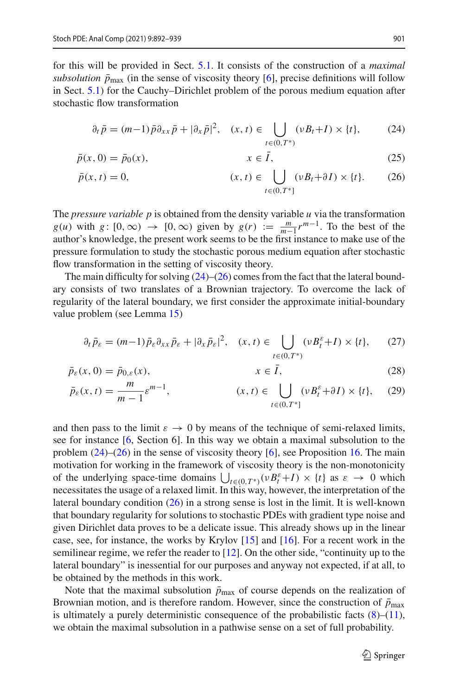for this will be provided in Sect. [5.1.](#page-37-0) It consists of the construction of a *maximal subsolution*  $\bar{p}_{\text{max}}$  (in the sense of viscosity theory [\[6](#page-47-6)], precise definitions will follow in Sect. [5.1\)](#page-37-0) for the Cauchy–Dirichlet problem of the porous medium equation after stochastic flow transformation

<span id="page-9-1"></span><span id="page-9-0"></span>
$$
\partial_t \bar{p} = (m-1)\bar{p}\partial_{xx}\bar{p} + |\partial_x \bar{p}|^2, \quad (x, t) \in \bigcup_{t \in (0, T^*)} (\nu B_t + I) \times \{t\},\tag{24}
$$

$$
\bar{p}(x,0) = \bar{p}_0(x), \qquad x \in \bar{I}, \qquad (25)
$$

$$
\bar{p}(x,t) = 0, \qquad (x,t) \in \bigcup_{t \in (0,T^*]} (\nu B_t + \partial I) \times \{t\}. \qquad (26)
$$

The *pressure variable p* is obtained from the density variable *u* via the transformation *g*(*u*) with *g* : [0, ∞) → [0, ∞) given by *g*(*r*) :=  $\frac{m}{m-1}r^{m-1}$ . To the best of the author's knowledge, the present work seems to be the first instance to make use of the pressure formulation to study the stochastic porous medium equation after stochastic flow transformation in the setting of viscosity theory.

The main difficulty for solving  $(24)$ – $(26)$  comes from the fact that the lateral boundary consists of two translates of a Brownian trajectory. To overcome the lack of regularity of the lateral boundary, we first consider the approximate initial-boundary value problem (see Lemma [15\)](#page-39-0)

<span id="page-9-3"></span><span id="page-9-2"></span>
$$
\partial_t \bar{p}_{\varepsilon} = (m-1) \bar{p}_{\varepsilon} \partial_{xx} \bar{p}_{\varepsilon} + |\partial_x \bar{p}_{\varepsilon}|^2, \quad (x, t) \in \bigcup_{t \in (0, T^*)} (\nu B_t^{\varepsilon} + I) \times \{t\}, \tag{27}
$$

$$
\bar{p}_{\varepsilon}(x,0) = \bar{p}_{0,\varepsilon}(x), \qquad x \in \bar{I}, \tag{28}
$$

$$
\bar{p}_{\varepsilon}(x,t) = \frac{m}{m-1} \varepsilon^{m-1}, \qquad (x,t) \in \bigcup_{t \in (0,T^*]} (\nu B_t^{\varepsilon} + \partial I) \times \{t\}, \tag{29}
$$

and then pass to the limit  $\varepsilon \to 0$  by means of the technique of semi-relaxed limits, see for instance [\[6,](#page-47-6) Section 6]. In this way we obtain a maximal subsolution to the problem [\(24\)](#page-9-0)–[\(26\)](#page-9-1) in the sense of viscosity theory [\[6\]](#page-47-6), see Proposition [16.](#page-39-1) The main motivation for working in the framework of viscosity theory is the non-monotonicity of the underlying space-time domains  $\bigcup_{t \in (0,T^*)} (\nu B_t^{\varepsilon} + I) \times \{t\}$  as  $\varepsilon \to 0$  which necessitates the usage of a relaxed limit. In this way, however, the interpretation of the lateral boundary condition [\(26\)](#page-9-1) in a strong sense is lost in the limit. It is well-known that boundary regularity for solutions to stochastic PDEs with gradient type noise and given Dirichlet data proves to be a delicate issue. This already shows up in the linear case, see, for instance, the works by Krylov [\[15](#page-47-13)] and [\[16](#page-47-14)]. For a recent work in the semilinear regime, we refer the reader to [\[12](#page-47-15)]. On the other side, "continuity up to the lateral boundary" is inessential for our purposes and anyway not expected, if at all, to be obtained by the methods in this work.

Note that the maximal subsolution  $\bar{p}_{\text{max}}$  of course depends on the realization of Brownian motion, and is therefore random. However, since the construction of  $\bar{p}_{\text{max}}$ is ultimately a purely deterministic consequence of the probabilistic facts  $(8)$ – $(11)$ , we obtain the maximal subsolution in a pathwise sense on a set of full probability.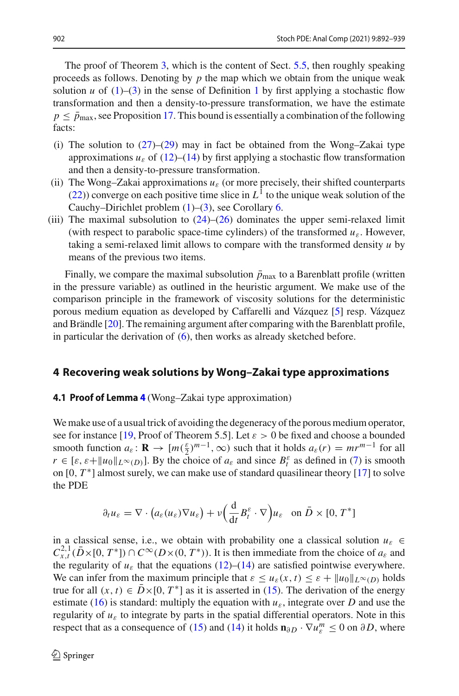The proof of Theorem [3,](#page-4-1) which is the content of Sect. [5.5,](#page-45-0) then roughly speaking proceeds as follows. Denoting by *p* the map which we obtain from the unique weak solution *u* of  $(1)$ – $(3)$  in the sense of Definition [1](#page-4-0) by first applying a stochastic flow transformation and then a density-to-pressure transformation, we have the estimate  $p \leq \bar{p}_{\text{max}}$ , see Proposition [17.](#page-40-0) This bound is essentially a combination of the following facts:

- (i) The solution to  $(27)$ – $(29)$  may in fact be obtained from the Wong–Zakai type approximations  $u_{\varepsilon}$  of [\(12\)](#page-6-0)–[\(14\)](#page-6-1) by first applying a stochastic flow transformation and then a density-to-pressure transformation.
- (ii) The Wong–Zakai approximations  $u_{\varepsilon}$  (or more precisely, their shifted counterparts [\(22\)](#page-8-2)) converge on each positive time slice in  $L<sup>1</sup>$  to the unique weak solution of the Cauchy–Dirichlet problem  $(1)$ – $(3)$ , see Corollary [6.](#page-8-1)
- (iii) The maximal subsolution to  $(24)$ – $(26)$  dominates the upper semi-relaxed limit (with respect to parabolic space-time cylinders) of the transformed  $u_{\varepsilon}$ . However, taking a semi-relaxed limit allows to compare with the transformed density *u* by means of the previous two items.

Finally, we compare the maximal subsolution  $\bar{p}_{\text{max}}$  to a Barenblatt profile (written in the pressure variable) as outlined in the heuristic argument. We make use of the comparison principle in the framework of viscosity solutions for the deterministic porous medium equation as developed by Caffarelli and Vázquez [\[5\]](#page-47-4) resp. Vázquez and Brändle [\[20](#page-47-5)]. The remaining argument after comparing with the Barenblatt profile, in particular the derivation of  $(6)$ , then works as already sketched before.

### <span id="page-10-0"></span>**4 Recovering weak solutions by Wong–Zakai type approximations**

### **4.1 Proof of Lemma [4](#page-6-2)** (Wong–Zakai type approximation)

We make use of a usual trick of avoiding the degeneracy of the porous medium operator, see for instance [\[19,](#page-47-16) Proof of Theorem 5.5]. Let  $\varepsilon > 0$  be fixed and choose a bounded smooth function  $a_{\varepsilon} : \mathbf{R} \to [m(\frac{\varepsilon}{2})^{m-1}, \infty)$  such that it holds  $a_{\varepsilon}(r) = mr^{m-1}$  for all  $r \in [\varepsilon, \varepsilon + ||u_0||_{L^{\infty}(D)}]$ . By the choice of  $a_{\varepsilon}$  and since  $B_t^{\varepsilon}$  as defined in [\(7\)](#page-5-2) is smooth on  $[0, T^*]$  almost surely, we can make use of standard quasilinear theory  $[17]$  to solve the PDE

$$
\partial_t u_{\varepsilon} = \nabla \cdot \left( a_{\varepsilon}(u_{\varepsilon}) \nabla u_{\varepsilon} \right) + \nu \left( \frac{\mathrm{d}}{\mathrm{d}t} B_t^{\varepsilon} \cdot \nabla \right) u_{\varepsilon} \quad \text{on } \bar{D} \times [0, T^*]
$$

in a classical sense, i.e., we obtain with probability one a classical solution  $u_{\varepsilon} \in$  $C_{x,t}^{2,1}$  ( $\bar{D}$  × [0, *T* \*]) ∩  $C^{\infty}(D \times (0, T^*))$ . It is then immediate from the choice of  $a_{\varepsilon}$  and the regularity of  $u_{\varepsilon}$  that the equations [\(12\)](#page-6-0)–[\(14\)](#page-6-1) are satisfied pointwise everywhere. We can infer from the maximum principle that  $\varepsilon \leq u_{\varepsilon}(x, t) \leq \varepsilon + ||u_0||_{L^{\infty}(D)}$  holds true for all  $(x, t) \in \overline{D} \times [0, T^*]$  as it is asserted in [\(15\)](#page-6-4). The derivation of the energy estimate [\(16\)](#page-6-5) is standard: multiply the equation with  $u_{\varepsilon}$ , integrate over *D* and use the regularity of  $u_{\varepsilon}$  to integrate by parts in the spatial differential operators. Note in this respect that as a consequence of [\(15\)](#page-6-4) and [\(14\)](#page-6-1) it holds  $\mathbf{n}_{\partial D} \cdot \nabla u_{\varepsilon}^m \leq 0$  on  $\partial D$ , where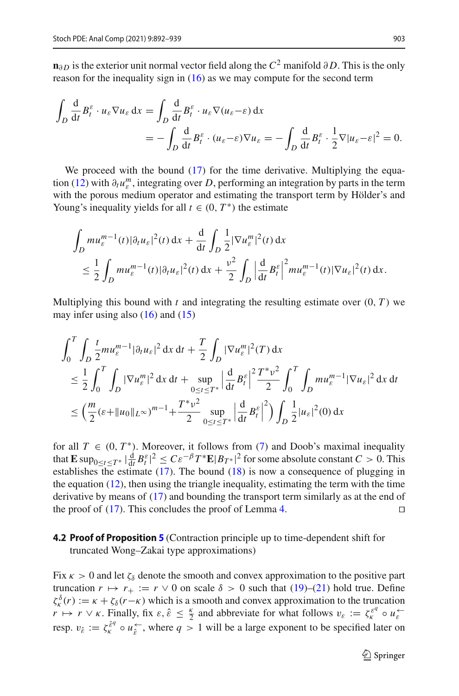**n**∂ *D* is the exterior unit normal vector field along the  $C^2$  manifold ∂D. This is the only reason for the inequality sign in  $(16)$  as we may compute for the second term

$$
\int_{D} \frac{d}{dt} B_t^{\varepsilon} \cdot u_{\varepsilon} \nabla u_{\varepsilon} dx = \int_{D} \frac{d}{dt} B_t^{\varepsilon} \cdot u_{\varepsilon} \nabla (u_{\varepsilon} - \varepsilon) dx
$$
  
= 
$$
- \int_{D} \frac{d}{dt} B_t^{\varepsilon} \cdot (u_{\varepsilon} - \varepsilon) \nabla u_{\varepsilon} = - \int_{D} \frac{d}{dt} B_t^{\varepsilon} \cdot \frac{1}{2} \nabla |u_{\varepsilon} - \varepsilon|^2 = 0.
$$

We proceed with the bound [\(17\)](#page-6-6) for the time derivative. Multiplying the equa-tion [\(12\)](#page-6-0) with  $\partial_t u_{\varepsilon}^m$ , integrating over *D*, performing an integration by parts in the term with the porous medium operator and estimating the transport term by Hölder's and Young's inequality yields for all  $t \in (0, T^*)$  the estimate

$$
\int_{D} mu_{\varepsilon}^{m-1}(t) |\partial_{t} u_{\varepsilon}|^{2}(t) dx + \frac{d}{dt} \int_{D} \frac{1}{2} |\nabla u_{\varepsilon}^{m}|^{2}(t) dx
$$
\n
$$
\leq \frac{1}{2} \int_{D} mu_{\varepsilon}^{m-1}(t) |\partial_{t} u_{\varepsilon}|^{2}(t) dx + \frac{v^{2}}{2} \int_{D} \left| \frac{d}{dt} B_{t}^{\varepsilon} \right|^{2} mu_{\varepsilon}^{m-1}(t) |\nabla u_{\varepsilon}|^{2}(t) dx.
$$

Multiplying this bound with  $t$  and integrating the resulting estimate over  $(0, T)$  we may infer using also  $(16)$  and  $(15)$ 

$$
\int_{0}^{T} \int_{D} \frac{t}{2} m u_{\varepsilon}^{m-1} |\partial_{t} u_{\varepsilon}|^{2} dx dt + \frac{T}{2} \int_{D} |\nabla u_{\varepsilon}^{m}|^{2}(T) dx
$$
\n
$$
\leq \frac{1}{2} \int_{0}^{T} \int_{D} |\nabla u_{\varepsilon}^{m}|^{2} dx dt + \sup_{0 \leq t \leq T^{*}} \left| \frac{d}{dt} B_{t}^{\varepsilon} \right|^{2} \frac{T^{*} v^{2}}{2} \int_{0}^{T} \int_{D} m u_{\varepsilon}^{m-1} |\nabla u_{\varepsilon}|^{2} dx dt
$$
\n
$$
\leq \left( \frac{m}{2} (\varepsilon + \|u_{0}\|_{L^{\infty}})^{m-1} + \frac{T^{*} v^{2}}{2} \sup_{0 \leq t \leq T^{*}} \left| \frac{d}{dt} B_{t}^{\varepsilon} \right|^{2} \right) \int_{D} \frac{1}{2} |u_{\varepsilon}|^{2}(0) dx
$$

for all  $T \in (0, T^*)$ . Moreover, it follows from [\(7\)](#page-5-2) and Doob's maximal inequality that  $\mathbf{E} \sup_{0 \le t \le T^*} |\frac{d}{dt} B_t^{\varepsilon}|^2 \le C \varepsilon^{-\beta} T^* \mathbf{E} |B_T^*|^2$  for some absolute constant  $C > 0$ . This establishes the estimate  $(17)$ . The bound  $(18)$  is now a consequence of plugging in the equation [\(12\)](#page-6-0), then using the triangle inequality, estimating the term with the time derivative by means of [\(17\)](#page-6-6) and bounding the transport term similarly as at the end of the proof of  $(17)$ . This concludes the proof of Lemma [4.](#page-6-2)

## <span id="page-11-0"></span>**4.2 Proof of Proposition [5](#page-8-0)** (Contraction principle up to time-dependent shift for truncated Wong–Zakai type approximations)

Fix  $\kappa > 0$  and let  $\zeta_{\delta}$  denote the smooth and convex approximation to the positive part truncation  $r \mapsto r_+ := r \vee 0$  on scale  $\delta > 0$  such that [\(19\)](#page-7-1)–[\(21\)](#page-7-2) hold true. Define  $\zeta_k^{\delta}(r) := \kappa + \zeta_{\delta}(r-\kappa)$  which is a smooth and convex approximation to the truncation  $r \mapsto r \vee \kappa$ . Finally, fix  $\varepsilon, \hat{\varepsilon} \leq \frac{\kappa}{2}$  and abbreviate for what follows  $v_{\varepsilon} := \zeta_{\kappa}^{\varepsilon^q} \circ u_{\varepsilon}^{\leftarrow}$ resp.  $v_{\hat{\varepsilon}} := \zeta_k^{\hat{\varepsilon}^q} \circ u_{\hat{\varepsilon}}^{\leftarrow}$ , where  $q > 1$  will be a large exponent to be specified later on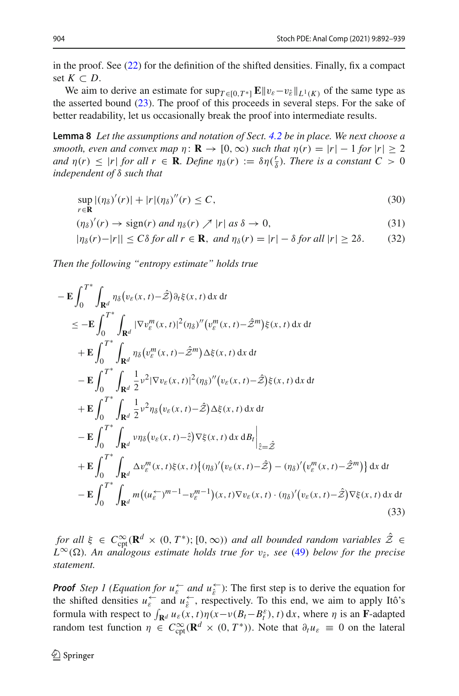in the proof. See [\(22\)](#page-8-2) for the definition of the shifted densities. Finally, fix a compact set  $K \subset D$ .

We aim to derive an estimate for  $\sup_{T \in [0,T^*]} \mathbf{E} || v_{\varepsilon} - v_{\hat{\varepsilon}} ||_{L^1(K)}$  of the same type as the asserted bound [\(23\)](#page-8-3). The proof of this proceeds in several steps. For the sake of better readability, let us occasionally break the proof into intermediate results.

**Lemma 8** *Let the assumptions and notation of Sect. [4.2](#page-11-0) be in place. We next choose a smooth, even and convex map*  $\eta: \mathbf{R} \to [0, \infty)$  *such that*  $\eta(r) = |r| - 1$  *for*  $|r| \geq 2$ *and*  $\eta(r) \leq |r|$  *for all*  $r \in \mathbf{R}$ *. Define*  $\eta_{\delta}(r) := \delta \eta(\frac{r}{\delta})$ *. There is a constant*  $C > 0$ *independent of* δ *such that*

<span id="page-12-3"></span><span id="page-12-2"></span><span id="page-12-1"></span>
$$
\sup_{r \in \mathbf{R}} |(\eta_{\delta})'(r)| + |r|(\eta_{\delta})''(r) \le C,
$$
\n(30)

$$
(\eta_{\delta})'(r) \to \text{sign}(r) \text{ and } \eta_{\delta}(r) \nearrow |r| \text{ as } \delta \to 0,
$$
\n(31)

$$
|\eta_{\delta}(r) - |r|| \le C\delta \text{ for all } r \in \mathbf{R}, \text{ and } \eta_{\delta}(r) = |r| - \delta \text{ for all } |r| \ge 2\delta. \tag{32}
$$

*Then the following "entropy estimate" holds true*

$$
-\mathbf{E} \int_{0}^{T^{*}} \int_{\mathbf{R}^{d}} \eta_{\delta}(v_{\varepsilon}(x,t)-\hat{Z}) \partial_{t} \xi(x,t) dx dt
$$
  
\n
$$
\leq -\mathbf{E} \int_{0}^{T^{*}} \int_{\mathbf{R}^{d}} |\nabla v_{\varepsilon}^{m}(x,t)|^{2} (\eta_{\delta})''(v_{\varepsilon}^{m}(x,t)-\hat{Z}^{m}) \xi(x,t) dx dt
$$
  
\n
$$
+\mathbf{E} \int_{0}^{T^{*}} \int_{\mathbf{R}^{d}} \eta_{\delta}(v_{\varepsilon}^{m}(x,t)-\hat{Z}^{m}) \Delta \xi(x,t) dx dt
$$
  
\n
$$
-\mathbf{E} \int_{0}^{T^{*}} \int_{\mathbf{R}^{d}} \frac{1}{2} v^{2} |\nabla v_{\varepsilon}(x,t)|^{2} (\eta_{\delta})''(v_{\varepsilon}(x,t)-\hat{Z}) \xi(x,t) dx dt
$$
  
\n
$$
+\mathbf{E} \int_{0}^{T^{*}} \int_{\mathbf{R}^{d}} \frac{1}{2} v^{2} \eta_{\delta}(v_{\varepsilon}(x,t)-\hat{Z}) \Delta \xi(x,t) dx dt
$$
  
\n
$$
-\mathbf{E} \int_{0}^{T^{*}} \int_{\mathbf{R}^{d}} v \eta_{\delta}(v_{\varepsilon}(x,t)-\hat{Z}) \nabla \xi(x,t) dx dB_{t} \Big|_{\hat{z}=\hat{Z}}
$$
  
\n
$$
+\mathbf{E} \int_{0}^{T^{*}} \int_{\mathbf{R}^{d}} \Delta v_{\varepsilon}^{m}(x,t) \xi(x,t) \{(\eta_{\delta})'(v_{\varepsilon}(x,t)-\hat{Z}) - (\eta_{\delta})'(v_{\varepsilon}^{m}(x,t)-\hat{Z}^{m})\} dx dt
$$
  
\n
$$
-\mathbf{E} \int_{0}^{T^{*}} \int_{\mathbf{R}^{d}} m((u_{\varepsilon}^{-})^{m-1} - v_{\varepsilon}^{m-1})(x,t) \nabla v_{\varepsilon}(x,t) \cdot (\eta_{\delta})'(v_{\varepsilon}(x,t)-\hat{Z}) \nabla \xi(x,t) dx dt
$$
(33)

<span id="page-12-0"></span>*for all*  $\xi \in C_{\text{cpt}}^{\infty}(\mathbf{R}^d \times (0, T^*); [0, \infty))$  *and all bounded random variables*  $\hat{\mathcal{Z}} \in$  $L^{\infty}(\Omega)$ *. An analogous estimate holds true for*  $v_{\hat{\epsilon}}$ *, see* [\(49\)](#page-19-0) *below for the precise statement.*

**Proof** *Step 1 (Equation for*  $u_{\varepsilon}^{\leftarrow}$  *and*  $u_{\varepsilon}^{\leftarrow}$ *)*: The first step is to derive the equation for the shifted densities  $u_{\varepsilon}^{\leftarrow}$  and  $u_{\varepsilon}^{\leftarrow}$ , respectively. To this end, we aim to apply Itô's formula with respect to  $\int_{\mathbf{R}^d} u_{\varepsilon}(x, t) \eta(x - v(B_t - B_t^{\varepsilon}), t) dx$ , where  $\eta$  is an **F**-adapted random test function  $\eta \in C_{\text{cpt}}^{\infty}(\mathbf{R}^d \times (0, T^*))$ . Note that  $\partial_t u_{\varepsilon} \equiv 0$  on the lateral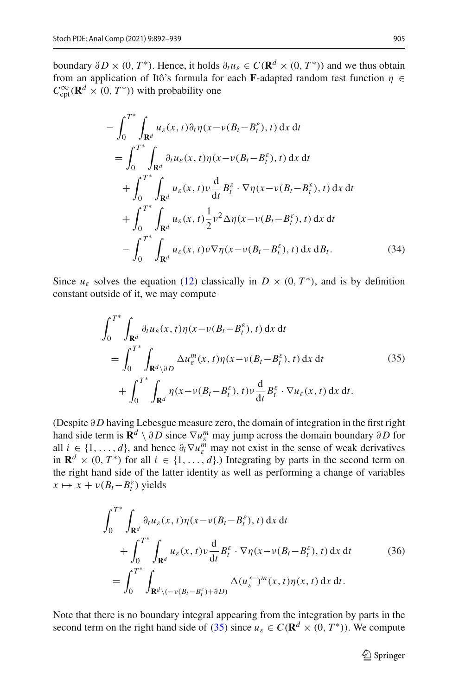boundary ∂*D* × (0, *T*<sup>\*</sup>). Hence, it holds  $∂_t u_ε ∈ C(\mathbf{R}^d × (0, T^*))$  and we thus obtain from an application of Itô's formula for each **F**-adapted random test function  $\eta \in$  $C_{\text{cpt}}^{\infty}(\mathbf{R}^d \times (0, T^*))$  with probability one

$$
-\int_{0}^{T^{*}} \int_{\mathbf{R}^{d}} u_{\varepsilon}(x, t) \partial_{t} \eta(x - v(B_{t} - B_{t}^{\varepsilon}), t) dx dt
$$
  
\n
$$
= \int_{0}^{T^{*}} \int_{\mathbf{R}^{d}} \partial_{t} u_{\varepsilon}(x, t) \eta(x - v(B_{t} - B_{t}^{\varepsilon}), t) dx dt
$$
  
\n
$$
+ \int_{0}^{T^{*}} \int_{\mathbf{R}^{d}} u_{\varepsilon}(x, t) v \frac{d}{dt} B_{t}^{\varepsilon} \cdot \nabla \eta(x - v(B_{t} - B_{t}^{\varepsilon}), t) dx dt
$$
  
\n
$$
+ \int_{0}^{T^{*}} \int_{\mathbf{R}^{d}} u_{\varepsilon}(x, t) \frac{1}{2} v^{2} \Delta \eta(x - v(B_{t} - B_{t}^{\varepsilon}), t) dx dt
$$
  
\n
$$
- \int_{0}^{T^{*}} \int_{\mathbf{R}^{d}} u_{\varepsilon}(x, t) v \nabla \eta(x - v(B_{t} - B_{t}^{\varepsilon}), t) dx dB_{t}.
$$
 (34)

Since  $u_{\varepsilon}$  solves the equation [\(12\)](#page-6-0) classically in  $D \times (0, T^*)$ , and is by definition constant outside of it, we may compute

<span id="page-13-1"></span><span id="page-13-0"></span>
$$
\int_{0}^{T^{*}} \int_{\mathbf{R}^{d}} \partial_{t} u_{\varepsilon}(x, t) \eta(x - v(B_{t} - B_{t}^{\varepsilon}), t) dx dt
$$
\n
$$
= \int_{0}^{T^{*}} \int_{\mathbf{R}^{d} \setminus \partial D} \Delta u_{\varepsilon}^{m}(x, t) \eta(x - v(B_{t} - B_{t}^{\varepsilon}), t) dx dt \qquad (35)
$$
\n
$$
+ \int_{0}^{T^{*}} \int_{\mathbf{R}^{d}} \eta(x - v(B_{t} - B_{t}^{\varepsilon}), t) v \frac{d}{dt} B_{t}^{\varepsilon} \cdot \nabla u_{\varepsilon}(x, t) dx dt.
$$

(Despite ∂ *D* having Lebesgue measure zero, the domain of integration in the first right hand side term is  $\mathbf{R}^d \setminus \partial D$  since  $\nabla u_{\varepsilon}^m$  may jump across the domain boundary  $\partial D$  for all  $i \in \{1, ..., d\}$ , and hence  $\partial_i \nabla u_{\varepsilon}^m$  may not exist in the sense of weak derivatives in  $\mathbf{R}^d \times (0, T^*)$  for all  $i \in \{1, \ldots, d\}$ .) Integrating by parts in the second term on the right hand side of the latter identity as well as performing a change of variables  $x \mapsto x + v(B_t - B_t^{\varepsilon})$  yields

<span id="page-13-2"></span>
$$
\int_{0}^{T^{*}} \int_{\mathbf{R}^{d}} \partial_{t} u_{\varepsilon}(x, t) \eta(x - v(B_{t} - B_{t}^{\varepsilon}), t) dx dt \n+ \int_{0}^{T^{*}} \int_{\mathbf{R}^{d}} u_{\varepsilon}(x, t) v \frac{d}{dt} B_{t}^{\varepsilon} \cdot \nabla \eta(x - v(B_{t} - B_{t}^{\varepsilon}), t) dx dt \qquad (36)\n= \int_{0}^{T^{*}} \int_{\mathbf{R}^{d} \setminus (-v(B_{t} - B_{t}^{\varepsilon}) + \partial D)} \Delta(u_{\varepsilon}^{+})^{m}(x, t) \eta(x, t) dx dt.
$$

Note that there is no boundary integral appearing from the integration by parts in the second term on the right hand side of [\(35\)](#page-13-0) since  $u_{\varepsilon} \in C(\mathbf{R}^d \times (0, T^*))$ . We compute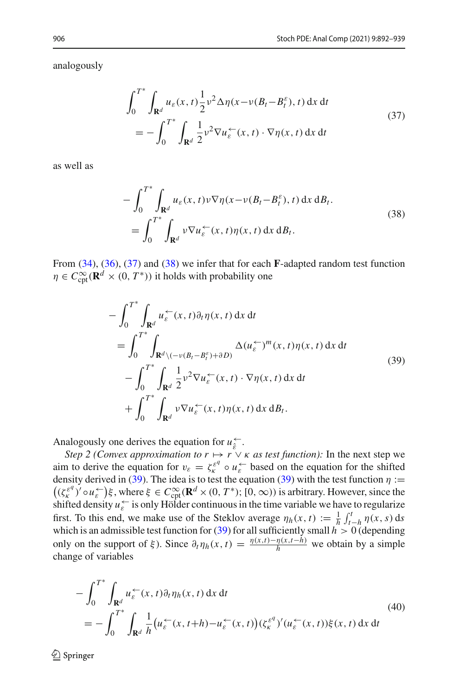analogously

<span id="page-14-0"></span>
$$
\int_0^{T^*} \int_{\mathbf{R}^d} u_{\varepsilon}(x, t) \frac{1}{2} v^2 \Delta \eta(x - v(B_t - B_t^{\varepsilon}), t) \, dx \, dt
$$
\n
$$
= - \int_0^{T^*} \int_{\mathbf{R}^d} \frac{1}{2} v^2 \nabla u_{\varepsilon} \leftarrow (x, t) \cdot \nabla \eta(x, t) \, dx \, dt
$$
\n(37)

as well as

<span id="page-14-1"></span>
$$
-\int_0^{T^*} \int_{\mathbf{R}^d} u_{\varepsilon}(x, t) \nu \nabla \eta(x - \nu(B_t - B_t^{\varepsilon}), t) dx dB_t.
$$
  
= 
$$
\int_0^{T^*} \int_{\mathbf{R}^d} \nu \nabla u_{\varepsilon} \tilde{f}(x, t) \eta(x, t) dx dB_t.
$$
 (38)

From [\(34\)](#page-13-1), [\(36\)](#page-13-2), [\(37\)](#page-14-0) and [\(38\)](#page-14-1) we infer that for each **F**-adapted random test function  $\eta \in C_{\text{cpt}}^{\infty}(\mathbf{R}^d \times (0, T^*))$  it holds with probability one

<span id="page-14-2"></span>
$$
-\int_0^{T^*} \int_{\mathbf{R}^d} u_{\varepsilon}^{\leftarrow}(x,t) \partial_t \eta(x,t) dx dt
$$
  
\n
$$
= \int_0^{T^*} \int_{\mathbf{R}^d \setminus (-\nu(B_t - B_t^{\varepsilon}) + \partial D)} \Delta(u_{\varepsilon}^{\leftarrow})^m(x,t) \eta(x,t) dx dt
$$
  
\n
$$
- \int_0^{T^*} \int_{\mathbf{R}^d} \frac{1}{2} \nu^2 \nabla u_{\varepsilon}^{\leftarrow}(x,t) \cdot \nabla \eta(x,t) dx dt
$$
  
\n
$$
+ \int_0^{T^*} \int_{\mathbf{R}^d} \nu \nabla u_{\varepsilon}^{\leftarrow}(x,t) \eta(x,t) dx dB_t.
$$
 (39)

Analogously one derives the equation for  $u_{\varepsilon}^{\leftarrow}$ .

*Step 2 (Convex approximation to*  $r \mapsto r \vee \kappa$  *as test function):* In the next step we aim to derive the equation for  $v_{\varepsilon} = \zeta_k^{\varepsilon^q} \circ u_{\varepsilon}^{\leftarrow}$  based on the equation for the shifted density derived in [\(39\)](#page-14-2). The idea is to test the equation (39) with the test function  $\eta$  :=  $((\zeta_K^{\varepsilon q})' \circ u_{\varepsilon}^{\leftarrow})\xi$ , where  $\xi \in C_{\text{cpt}}^{\infty}(\mathbf{R}^d \times (0, T^*)$ ;  $[0, \infty)$ ) is arbitrary. However, since the shifted density  $u_{\varepsilon}^{\leftarrow}$  is only Hölder continuous in the time variable we have to regularize first. To this end, we make use of the Steklov average  $\eta_h(x, t) := \frac{1}{h} \int_{t-h}^t \eta(x, s) ds$ which is an admissible test function for [\(39\)](#page-14-2) for all sufficiently small  $h > 0$  (depending only on the support of  $\xi$ ). Since  $\partial_t \eta_h(x, t) = \frac{\eta(x, t) - \eta(x, t - h)}{h}$  we obtain by a simple change of variables

$$
-\int_0^{T^*} \int_{\mathbf{R}^d} u_{\varepsilon}^{\leftarrow}(x,t) \partial_t \eta_h(x,t) \, dx \, dt
$$
\n
$$
= -\int_0^{T^*} \int_{\mathbf{R}^d} \frac{1}{h} \big( u_{\varepsilon}^{\leftarrow}(x,t+h) - u_{\varepsilon}^{\leftarrow}(x,t) \big) (\zeta_k^{\varepsilon^d})' (u_{\varepsilon}^{\leftarrow}(x,t)) \xi(x,t) \, dx \, dt \tag{40}
$$

 $\textcircled{2}$  Springer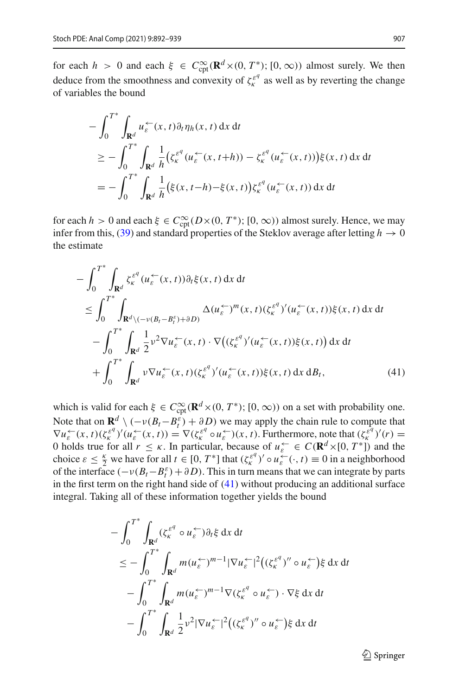for each  $h > 0$  and each  $\xi \in C_{\text{cpt}}^{\infty}(\mathbf{R}^d \times (0, T^*)$ ;  $[0, \infty))$  almost surely. We then deduce from the smoothness and convexity of  $\zeta_k^{e^q}$  as well as by reverting the change of variables the bound

$$
-\int_0^{T^*} \int_{\mathbf{R}^d} u_{\varepsilon}^{\leftarrow}(x, t) \partial_t \eta_h(x, t) dx dt
$$
  
\n
$$
\geq -\int_0^{T^*} \int_{\mathbf{R}^d} \frac{1}{h} \left( \zeta_k^{\varepsilon^q}(u_{\varepsilon}^{\leftarrow}(x, t+h)) - \zeta_k^{\varepsilon^q}(u_{\varepsilon}^{\leftarrow}(x, t)) \right) \xi(x, t) dx dt
$$
  
\n
$$
= -\int_0^{T^*} \int_{\mathbf{R}^d} \frac{1}{h} \left( \xi(x, t-h) - \xi(x, t) \right) \zeta_k^{\varepsilon^q}(u_{\varepsilon}^{\leftarrow}(x, t)) dx dt
$$

for each *h* > 0 and each  $\xi \in C_{\text{cpt}}^{\infty}(D\times(0,T^*);[0,\infty))$  almost surely. Hence, we may infer from this, [\(39\)](#page-14-2) and standard properties of the Steklov average after letting  $h \to 0$ the estimate

$$
-\int_{0}^{T^{*}}\int_{\mathbf{R}^{d}}\zeta_{\kappa}^{\varepsilon^{q}}(u_{\varepsilon}^{\leftarrow}(x,t))\partial_{t}\xi(x,t)\,dx\,dt
$$
  
\n
$$
\leq \int_{0}^{T^{*}}\int_{\mathbf{R}^{d}\backslash(-\nu(B_{t}-B_{t}^{\varepsilon})+\partial D)}\Delta(u_{\varepsilon}^{\leftarrow})^{m}(x,t)(\zeta_{\kappa}^{\varepsilon^{q}})'(u_{\varepsilon}^{\leftarrow}(x,t))\xi(x,t)\,dx\,dt
$$
  
\n
$$
-\int_{0}^{T^{*}}\int_{\mathbf{R}^{d}}\frac{1}{2}\nu^{2}\nabla u_{\varepsilon}^{\leftarrow}(x,t)\cdot\nabla\big((\zeta_{\kappa}^{\varepsilon^{q}})'(u_{\varepsilon}^{\leftarrow}(x,t))\xi(x,t)\big)\,dx\,dt
$$
  
\n
$$
+\int_{0}^{T^{*}}\int_{\mathbf{R}^{d}}\nu\nabla u_{\varepsilon}^{\leftarrow}(x,t)(\zeta_{\kappa}^{\varepsilon^{q}})'(u_{\varepsilon}^{\leftarrow}(x,t))\xi(x,t)\,dx\,dB_{t}, \tag{41}
$$

which is valid for each  $\xi \in C_{\text{cpt}}^{\infty}(\mathbf{R}^d \times (0, T^*)$ ;  $[0, \infty))$  on a set with probability one. Note that on  $\mathbf{R}^d \setminus (-\nu(B_t - B_t^{\varepsilon}) + \partial D)$  we may apply the chain rule to compute that  $\nabla u_{\varepsilon}^{\leftarrow}(x,t)(\zeta_{\kappa}^{\varepsilon^q})'(u_{\varepsilon}^{\leftarrow}(x,t)) = \nabla(\zeta_{\kappa}^{\varepsilon^q} \circ u_{\varepsilon}^{\leftarrow})(x,t)$ . Furthermore, note that  $(\zeta_{\kappa}^{\varepsilon^q})'(r) =$ 0 holds true for all  $r \leq \kappa$ . In particular, because of  $u_{\varepsilon} \in C(\mathbf{R}^d \times [0, T^*))$  and the choice  $\varepsilon \leq \frac{\kappa}{2}$  we have for all  $t \in [0, T^*]$  that  $(\zeta_k^{\varepsilon q})' \circ u_\varepsilon^{\leftarrow}(\cdot, t) \equiv 0$  in a neighborhood of the interface  $(-\nu(B_t - B_t^{\varepsilon}) + \partial D)$ . This in turn means that we can integrate by parts in the first term on the right hand side of  $(41)$  without producing an additional surface integral. Taking all of these information together yields the bound

$$
-\int_0^{T^*} \int_{\mathbf{R}^d} (\zeta_k^{\varepsilon^q} \circ u_{\varepsilon}^{\leftarrow}) \partial_t \xi \, dx \, dt
$$
  
\n
$$
\leq -\int_0^{T^*} \int_{\mathbf{R}^d} m(u_{\varepsilon}^{\leftarrow})^{m-1} |\nabla u_{\varepsilon}^{\leftarrow}|^2 ((\zeta_k^{\varepsilon^q})'' \circ u_{\varepsilon}^{\leftarrow}) \xi \, dx \, dt
$$
  
\n
$$
-\int_0^{T^*} \int_{\mathbf{R}^d} m(u_{\varepsilon}^{\leftarrow})^{m-1} \nabla (\zeta_k^{\varepsilon^q} \circ u_{\varepsilon}^{\leftarrow}) \cdot \nabla \xi \, dx \, dt
$$
  
\n
$$
-\int_0^{T^*} \int_{\mathbf{R}^d} \frac{1}{2} v^2 |\nabla u_{\varepsilon}^{\leftarrow}|^2 ((\zeta_k^{\varepsilon^q})'' \circ u_{\varepsilon}^{\leftarrow}) \xi \, dx \, dt
$$

<span id="page-15-0"></span> $\mathcal{D}$  Springer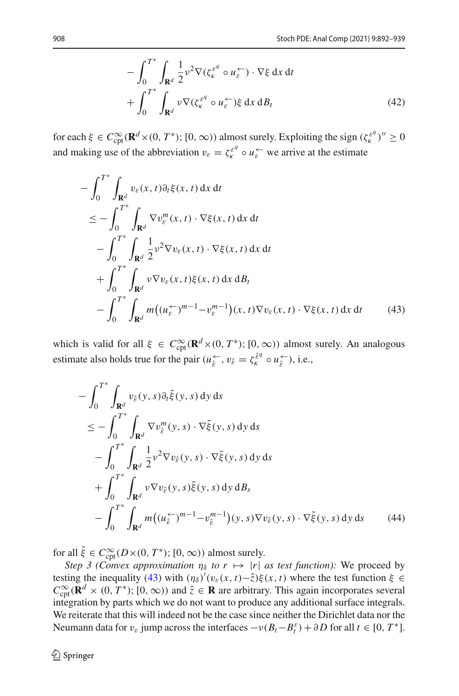$$
- \int_0^{T^*} \int_{\mathbf{R}^d} \frac{1}{2} v^2 \nabla (\zeta_k^{\varepsilon^q} \circ u_\varepsilon^{\leftarrow}) \cdot \nabla \xi \, dx \, dt + \int_0^{T^*} \int_{\mathbf{R}^d} v \nabla (\zeta_k^{\varepsilon^q} \circ u_\varepsilon^{\leftarrow}) \xi \, dx \, dB_t
$$
 (42)

for each  $\xi \in C_{\text{cpt}}^{\infty}(\mathbf{R}^d \times (0, T^*)$ ;  $[0, \infty))$  almost surely. Exploiting the sign  $(\zeta_k^{\varepsilon^q})'' \ge 0$ and making use of the abbreviation  $v_{\varepsilon} = \zeta_{\varepsilon}^{\varepsilon^q} \circ u_{\varepsilon}^{\leftarrow}$  we arrive at the estimate

$$
-\int_{0}^{T^{*}} \int_{\mathbf{R}^{d}} v_{\varepsilon}(x, t) \partial_{t} \xi(x, t) dx dt
$$
  
\n
$$
\leq -\int_{0}^{T^{*}} \int_{\mathbf{R}^{d}} \nabla v_{\varepsilon}^{m}(x, t) \cdot \nabla \xi(x, t) dx dt
$$
  
\n
$$
-\int_{0}^{T^{*}} \int_{\mathbf{R}^{d}} \frac{1}{2} v^{2} \nabla v_{\varepsilon}(x, t) \cdot \nabla \xi(x, t) dx dt
$$
  
\n
$$
+\int_{0}^{T^{*}} \int_{\mathbf{R}^{d}} v \nabla v_{\varepsilon}(x, t) \xi(x, t) dx dB_{t}
$$
  
\n
$$
-\int_{0}^{T^{*}} \int_{\mathbf{R}^{d}} m \big( (u_{\varepsilon}^{(-)}{}^{m-1} - v_{\varepsilon}^{m-1})(x, t) \nabla v_{\varepsilon}(x, t) \cdot \nabla \xi(x, t) dx dt \qquad (43)
$$

which is valid for all  $\xi \in C_{\text{cpt}}^{\infty}(\mathbf{R}^d \times (0, T^*)$ ;  $[0, \infty))$  almost surely. An analogous estimate also holds true for the pair  $(u_{\hat{\varepsilon}}^{\leftarrow}, v_{\hat{\varepsilon}} = \zeta_k^{\hat{\varepsilon}^q} \circ u_{\hat{\varepsilon}}^{\leftarrow} )$ , i.e.,

<span id="page-16-1"></span><span id="page-16-0"></span>
$$
-\int_{0}^{T^{*}} \int_{\mathbf{R}^{d}} v_{\hat{\varepsilon}}(y,s) \partial_{t} \tilde{\xi}(y,s) \,dy \,ds
$$
  
\n
$$
\leq -\int_{0}^{T^{*}} \int_{\mathbf{R}^{d}} \nabla v_{\hat{\varepsilon}}^{m}(y,s) \cdot \nabla \tilde{\xi}(y,s) \,dy \,ds
$$
  
\n
$$
-\int_{0}^{T^{*}} \int_{\mathbf{R}^{d}} \frac{1}{2} v^{2} \nabla v_{\hat{\varepsilon}}(y,s) \cdot \nabla \tilde{\xi}(y,s) \,dy \,ds
$$
  
\n
$$
+\int_{0}^{T^{*}} \int_{\mathbf{R}^{d}} v \nabla v_{\hat{\varepsilon}}(y,s) \tilde{\xi}(y,s) \,dy \,dB_{s}
$$
  
\n
$$
-\int_{0}^{T^{*}} \int_{\mathbf{R}^{d}} m \big( (u_{\hat{\varepsilon}}^{+})^{m-1} - v_{\hat{\varepsilon}}^{m-1} \big)(y,s) \nabla v_{\hat{\varepsilon}}(y,s) \cdot \nabla \tilde{\xi}(y,s) \,dy \,ds \qquad (44)
$$

for all  $\xi \in C_{\text{cpt}}^{\infty}(D\times(0,T^*);[0,\infty))$  almost surely.

*Step 3 (Convex approximation*  $\eta_{\delta}$  *to*  $r \mapsto |r|$  *as test function):* We proceed by testing the inequality [\(43\)](#page-16-0) with  $(\eta_{\delta})' (v_{\varepsilon}(x, t) - \hat{z}) \xi(x, t)$  where the test function  $\xi \in$  $C_{\text{cpt}}^{\infty}(\mathbf{R}^d \times (0, T^*)$ ;  $[0, \infty))$  and  $\hat{z} \in \mathbf{R}$  are arbitrary. This again incorporates several integration by parts which we do not want to produce any additional surface integrals. We reiterate that this will indeed not be the case since neither the Dirichlet data nor the Neumann data for  $v_{\varepsilon}$  jump across the interfaces  $-v(B_t - B_t^{\varepsilon}) + \partial D$  for all  $t \in [0, T^*]$ .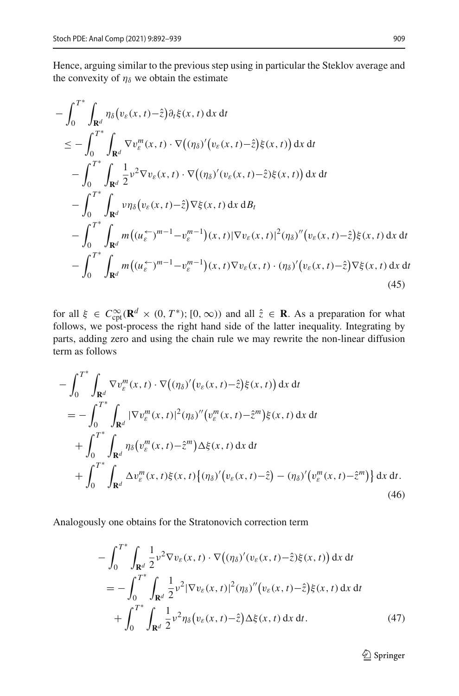Hence, arguing similar to the previous step using in particular the Steklov average and the convexity of  $\eta_{\delta}$  we obtain the estimate

$$
-\int_{0}^{T^*} \int_{\mathbf{R}^d} \eta_{\delta}(v_{\varepsilon}(x,t)-\hat{z}) \partial_t \xi(x,t) dx dt
$$
  
\n
$$
\leq -\int_{0}^{T^*} \int_{\mathbf{R}^d} \nabla v_{\varepsilon}^m(x,t) \cdot \nabla \big( (\eta_{\delta})^{\prime} (v_{\varepsilon}(x,t)-\hat{z}) \xi(x,t) \big) dx dt
$$
  
\n
$$
-\int_{0}^{T^*} \int_{\mathbf{R}^d} \frac{1}{2} v^2 \nabla v_{\varepsilon}(x,t) \cdot \nabla \big( (\eta_{\delta})^{\prime} (v_{\varepsilon}(x,t)-\hat{z}) \xi(x,t) \big) dx dt
$$
  
\n
$$
-\int_{0}^{T^*} \int_{\mathbf{R}^d} v \eta_{\delta}(v_{\varepsilon}(x,t)-\hat{z}) \nabla \xi(x,t) dx dB_t
$$
  
\n
$$
-\int_{0}^{T^*} \int_{\mathbf{R}^d} m \big( (u_{\varepsilon}^{\leftarrow})^{m-1} - v_{\varepsilon}^{m-1} \big) (x,t) |\nabla v_{\varepsilon}(x,t)|^2 (\eta_{\delta})^{\prime\prime} (v_{\varepsilon}(x,t)-\hat{z}) \xi(x,t) dx dt
$$
  
\n
$$
-\int_{0}^{T^*} \int_{\mathbf{R}^d} m \big( (u_{\varepsilon}^{\leftarrow})^{m-1} - v_{\varepsilon}^{m-1} \big) (x,t) \nabla v_{\varepsilon}(x,t) \cdot (\eta_{\delta})^{\prime} (v_{\varepsilon}(x,t)-\hat{z}) \nabla \xi(x,t) dx dt
$$
  
\n(45)

<span id="page-17-0"></span>for all  $\xi \in C_{\text{cpt}}^{\infty}(\mathbf{R}^d \times (0, T^*)$ ;  $[0, \infty))$  and all  $\hat{z} \in \mathbf{R}$ . As a preparation for what follows, we post-process the right hand side of the latter inequality. Integrating by parts, adding zero and using the chain rule we may rewrite the non-linear diffusion term as follows

$$
-\int_0^{T^*} \int_{\mathbf{R}^d} \nabla v_{\varepsilon}^m(x,t) \cdot \nabla \big( (\eta_{\delta})' \big( v_{\varepsilon}(x,t) - \hat{z} \big) \xi(x,t) \big) \, dx \, dt
$$
\n
$$
= -\int_0^{T^*} \int_{\mathbf{R}^d} |\nabla v_{\varepsilon}^m(x,t)|^2 (\eta_{\delta})'' \big( v_{\varepsilon}^m(x,t) - \hat{z}^m \big) \xi(x,t) \, dx \, dt
$$
\n
$$
+ \int_0^{T^*} \int_{\mathbf{R}^d} \eta_{\delta} \big( v_{\varepsilon}^m(x,t) - \hat{z}^m \big) \Delta \xi(x,t) \, dx \, dt
$$
\n
$$
+ \int_0^{T^*} \int_{\mathbf{R}^d} \Delta v_{\varepsilon}^m(x,t) \xi(x,t) \big\{ (\eta_{\delta})' \big( v_{\varepsilon}(x,t) - \hat{z} \big) - (\eta_{\delta})' \big( v_{\varepsilon}^m(x,t) - \hat{z}^m \big) \big\} \, dx \, dt.
$$
\n(46)

Analogously one obtains for the Stratonovich correction term

$$
-\int_{0}^{T^{*}} \int_{\mathbf{R}^{d}} \frac{1}{2} v^{2} \nabla v_{\varepsilon}(x, t) \cdot \nabla \big( (\eta_{\delta})' (v_{\varepsilon}(x, t) - \hat{z}) \xi(x, t) \big) \, dx \, dt
$$
  
\n
$$
= -\int_{0}^{T^{*}} \int_{\mathbf{R}^{d}} \frac{1}{2} v^{2} |\nabla v_{\varepsilon}(x, t)|^{2} (\eta_{\delta})'' \big( v_{\varepsilon}(x, t) - \hat{z} \big) \xi(x, t) \, dx \, dt
$$
  
\n
$$
+ \int_{0}^{T^{*}} \int_{\mathbf{R}^{d}} \frac{1}{2} v^{2} \eta_{\delta} \big( v_{\varepsilon}(x, t) - \hat{z} \big) \Delta \xi(x, t) \, dx \, dt.
$$
 (47)

<span id="page-17-2"></span><span id="page-17-1"></span><sup>2</sup> Springer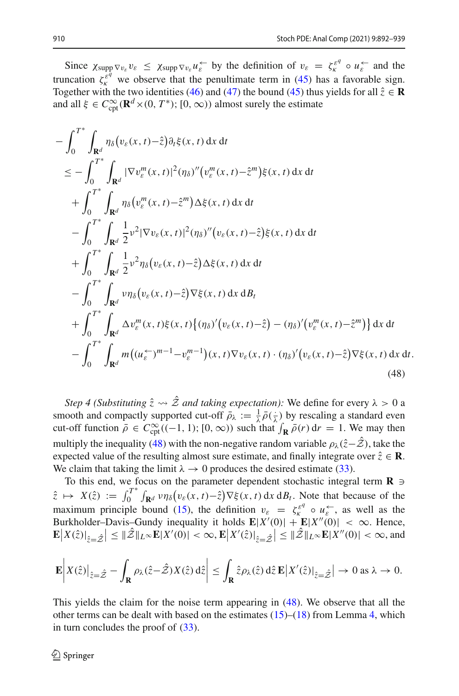Since  $\chi_{\text{supp}} \nabla v_{\varepsilon} v_{\varepsilon} \leq \chi_{\text{supp}} \nabla v_{\varepsilon} u_{\varepsilon}^{\leftarrow}$  by the definition of  $v_{\varepsilon} = \zeta_{\varepsilon}^{\varepsilon^q} \circ u_{\varepsilon}^{\leftarrow}$  and the truncation  $\zeta_k^{\hat{\epsilon}^q}$  we observe that the penultimate term in [\(45\)](#page-17-0) has a favorable sign. Together with the two identities [\(46\)](#page-17-1) and [\(47\)](#page-17-2) the bound [\(45\)](#page-17-0) thus yields for all  $\hat{z} \in \mathbb{R}$ and all  $\xi \in C_{\text{cpt}}^{\infty}(\mathbf{R}^d \times (0, T^*); [0, \infty))$  almost surely the estimate

$$
-\int_{0}^{T^{*}} \int_{\mathbf{R}^{d}} \eta_{\delta}(v_{\varepsilon}(x,t)-\hat{z}) \partial_{t} \xi(x,t) dx dt
$$
  
\n
$$
\leq -\int_{0}^{T^{*}} \int_{\mathbf{R}^{d}} |\nabla v_{\varepsilon}^{m}(x,t)|^{2} (\eta_{\delta})''(v_{\varepsilon}^{m}(x,t)-\hat{z}^{m}) \xi(x,t) dx dt
$$
  
\n
$$
+\int_{0}^{T^{*}} \int_{\mathbf{R}^{d}} \eta_{\delta}(v_{\varepsilon}^{m}(x,t)-\hat{z}^{m}) \Delta \xi(x,t) dx dt
$$
  
\n
$$
-\int_{0}^{T^{*}} \int_{\mathbf{R}^{d}} \frac{1}{2} v^{2} |\nabla v_{\varepsilon}(x,t)|^{2} (\eta_{\delta})''(v_{\varepsilon}(x,t)-\hat{z}) \xi(x,t) dx dt
$$
  
\n
$$
+\int_{0}^{T^{*}} \int_{\mathbf{R}^{d}} \frac{1}{2} v^{2} \eta_{\delta}(v_{\varepsilon}(x,t)-\hat{z}) \Delta \xi(x,t) dx dt
$$
  
\n
$$
-\int_{0}^{T^{*}} \int_{\mathbf{R}^{d}} v \eta_{\delta}(v_{\varepsilon}(x,t)-\hat{z}) \nabla \xi(x,t) dx dB_{t}
$$
  
\n
$$
+\int_{0}^{T^{*}} \int_{\mathbf{R}^{d}} \Delta v_{\varepsilon}^{m}(x,t) \xi(x,t) \{(\eta_{\delta})'(v_{\varepsilon}(x,t)-\hat{z}) - (\eta_{\delta})'(v_{\varepsilon}^{m}(x,t)-\hat{z}^{m})\} dx dt
$$
  
\n
$$
-\int_{0}^{T^{*}} \int_{\mathbf{R}^{d}} m((u_{\varepsilon}^{-})^{m-1}-v_{\varepsilon}^{m-1})(x,t) \nabla v_{\varepsilon}(x,t) \cdot (\eta_{\delta})'(v_{\varepsilon}(x,t)-\hat{z}) \nabla \xi(x,t) dx dt
$$
  
\n(48)

<span id="page-18-0"></span>*Step 4 (Substituting*  $\hat{z} \leadsto \hat{z}$  *and taking expectation):* We define for every  $\lambda > 0$  a smooth and compactly supported cut-off  $\bar{\rho}_{\lambda} := \frac{1}{\lambda} \bar{\rho}(\frac{1}{\lambda})$  by rescaling a standard even cut-off function  $\bar{\rho} \in C_{\text{cpt}}^{\infty}((-1, 1); [0, \infty))$  such that  $\int_{\mathbf{R}} \bar{\rho}(r) dr = 1$ . We may then multiply the inequality [\(48\)](#page-18-0) with the non-negative random variable  $\rho_{\lambda}(\hat{z}-\hat{z})$ , take the expected value of the resulting almost sure estimate, and finally integrate over  $\hat{z} \in \mathbb{R}$ . We claim that taking the limit  $\lambda \rightarrow 0$  produces the desired estimate [\(33\)](#page-12-0).

To this end, we focus on the parameter dependent stochastic integral term  $\mathbf{R} \ni$  $\hat{z} \mapsto X(\hat{z}) := \int_0^{T^*} \int_{\mathbf{R}^d} v \eta_\delta(v_\varepsilon(x,t) - \hat{z}) \nabla \xi(x,t) \, dx \, dB_t$ . Note that because of the maximum principle bound [\(15\)](#page-6-4), the definition  $v_{\varepsilon} = \zeta_k^{\varepsilon q} \circ u_{\varepsilon}^{\leftarrow}$ , as well as the Burkholder–Davis–Gundy inequality it holds  $\mathbf{E}|X'(0)| + \mathbf{E}|X''(0)| < \infty$ . Hence,  $\mathbb{E}|X(\hat{z})|_{\hat{z}=\hat{\mathcal{Z}}}\leq ||\hat{Z}||_{L^{\infty}}\mathbf{E}|X'(0)| < \infty, \mathbf{E}|X'(\hat{z})|_{\hat{z}=\hat{\mathcal{Z}}}\leq ||\hat{Z}||_{L^{\infty}}\mathbf{E}|X''(0)| < \infty$ , and

$$
\mathbf{E}\bigg|X(\hat{z})\big|_{\hat{z}=\hat{\mathcal{Z}}}-\int_{\mathbf{R}}\rho_{\lambda}(\hat{z}-\hat{\mathcal{Z}})X(\hat{z})\,\mathrm{d}\hat{z}\bigg|\leq \int_{\mathbf{R}}\hat{z}\rho_{\lambda}(\hat{z})\,\mathrm{d}\hat{z}\,\mathbf{E}\big|X'(\hat{z})\big|_{\hat{z}=\hat{\mathcal{Z}}}\big|\to 0\text{ as }\lambda\to 0.
$$

This yields the claim for the noise term appearing in [\(48\)](#page-18-0). We observe that all the other terms can be dealt with based on the estimates  $(15)$ – $(18)$  from Lemma [4,](#page-6-2) which in turn concludes the proof of  $(33)$ .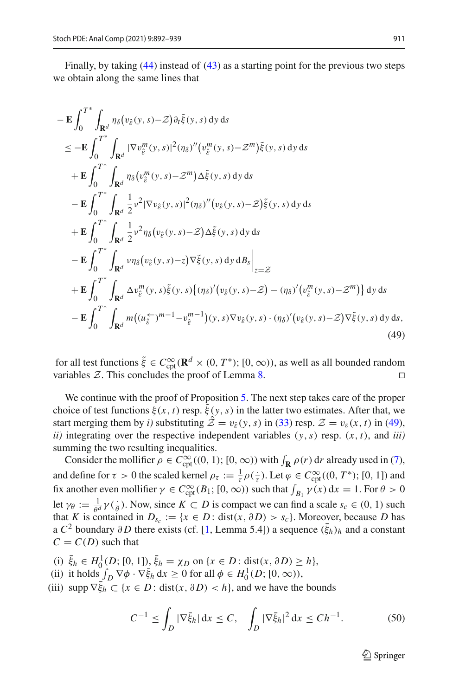Finally, by taking [\(44\)](#page-16-1) instead of [\(43\)](#page-16-0) as a starting point for the previous two steps we obtain along the same lines that

$$
-\mathbf{E} \int_{0}^{T^{*}} \int_{\mathbf{R}^{d}} \eta_{\delta}(v_{\hat{\varepsilon}}(y,s)-\mathcal{Z}) \partial_{t} \tilde{\xi}(y,s) dy ds
$$
  
\n
$$
\leq -\mathbf{E} \int_{0}^{T^{*}} \int_{\mathbf{R}^{d}} |\nabla v_{\hat{\varepsilon}}^{m}(y,s)|^{2} (\eta_{\delta})''(v_{\hat{\varepsilon}}^{m}(y,s)-\mathcal{Z}^{m}) \tilde{\xi}(y,s) dy ds
$$
  
\n
$$
+\mathbf{E} \int_{0}^{T^{*}} \int_{\mathbf{R}^{d}} \eta_{\delta}(v_{\hat{\varepsilon}}^{m}(y,s)-\mathcal{Z}^{m}) \Delta \tilde{\xi}(y,s) dy ds
$$
  
\n
$$
-\mathbf{E} \int_{0}^{T^{*}} \int_{\mathbf{R}^{d}} \frac{1}{2} v^{2} |\nabla v_{\hat{\varepsilon}}(y,s)|^{2} (\eta_{\delta})''(v_{\hat{\varepsilon}}(y,s)-\mathcal{Z}) \tilde{\xi}(y,s) dy ds
$$
  
\n
$$
+\mathbf{E} \int_{0}^{T^{*}} \int_{\mathbf{R}^{d}} \frac{1}{2} v^{2} \eta_{\delta}(v_{\hat{\varepsilon}}(y,s)-\mathcal{Z}) \Delta \tilde{\xi}(y,s) dy ds
$$
  
\n
$$
-\mathbf{E} \int_{0}^{T^{*}} \int_{\mathbf{R}^{d}} v \eta_{\delta}(v_{\hat{\varepsilon}}(y,s)-z) \nabla \tilde{\xi}(y,s) dy ds \Big|_{z=\mathcal{Z}
$$
  
\n
$$
+\mathbf{E} \int_{0}^{T^{*}} \int_{\mathbf{R}^{d}} \Delta v_{\hat{\varepsilon}}^{m}(y,s) \tilde{\xi}(y,s) \{(\eta_{\delta})'(v_{\hat{\varepsilon}}(y,s)-\mathcal{Z}) - (\eta_{\delta})'(v_{\hat{\varepsilon}}^{m}(y,s)-\mathcal{Z}^{m}) \} dy ds
$$
  
\n
$$
-\mathbf{E} \int_{0}^{T^{*}} \int_{\mathbf{R}^{d}} m((u_{\hat{\varepsilon}}^{+})^{m-1} - v_{\hat{\varepsilon}}^{m-1})(y,s) \nabla v_{\
$$

<span id="page-19-0"></span>for all test functions  $\xi \in C_{\text{cpt}}^{\infty}(\mathbf{R}^d \times (0, T^*); [0, \infty))$ , as well as all bounded random variables  $\mathcal{Z}$ . This concludes the proof of Lemma [8.](#page-12-1)

We continue with the proof of Proposition [5.](#page-8-0) The next step takes care of the proper choice of test functions  $\xi(x, t)$  resp.  $\xi(y, s)$  in the latter two estimates. After that, we start merging them by *i*) substituting  $\mathcal{\hat{Z}} = v_{\hat{\epsilon}}(y, s)$  in [\(33\)](#page-12-0) resp.  $\mathcal{Z} = v_{\epsilon}(x, t)$  in [\(49\)](#page-19-0), *ii*) integrating over the respective independent variables  $(y, s)$  resp.  $(x, t)$ , and *iii*) summing the two resulting inequalities.

Consider the mollifier  $\rho \in C_{\text{cpt}}^{\infty}((0, 1); [0, \infty))$  with  $\int_{\mathbf{R}} \rho(r) dr$  already used in [\(7\)](#page-5-2), and define for  $\tau > 0$  the scaled kernel  $\rho_{\tau} := \frac{1}{\tau} \rho(\frac{1}{\tau})$ . Let  $\varphi \in C_{\text{cpt}}^{\infty}((0, T^*)$ ; [0, 1]) and fix another even mollifier  $\gamma \in C_{\text{cpt}}^{\infty}(B_1; [0, \infty))$  such that  $\int_{B_1} \gamma(x) dx = 1$ . For  $\theta > 0$ let  $\gamma_{\theta} := \frac{1}{\theta^d} \gamma(\frac{1}{\theta})$ . Now, since  $K \subset D$  is compact we can find a scale  $s_c \in (0, 1)$  such that *K* is contained in  $D_{s_c} := \{x \in D : \text{dist}(x, \partial D) > s_c\}$ . Moreover, because *D* has a  $C^2$  boundary  $\partial D$  there exists (cf. [\[1,](#page-47-18) Lemma 5.4]) a sequence  $(\bar{\xi}_h)_h$  and a constant  $C = C(D)$  such that

(i)  $\bar{\xi}_h \in H_0^1(D; [0, 1])$ ,  $\bar{\xi}_h = \chi_D$  on  $\{x \in D : \text{dist}(x, \partial D) \ge h\},$ 

- (ii) it holds  $\int_D \nabla \phi \cdot \nabla \bar{\xi}_h \, dx \ge 0$  for all  $\phi \in H_0^1(D; [0, \infty)),$
- (iii) supp  $\nabla \xi_h \subset \{x \in D : \text{dist}(x, \partial D) < h\}$ , and we have the bounds

$$
C^{-1} \le \int_D |\nabla \bar{\xi}_h| \, dx \le C, \quad \int_D |\nabla \bar{\xi}_h|^2 \, dx \le Ch^{-1}.
$$
 (50)

 $\mathcal{D}$  Springer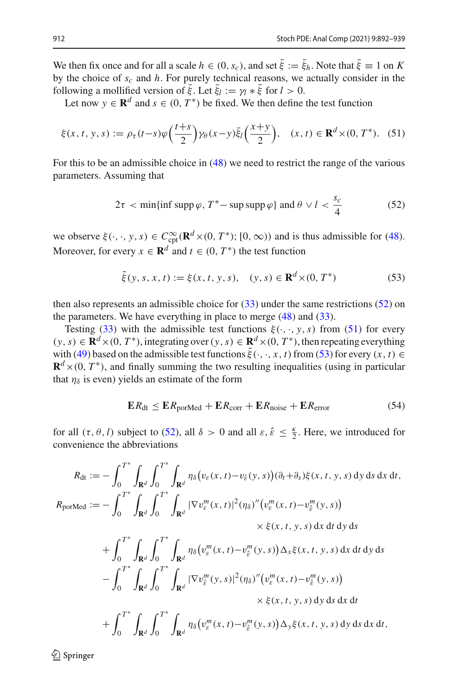We then fix once and for all a scale  $h \in (0, s_c)$ , and set  $\xi := \xi_h$ . Note that  $\xi \equiv 1$  on *K* by the choice of *sc* and *h*. For purely technical reasons, we actually consider in the following a mollified version of  $\xi$ . Let  $\xi_l := \gamma_l * \xi$  for  $l > 0$ .

Let now  $y \in \mathbb{R}^d$  and  $s \in (0, T^*)$  be fixed. We then define the test function

$$
\xi(x,t,y,s) := \rho_\tau(t-s)\varphi\left(\frac{t+s}{2}\right)\gamma_\theta(x-y)\overline{\xi}_l\left(\frac{x+y}{2}\right), \quad (x,t) \in \mathbf{R}^d \times (0,T^*). \tag{51}
$$

For this to be an admissible choice in [\(48\)](#page-18-0) we need to restrict the range of the various parameters. Assuming that

<span id="page-20-1"></span><span id="page-20-0"></span>
$$
2\tau < \min\{\inf \operatorname{supp}\varphi, T^*-\sup \operatorname{supp}\varphi\} \text{ and } \theta \vee l < \frac{s_c}{4}
$$
 (52)

we observe  $\xi(\cdot, \cdot, y, s) \in C_{\text{cpt}}^{\infty}(\mathbf{R}^d \times (0, T^*); [0, \infty))$  and is thus admissible for [\(48\)](#page-18-0). Moreover, for every  $x \in \mathbb{R}^d$  and  $t \in (0, T^*)$  the test function

<span id="page-20-2"></span>
$$
\tilde{\xi}(y, s, x, t) := \xi(x, t, y, s), \quad (y, s) \in \mathbf{R}^d \times (0, T^*)
$$
 (53)

then also represents an admissible choice for [\(33\)](#page-12-0) under the same restrictions [\(52\)](#page-20-0) on the parameters. We have everything in place to merge  $(48)$  and  $(33)$ .

Testing [\(33\)](#page-12-0) with the admissible test functions  $\xi(\cdot, \cdot, y, s)$  from [\(51\)](#page-20-1) for every  $(y, s)$  ∈  $\mathbf{R}^d$  × (0, *T* \*), integrating over  $(y, s)$  ∈  $\mathbf{R}^d$  × (0, *T* \*), then repeating everything with [\(49\)](#page-19-0) based on the admissible test functions  $\xi(\cdot, \cdot, x, t)$  from [\(53\)](#page-20-2) for every  $(x, t) \in$  $\mathbf{R}^d$ ×(0, *T*<sup>\*</sup>), and finally summing the two resulting inequalities (using in particular that  $\eta_{\delta}$  is even) yields an estimate of the form

<span id="page-20-3"></span>
$$
ER_{dt} \le ER_{porMed} + ER_{corr} + ER_{noise} + ER_{error}
$$
 (54)

for all  $(\tau, \theta, l)$  subject to [\(52\)](#page-20-0), all  $\delta > 0$  and all  $\varepsilon, \hat{\varepsilon} \leq \frac{\kappa}{2}$ . Here, we introduced for convenience the abbreviations

$$
R_{dt} := -\int_{0}^{T^{*}} \int_{\mathbf{R}^{d}} \int_{0}^{T^{*}} \int_{\mathbf{R}^{d}} \eta_{\delta}(v_{\varepsilon}(x, t) - v_{\varepsilon}(y, s)) (\partial_{t} + \partial_{s}) \xi(x, t, y, s) dy ds dx dt,
$$
  
\n
$$
R_{\text{porMed}} := -\int_{0}^{T^{*}} \int_{\mathbf{R}^{d}} \int_{0}^{T^{*}} \int_{\mathbf{R}^{d}} |\nabla v_{\varepsilon}^{m}(x, t)|^{2} (\eta_{\delta})''(v_{\varepsilon}^{m}(x, t) - v_{\varepsilon}^{m}(y, s)) \times \xi(x, t, y, s) dx dt dy ds
$$
  
\n
$$
+ \int_{0}^{T^{*}} \int_{\mathbf{R}^{d}} \int_{0}^{T^{*}} \int_{\mathbf{R}^{d}} \eta_{\delta}(v_{\varepsilon}^{m}(x, t) - v_{\varepsilon}^{m}(y, s)) \Delta_{x} \xi(x, t, y, s) dx dt dy ds
$$
  
\n
$$
- \int_{0}^{T^{*}} \int_{\mathbf{R}^{d}} \int_{0}^{T^{*}} \int_{\mathbf{R}^{d}} |\nabla v_{\varepsilon}^{m}(y, s)|^{2} (\eta_{\delta})''(v_{\varepsilon}^{m}(x, t) - v_{\varepsilon}^{m}(y, s)) \times \xi(x, t, y, s) dy ds dx dt
$$
  
\n
$$
+ \int_{0}^{T^{*}} \int_{\mathbf{R}^{d}} \int_{0}^{T^{*}} \int_{\mathbf{R}^{d}} \eta_{\delta}(v_{\varepsilon}^{m}(x, t) - v_{\varepsilon}^{m}(y, s)) \Delta_{y} \xi(x, t, y, s) dy ds dx dt,
$$

 $\textcircled{2}$  Springer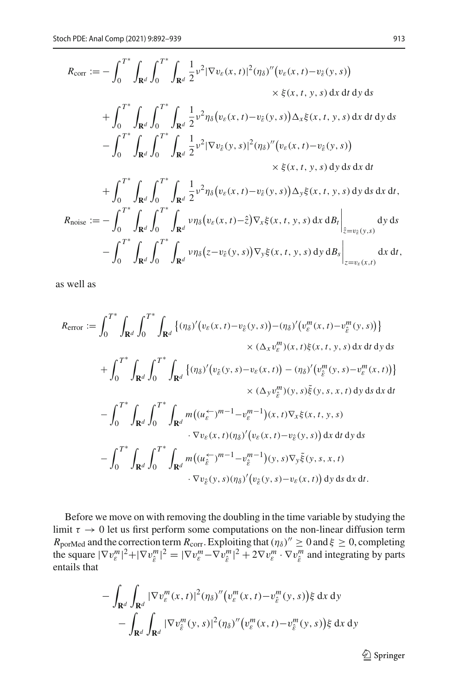$$
R_{\text{corr}} := -\int_{0}^{T^{*}} \int_{\mathbf{R}^{d}} \int_{0}^{T^{*}} \int_{\mathbf{R}^{d}} \frac{1}{2} v^{2} |\nabla v_{\varepsilon}(x, t)|^{2} (\eta_{\delta})'' (v_{\varepsilon}(x, t) - v_{\hat{\varepsilon}}(y, s))
$$
  
\n
$$
\times \xi(x, t, y, s) dx dt dy ds
$$
  
\n
$$
+ \int_{0}^{T^{*}} \int_{\mathbf{R}^{d}} \int_{0}^{T^{*}} \int_{\mathbf{R}^{d}} \frac{1}{2} v^{2} \eta_{\delta} (v_{\varepsilon}(x, t) - v_{\hat{\varepsilon}}(y, s)) \Delta_{x} \xi(x, t, y, s) dx dt dy ds
$$
  
\n
$$
- \int_{0}^{T^{*}} \int_{\mathbf{R}^{d}} \int_{0}^{T^{*}} \int_{\mathbf{R}^{d}} \frac{1}{2} v^{2} |\nabla v_{\hat{\varepsilon}}(y, s)|^{2} (\eta_{\delta})'' (v_{\varepsilon}(x, t) - v_{\hat{\varepsilon}}(y, s))
$$
  
\n
$$
\times \xi(x, t, y, s) dy ds dx dt
$$
  
\n
$$
+ \int_{0}^{T^{*}} \int_{\mathbf{R}^{d}} \int_{0}^{T^{*}} \int_{\mathbf{R}^{d}} \frac{1}{2} v^{2} \eta_{\delta} (v_{\varepsilon}(x, t) - v_{\hat{\varepsilon}}(y, s)) \Delta_{y} \xi(x, t, y, s) dy ds dx dt,
$$
  
\n
$$
R_{\text{noise}} := - \int_{0}^{T^{*}} \int_{\mathbf{R}^{d}} \int_{0}^{T^{*}} \int_{\mathbf{R}^{d}} v \eta_{\delta} (v_{\varepsilon}(x, t) - \hat{z}) \nabla_{x} \xi(x, t, y, s) dx dB_{t} \Big|_{\hat{z}=v_{\hat{\varepsilon}}(y, s)} dy ds
$$
  
\n
$$
- \int_{0}^{T^{*}} \int_{\mathbf{R}^{d}} \int_{0}^{T^{*}} \int_{\mathbf{R}^{d}} v \eta_{\delta}(z - v_{\hat{\varepsilon}}(y, s)) \nabla_{y} \xi
$$

as well as

$$
R_{\text{error}} := \int_0^{T^*} \int_{\mathbf{R}^d} \int_0^{T^*} \int_{\mathbf{R}^d} \left\{ (\eta_\delta)' (v_\varepsilon(x,t) - v_\varepsilon(y,s)) - (\eta_\delta)' (v_\varepsilon^m(x,t) - v_\varepsilon^m(y,s)) \right\}
$$
  

$$
\times (\Delta_x v_\varepsilon^m)(x,t) \xi(x,t,y,s) \, dx \, dt \, dy \, ds
$$
  

$$
+ \int_0^{T^*} \int_{\mathbf{R}^d} \int_0^{T^*} \int_{\mathbf{R}^d} \left\{ (\eta_\delta)' (v_\varepsilon(y,s) - v_\varepsilon(x,t)) - (\eta_\delta)' (v_\varepsilon^m(y,s) - v_\varepsilon^m(x,t)) \right\}
$$
  

$$
\times (\Delta_y v_\varepsilon^m)(y,s) \xi(y,s,x,t) \, dy \, ds \, dx \, dt
$$
  

$$
- \int_0^{T^*} \int_{\mathbf{R}^d} \int_0^{T^*} \int_{\mathbf{R}^d} m((u_\varepsilon \varepsilon)^{m-1} - v_\varepsilon^{m-1})(x,t) \nabla_x \xi(x,t,y,s)
$$
  

$$
\cdot \nabla v_\varepsilon(x,t) (\eta_\delta)' (v_\varepsilon(x,t) - v_\varepsilon(y,s)) \, dx \, dt \, dy \, ds
$$
  

$$
- \int_0^{T^*} \int_{\mathbf{R}^d} \int_0^{T^*} \int_{\mathbf{R}^d} m((u_\varepsilon \varepsilon)^{m-1} - v_\varepsilon^{m-1})(y,s) \nabla_y \xi(y,s,x,t)
$$
  

$$
\cdot \nabla v_\varepsilon(y,s) (\eta_\delta)' (v_\varepsilon(y,s) - v_\varepsilon(x,t)) \, dy \, ds \, dx \, dt.
$$

Before we move on with removing the doubling in the time variable by studying the limit  $\tau \to 0$  let us first perform some computations on the non-linear diffusion term  $R_{\text{porMed}}$  and the correction term  $R_{\text{corr}}$ . Exploiting that  $(\eta_\delta)'' \geq 0$  and  $\xi \geq 0$ , completing the square  $|\nabla v_{\varepsilon}^m|^2 + |\nabla v_{\hat{\varepsilon}}^m|^2 = |\nabla v_{\varepsilon}^m - \nabla v_{\hat{\varepsilon}}^m|^2 + 2\nabla v_{\varepsilon}^m \cdot \nabla v_{\hat{\varepsilon}}^m$  and integrating by parts entails that

$$
- \int_{\mathbf{R}^d} \int_{\mathbf{R}^d} |\nabla v_{\varepsilon}^m(x,t)|^2 (\eta_{\delta})'' \big( v_{\varepsilon}^m(x,t) - v_{\varepsilon}^m(y,s) \big) \xi \, dx \, dy
$$
  
- 
$$
\int_{\mathbf{R}^d} \int_{\mathbf{R}^d} |\nabla v_{\varepsilon}^m(y,s)|^2 (\eta_{\delta})'' \big( v_{\varepsilon}^m(x,t) - v_{\varepsilon}^m(y,s) \big) \xi \, dx \, dy
$$

<sup>2</sup> Springer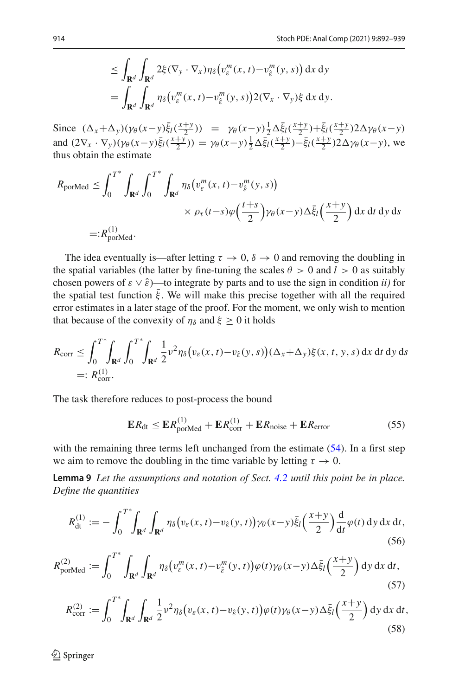$$
\leq \int_{\mathbf{R}^d} \int_{\mathbf{R}^d} 2\xi (\nabla_y \cdot \nabla_x) \eta_\delta \big( v_\varepsilon^m(x,t) - v_\varepsilon^m(y,s) \big) \, dx \, dy
$$
  
= 
$$
\int_{\mathbf{R}^d} \int_{\mathbf{R}^d} \eta_\delta \big( v_\varepsilon^m(x,t) - v_\varepsilon^m(y,s) \big) 2(\nabla_x \cdot \nabla_y) \xi \, dx \, dy.
$$

Since  $(\Delta_x + \Delta_y)(\gamma_\theta(x-y)\bar{\xi}_l(\frac{x+y}{2})) = \gamma_\theta(x-y)\frac{1}{2}\Delta \bar{\xi}_l(\frac{x+y}{2}) + \bar{\xi}_l(\frac{x+y}{2})2\Delta \gamma_\theta(x-y)$ and  $(2\nabla_x \cdot \nabla_y)(\gamma_\theta(x-y)\bar{\xi}_1(\frac{x+y}{2})) = \gamma_\theta(x-y)\frac{1}{2}\Delta \bar{\xi}_1(\frac{x+y}{2}) - \bar{\xi}_1(\frac{x+y}{2})2\Delta \gamma_\theta(x-y)$ , we thus obtain the estimate

$$
R_{\text{porMed}} \leq \int_0^{T^*} \int_{\mathbf{R}^d} \int_0^{T^*} \int_{\mathbf{R}^d} \eta_\delta \big( v_\varepsilon^m(x,t) - v_\varepsilon^m(y,s) \big) \times \rho_\tau(t-s) \varphi \Big( \frac{t+s}{2} \Big) \gamma_\theta(x-y) \Delta \bar{\xi}_l \Big( \frac{x+y}{2} \Big) \, dx \, dt \, dy \, ds
$$
  
=:  $R_{\text{porMed}}^{(1)}$ .

The idea eventually is—after letting  $\tau \to 0$ ,  $\delta \to 0$  and removing the doubling in the spatial variables (the latter by fine-tuning the scales  $\theta > 0$  and  $l > 0$  as suitably chosen powers of  $\varepsilon \vee \hat{\varepsilon}$ )—to integrate by parts and to use the sign in condition *ii*) for the spatial test function  $\bar{\xi}$ . We will make this precise together with all the required error estimates in a later stage of the proof. For the moment, we only wish to mention that because of the convexity of  $\eta_{\delta}$  and  $\xi \geq 0$  it holds

$$
R_{\text{corr}} \leq \int_0^{T^*} \int_{\mathbf{R}^d} \int_0^{T^*} \int_{\mathbf{R}^d} \frac{1}{2} v^2 \eta_\delta \big( v_\varepsilon(x,t) - v_\varepsilon(y,s) \big) (\Delta_x + \Delta_y) \xi(x,t,y,s) \, dx \, dt \, dy \, ds
$$
  
=:  $R_{\text{corr}}^{(1)}$ .

The task therefore reduces to post-process the bound

<span id="page-22-1"></span>
$$
\mathbf{E}R_{\mathrm{dt}} \leq \mathbf{E}R_{\mathrm{porMed}}^{(1)} + \mathbf{E}R_{\mathrm{corr}}^{(1)} + \mathbf{E}R_{\mathrm{noise}} + \mathbf{E}R_{\mathrm{error}} \tag{55}
$$

<span id="page-22-0"></span>with the remaining three terms left unchanged from the estimate [\(54\)](#page-20-3). In a first step we aim to remove the doubling in the time variable by letting  $\tau \to 0$ .

**Lemma 9** *Let the assumptions and notation of Sect. [4.2](#page-11-0) until this point be in place. Define the quantities*

$$
R_{\text{dt}}^{(1)} := -\int_0^{T^*} \int_{\mathbf{R}^d} \int_{\mathbf{R}^d} \eta_\delta \big( v_\varepsilon(x,t) - v_\varepsilon(y,t) \big) \gamma_\theta(x-y) \bar{\xi}_l \Big( \frac{x+y}{2} \Big) \frac{\mathrm{d}}{\mathrm{d}t} \varphi(t) \, \mathrm{d}y \, \mathrm{d}x \, \mathrm{d}t,\tag{56}
$$

$$
R_{\text{porMed}}^{(2)} := \int_0^{T^*} \int_{\mathbf{R}^d} \int_{\mathbf{R}^d} \eta_\delta \big( v_\varepsilon^m(x,t) - v_\varepsilon^m(y,t) \big) \varphi(t) \gamma_\theta(x-y) \Delta \bar{\xi}_l \big( \frac{x+y}{2} \big) \, \mathrm{d}y \, \mathrm{d}x \, \mathrm{d}t,\tag{57}
$$

$$
R_{\text{corr}}^{(2)} := \int_0^{T^*} \int_{\mathbf{R}^d} \int_{\mathbf{R}^d} \frac{1}{2} v^2 \eta_\delta \big( v_\varepsilon(x,t) - v_\varepsilon(y,t) \big) \varphi(t) \gamma_\theta(x-y) \Delta \bar{\xi}_l \big( \frac{x+y}{2} \big) \, \mathrm{d}y \, \mathrm{d}x \, \mathrm{d}t,
$$
\n(58)

 $\textcircled{2}$  Springer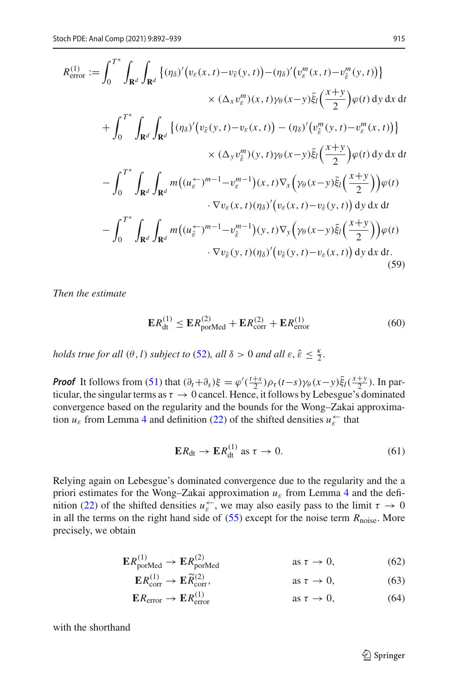$$
R_{\text{error}}^{(1)} := \int_0^{T^*} \int_{\mathbf{R}^d} \left\{ (\eta_\delta)' (v_\varepsilon(x, t) - v_{\hat{\varepsilon}}(y, t)) - (\eta_\delta)' (v_\varepsilon^m(x, t) - v_\varepsilon^m(y, t)) \right\}
$$
  

$$
\times (\Delta_x v_\varepsilon^m)(x, t) \gamma_\theta(x - y) \bar{\xi}_l \left( \frac{x + y}{2} \right) \varphi(t) \, dy \, dx \, dt
$$
  
+ 
$$
\int_0^{T^*} \int_{\mathbf{R}^d} \int_{\mathbf{R}^d} \left\{ (\eta_\delta)' (v_{\hat{\varepsilon}}(y, t) - v_\varepsilon(x, t)) - (\eta_\delta)' (v_\varepsilon^m(y, t) - v_\varepsilon^m(x, t)) \right\}
$$
  

$$
\times (\Delta_y v_\varepsilon^m)(y, t) \gamma_\theta(x - y) \bar{\xi}_l \left( \frac{x + y}{2} \right) \varphi(t) \, dy \, dx \, dt
$$
  
- 
$$
\int_0^{T^*} \int_{\mathbf{R}^d} \int_{\mathbf{R}^d} m \big( (u_\varepsilon^{\leftarrow})^{m-1} - v_\varepsilon^{m-1} \big) (x, t) \nabla_x \big( \gamma_\theta(x - y) \bar{\xi}_l \left( \frac{x + y}{2} \right) \big) \varphi(t)
$$
  

$$
\cdot \nabla v_\varepsilon(x, t) (\eta_\delta)' (v_\varepsilon(x, t) - v_{\hat{\varepsilon}}(y, t)) \, dy \, dx \, dt
$$
  
- 
$$
\int_0^{T^*} \int_{\mathbf{R}^d} \int_{\mathbf{R}^d} m \big( (u_\varepsilon^{\leftarrow})^{m-1} - v_\varepsilon^{m-1} \big) (y, t) \nabla_y \big( \gamma_\theta(x - y) \bar{\xi}_l \left( \frac{x + y}{2} \right) \big) \varphi(t)
$$
  

$$
\cdot \nabla v_\varepsilon(y, t) (\eta_\delta)' (v_\varepsilon(y, t) - v_\varepsilon(x, t)) \, dy \, dx \, dt.
$$
  
(59)

*Then the estimate*

<span id="page-23-5"></span><span id="page-23-4"></span>
$$
\mathbf{E}R_{\text{dt}}^{(1)} \le \mathbf{E}R_{\text{porMed}}^{(2)} + \mathbf{E}R_{\text{corr}}^{(2)} + \mathbf{E}R_{\text{error}}^{(1)}
$$
(60)

*holds true for all*  $(\theta, l)$  *subject to* [\(52\)](#page-20-0)*, all*  $\delta > 0$  *and all*  $\varepsilon, \hat{\varepsilon} \leq \frac{\kappa}{2}$ *.* 

*Proof* It follows from [\(51\)](#page-20-1) that  $(\partial_t + \partial_s)\xi = \varphi'(\frac{t+s}{2})\rho_\tau(t-s)\gamma_\theta(x-y)\bar{\xi}_l(\frac{x+y}{2})$ . In particular, the singular terms as  $\tau \to 0$  cancel. Hence, it follows by Lebesgue's dominated convergence based on the regularity and the bounds for the Wong–Zakai approximation  $u_{\varepsilon}$  from Lemma [4](#page-6-2) and definition [\(22\)](#page-8-2) of the shifted densities  $u_{\varepsilon}^{\leftarrow}$  that

<span id="page-23-3"></span><span id="page-23-2"></span><span id="page-23-1"></span><span id="page-23-0"></span>
$$
\mathbf{E}R_{\mathrm{dt}} \to \mathbf{E}R_{\mathrm{dt}}^{(1)} \text{ as } \tau \to 0. \tag{61}
$$

Relying again on Lebesgue's dominated convergence due to the regularity and the a priori estimates for the Wong–Zakai approximation *u*<sup>ε</sup> from Lemma [4](#page-6-2) and the defi-nition [\(22\)](#page-8-2) of the shifted densities  $u_{\varepsilon}^{\leftarrow}$ , we may also easily pass to the limit  $\tau \to 0$ in all the terms on the right hand side of  $(55)$  except for the noise term  $R_{\text{noise}}$ . More precisely, we obtain

$$
\mathbf{E}R_{\text{porMed}}^{(1)} \to \mathbf{E}R_{\text{porMed}}^{(2)} \qquad \qquad \text{as } \tau \to 0,
$$
 (62)

$$
\mathbf{E}R_{\rm corr}^{(1)} \to \mathbf{E}\widetilde{R}_{\rm corr}^{(2)}, \qquad \qquad \text{as } \tau \to 0,
$$
 (63)

$$
ER_{\text{error}} \to ER_{\text{error}}^{(1)} \qquad \qquad \text{as } \tau \to 0,
$$
 (64)

with the shorthand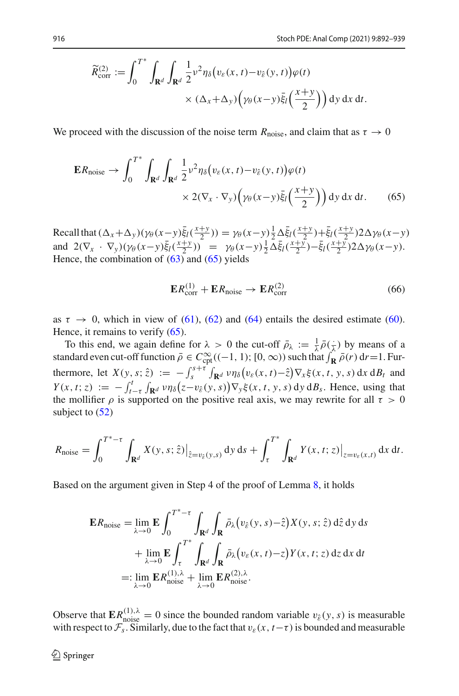$$
\widetilde{R}_{\text{corr}}^{(2)} := \int_0^{T^*} \int_{\mathbf{R}^d} \int_{\mathbf{R}^d} \frac{1}{2} v^2 \eta_\delta \big( v_\varepsilon(x,t) - v_\varepsilon(y,t) \big) \varphi(t) \times (\Delta_x + \Delta_y) \Big( \gamma_\theta(x-y) \bar{\xi}_l \Big( \frac{x+y}{2} \Big) \Big) \, dy \, dx \, dt.
$$

We proceed with the discussion of the noise term  $R_{\text{noise}}$ , and claim that as  $\tau \to 0$ 

$$
\mathbf{E}R_{\text{noise}} \to \int_0^{T^*} \int_{\mathbf{R}^d} \int_{\mathbf{R}^d} \frac{1}{2} v^2 \eta_\delta \big( v_\varepsilon(x,t) - v_\varepsilon(y,t) \big) \varphi(t) \times 2(\nabla_x \cdot \nabla_y) \Big( \gamma_\theta(x-y) \bar{\xi}_l \Big( \frac{x+y}{2} \Big) \Big) \, dy \, dx \, dt. \tag{65}
$$

Recall that  $(\Delta_x + \Delta_y)(\gamma_\theta(x-y)\bar{\xi}_l(\frac{x+y}{2})) = \gamma_\theta(x-y)\frac{1}{2}\Delta \bar{\xi}_l(\frac{x+y}{2}) + \bar{\xi}_l(\frac{x+y}{2})2\Delta \gamma_\theta(x-y)$ and  $2(\nabla_x \cdot \nabla_y)(\gamma_\theta(x-y)\bar{\xi}_l(\frac{x+y}{2})) = \gamma_\theta(x-y)\frac{1}{2}\Delta \bar{\xi}_l(\frac{x+y}{2}) - \bar{\xi}_l(\frac{x+y}{2})2\Delta \gamma_\theta(x-y).$ Hence, the combination of  $(63)$  and  $(65)$  yields

<span id="page-24-0"></span>
$$
ER_{\text{corr}}^{(1)} + ER_{\text{noise}} \rightarrow ER_{\text{corr}}^{(2)} \tag{66}
$$

as  $\tau \to 0$ , which in view of [\(61\)](#page-23-1), [\(62\)](#page-23-2) and [\(64\)](#page-23-3) entails the desired estimate [\(60\)](#page-23-4). Hence, it remains to verify  $(65)$ .

To this end, we again define for  $\lambda > 0$  the cut-off  $\bar{\rho}_{\lambda} := \frac{1}{\lambda} \bar{\rho}(\frac{1}{\lambda})$  by means of a standard even cut-off function  $\bar{\rho} \in C_{\text{cpt}}^{\infty}((-1, 1); [0, \infty))$  such that  $\int_{\mathbf{R}} \bar{\rho}(r) dr = 1$ . Furthermore, let  $X(y, s; \hat{z}) := -\int_{s}^{s+\tau} \int_{\mathbf{R}^d} v \eta_{\delta}(v_{\varepsilon}(x, t) - \hat{z}) \nabla_x \xi(x, t, y, s) dx dB_t$  and  $Y(x, t; z) := -\int_{t-\tau}^{t} \int_{\mathbf{R}^d} v \eta_\delta(z-v_\delta(y, s)) \nabla_y \xi(x, t, y, s) dy dB_s$ . Hence, using that the mollifier  $\rho$  is supported on the positive real axis, we may rewrite for all  $\tau > 0$ subject to  $(52)$ 

$$
R_{\text{noise}} = \int_0^{T^* - \tau} \int_{\mathbf{R}^d} X(y, s; \hat{z}) \big|_{\hat{z} = v_{\hat{\varepsilon}}(y, s)} \, \mathrm{d}y \, \mathrm{d}s + \int_{\tau}^{T^*} \int_{\mathbf{R}^d} Y(x, t; z) \big|_{z = v_{\varepsilon}(x, t)} \, \mathrm{d}x \, \mathrm{d}t.
$$

Based on the argument given in Step 4 of the proof of Lemma [8,](#page-12-1) it holds

$$
\mathbf{E}R_{\text{noise}} = \lim_{\lambda \to 0} \mathbf{E} \int_0^{T^* - \tau} \int_{\mathbf{R}^d} \int_{\mathbf{R}} \bar{\rho}_{\lambda} (v_{\hat{\varepsilon}}(y, s) - \hat{z}) X(y, s; \hat{z}) d\hat{z} dy ds
$$
  
+ 
$$
\lim_{\lambda \to 0} \mathbf{E} \int_{\tau}^{T^*} \int_{\mathbf{R}^d} \int_{\mathbf{R}} \bar{\rho}_{\lambda} (v_{\varepsilon}(x, t) - z) Y(x, t; z) dz dx dt
$$
  
=: 
$$
\lim_{\lambda \to 0} \mathbf{E} R_{\text{noise}}^{(1), \lambda} + \lim_{\lambda \to 0} \mathbf{E} R_{\text{noise}}^{(2), \lambda}.
$$

Observe that  $\mathbf{E}R_{\text{noise}}^{(1),\lambda} = 0$  since the bounded random variable  $v_{\hat{\varepsilon}}(y, s)$  is measurable with respect to  $\mathcal{F}_s$ . Similarly, due to the fact that  $v_{\varepsilon}(x, t-\tau)$  is bounded and measurable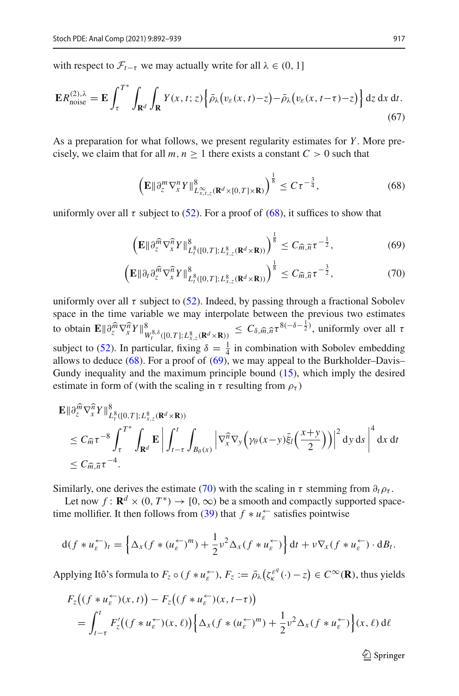with respect to  $\mathcal{F}_{t-\tau}$  we may actually write for all  $\lambda \in (0, 1]$ 

$$
\mathbf{E}R_{\text{noise}}^{(2),\lambda} = \mathbf{E} \int_{\tau}^{T^*} \int_{\mathbf{R}^d} \int_{\mathbf{R}} Y(x,t;z) \Big\{ \bar{\rho}_{\lambda} \big( v_{\varepsilon}(x,t) - z \big) - \bar{\rho}_{\lambda} \big( v_{\varepsilon}(x,t-\tau) - z \big) \Big\} \, \mathrm{d}z \, \mathrm{d}x \, \mathrm{d}t. \tag{67}
$$

As a preparation for what follows, we present regularity estimates for *Y* . More precisely, we claim that for all  $m, n > 1$  there exists a constant  $C > 0$  such that

<span id="page-25-3"></span><span id="page-25-1"></span><span id="page-25-0"></span>
$$
\left(\mathbf{E}\|\partial_z^m \nabla_x^n Y\|_{L_{x,t,z}^\infty(\mathbf{R}^d \times [0,T] \times \mathbf{R})}^8\right)^{\frac{1}{8}} \le C\tau^{-\frac{3}{4}},\tag{68}
$$

uniformly over all  $\tau$  subject to [\(52\)](#page-20-0). For a proof of [\(68\)](#page-25-0), it suffices to show that

<span id="page-25-2"></span>
$$
\left(\mathbf{E}\|\partial_z^{\widehat{m}}\nabla_x^{\widehat{n}}Y\|_{L_t^8([0,T];L_{x,z}^8(\mathbf{R}^d\times\mathbf{R}))}^8\right)^{\frac{1}{8}} \leq C_{\widehat{m},\widehat{n}}\tau^{-\frac{1}{2}},\tag{69}
$$

$$
\left(\mathbf{E}\|\partial_t\partial_z^{\widehat{m}}\nabla_x^{\widehat{n}}Y\|_{L_t^8([0,T];L_{x,z}^8(\mathbf{R}^d\times\mathbf{R}))}^8\right)^{\frac{1}{8}}\leq C_{\widehat{m},\widehat{n}}\tau^{-\frac{3}{2}},\tag{70}
$$

uniformly over all  $\tau$  subject to [\(52\)](#page-20-0). Indeed, by passing through a fractional Sobolev space in the time variable we may interpolate between the previous two estimates to obtain  $\mathbf{E} \|\partial_z^{\widehat{m}} \nabla_x^{\widehat{n}} Y\|_{W_t^{8,\delta}([0,T];L_{x,\zeta}^8(\mathbf{R}^d\times\mathbf{R}))}^8 \leq C_{\delta,\widehat{m},\widehat{n}} \tau^{8(-\delta-\frac{1}{2})}$ , uniformly over all  $\tau$ subject to [\(52\)](#page-20-0). In particular, fixing  $\delta = \frac{1}{4}$  in combination with Sobolev embedding allows to deduce  $(68)$ . For a proof of  $(69)$ , we may appeal to the Burkholder–Davis– Gundy inequality and the maximum principle bound [\(15\)](#page-6-4), which imply the desired estimate in form of (with the scaling in  $\tau$  resulting from  $\rho_{\tau}$ )

$$
\mathbf{E} \|\partial_z^{\widehat{n}} \nabla_x^{\widehat{n}} Y\|_{L_t^{\widehat{n}}([0,T];L_{x,z}^{\widehat{n}}(\mathbf{R}^d \times \mathbf{R}))}^{\widehat{n}} \n\leq C_{\widehat{m}} \tau^{-8} \int_{\tau}^{T^*} \int_{\mathbf{R}^d} \mathbf{E} \left| \int_{t-\tau}^t \int_{B_{\theta}(x)} \left| \nabla_x^{\widehat{n}} \nabla_y \left( \gamma_\theta(x-y) \bar{\xi}_l \left( \frac{x+y}{2} \right) \right) \right|^2 dy ds \right|^4 dx dt \n\leq C_{\widehat{m},\widehat{n}} \tau^{-4}.
$$

Similarly, one derives the estimate [\(70\)](#page-25-2) with the scaling in  $\tau$  stemming from  $\partial_t \rho_{\tau}$ .

Let now  $f: \mathbf{R}^d \times (0, T^*) \to [0, \infty)$  be a smooth and compactly supported space-time mollifier. It then follows from [\(39\)](#page-14-2) that  $f * u_{\varepsilon}^{\leftarrow}$  satisfies pointwise

$$
d(f * u_{\varepsilon}^{\leftarrow})_t = \left\{ \Delta_x (f * (u_{\varepsilon}^{\leftarrow})^m) + \frac{1}{2} v^2 \Delta_x (f * u_{\varepsilon}^{\leftarrow}) \right\} dt + v \nabla_x (f * u_{\varepsilon}^{\leftarrow}) \cdot dB_t.
$$

Applying Itô's formula to  $F_z \circ (f * u_{\varepsilon}^{\leftarrow})$ ,  $F_z := \bar{\rho}_{\lambda} (\zeta_{\kappa}^{e^q}(\cdot) - z) \in C^{\infty}(\mathbf{R})$ , thus yields

$$
F_z((f * u_{\varepsilon}^{\leftarrow})(x, t)) - F_z((f * u_{\varepsilon}^{\leftarrow})(x, t-\tau))
$$
  
= 
$$
\int_{t-\tau}^t F'_z((f * u_{\varepsilon}^{\leftarrow})(x, \ell)) \Big\{ \Delta_x (f * (u_{\varepsilon}^{\leftarrow})^m) + \frac{1}{2} v^2 \Delta_x (f * u_{\varepsilon}^{\leftarrow}) \Big\} (x, \ell) d\ell
$$

 $\mathcal{D}$  Springer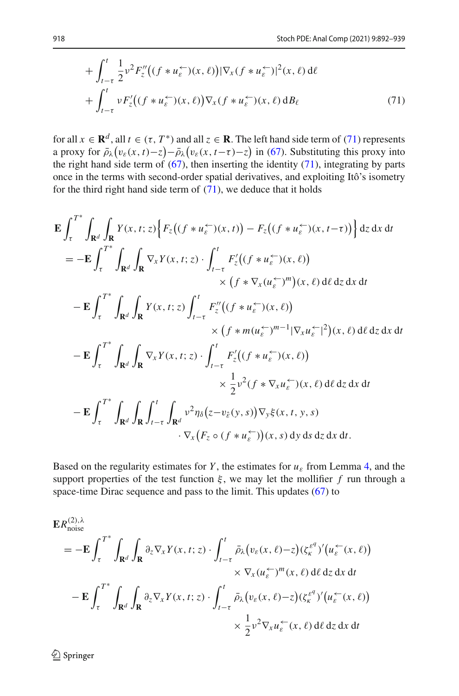<span id="page-26-0"></span>
$$
+\int_{t-\tau}^{t} \frac{1}{2} \nu^2 F_z''((f * u_{\varepsilon}^{\leftarrow})(x,\ell)) |\nabla_x (f * u_{\varepsilon}^{\leftarrow})|^2(x,\ell) d\ell + \int_{t-\tau}^{t} \nu F_z'((f * u_{\varepsilon}^{\leftarrow})(x,\ell)) \nabla_x (f * u_{\varepsilon}^{\leftarrow})(x,\ell) dB_{\ell}
$$
\n(71)

for all  $x \in \mathbb{R}^d$ , all  $t \in (\tau, T^*)$  and all  $z \in \mathbb{R}$ . The left hand side term of [\(71\)](#page-26-0) represents a proxy for  $\bar{\rho}_{\lambda}(v_{\varepsilon}(x,t)-z) - \bar{\rho}_{\lambda}(v_{\varepsilon}(x,t-\tau)-z)$  in [\(67\)](#page-25-3). Substituting this proxy into the right hand side term of  $(67)$ , then inserting the identity  $(71)$ , integrating by parts once in the terms with second-order spatial derivatives, and exploiting Itô's isometry for the third right hand side term of  $(71)$ , we deduce that it holds

$$
\mathbf{E} \int_{\tau}^{T^*} \int_{\mathbf{R}^d} \int_{\mathbf{R}} Y(x, t; z) \Big\{ F_z \big( (f * u_{\varepsilon}^{\leftarrow}) (x, t) \big) - F_z \big( (f * u_{\varepsilon}^{\leftarrow}) (x, t - \tau) \big) \Big\} \, dz \, dx \, dt
$$
\n
$$
= - \mathbf{E} \int_{\tau}^{T^*} \int_{\mathbf{R}^d} \int_{\mathbf{R}} \nabla_x Y(x, t; z) \cdot \int_{t - \tau}^t F'_z \big( (f * u_{\varepsilon}^{\leftarrow}) (x, \ell) \big) \times \big( f * \nabla_x (u_{\varepsilon}^{\leftarrow})^m \big) (x, \ell) \, d\ell \, dz \, dx \, dt
$$
\n
$$
- \mathbf{E} \int_{\tau}^{T^*} \int_{\mathbf{R}^d} \int_{\mathbf{R}} Y(x, t; z) \int_{t - \tau}^t F''_z \big( (f * u_{\varepsilon}^{\leftarrow}) (x, \ell) \big) \times \big( f * m(u_{\varepsilon}^{\leftarrow})^{m-1} | \nabla_x u_{\varepsilon}^{\leftarrow} |^2 \big) (x, \ell) \, d\ell \, dz \, dx \, dt
$$
\n
$$
- \mathbf{E} \int_{\tau}^{T^*} \int_{\mathbf{R}^d} \int_{\mathbf{R}} \nabla_x Y(x, t; z) \cdot \int_{t - \tau}^t F'_z \big( (f * u_{\varepsilon}^{\leftarrow}) (x, \ell) \big) \times \frac{1}{2} v^2 (f * \nabla_x u_{\varepsilon}^{\leftarrow}) (x, \ell) \, d\ell \, dz \, dx \, dt
$$
\n
$$
- \mathbf{E} \int_{\tau}^{T^*} \int_{\mathbf{R}^d} \int_{\mathbf{R}} \int_{t - \tau}^t \int_{\mathbf{R}^d} v^2 \eta_{\delta} (z - v_{\varepsilon}(y, s)) \nabla_y \xi (x, t, y, s)
$$
\n
$$
\cdot \nabla_x (F_z \circ (f * u_{\varepsilon}^{\leftarrow}) \big) (x, s) \, dy \, ds \, dz \
$$

Based on the regularity estimates for *Y*, the estimates for  $u_{\varepsilon}$  from Lemma [4,](#page-6-2) and the support properties of the test function  $\xi$ , we may let the mollifier  $f$  run through a space-time Dirac sequence and pass to the limit. This updates [\(67\)](#page-25-3) to

$$
\mathbf{E}R_{\text{noise}}^{(2),\lambda}
$$
\n
$$
= -\mathbf{E} \int_{\tau}^{T^*} \int_{\mathbf{R}^d} \int_{\mathbf{R}} \partial_z \nabla_x Y(x,t;z) \cdot \int_{t-\tau}^t \bar{\rho}_{\lambda} (v_{\varepsilon}(x,\ell) - z) (\zeta_{\kappa}^{\varepsilon^q})' (u_{\varepsilon}^{\leftarrow}(x,\ell))
$$
\n
$$
\times \nabla_x (u_{\varepsilon}^{\leftarrow})^m(x,\ell) \, d\ell \, dz \, dx \, dt
$$
\n
$$
- \mathbf{E} \int_{\tau}^{T^*} \int_{\mathbf{R}^d} \int_{\mathbf{R}} \partial_z \nabla_x Y(x,t;z) \cdot \int_{t-\tau}^t \bar{\rho}_{\lambda} (v_{\varepsilon}(x,\ell) - z) (\zeta_{\kappa}^{\varepsilon^q})' (u_{\varepsilon}^{\leftarrow}(x,\ell))
$$
\n
$$
\times \frac{1}{2} v^2 \nabla_x u_{\varepsilon}^{\leftarrow}(x,\ell) \, d\ell \, dz \, dx \, dt
$$

<sup>2</sup> Springer

 $(2)$ , λ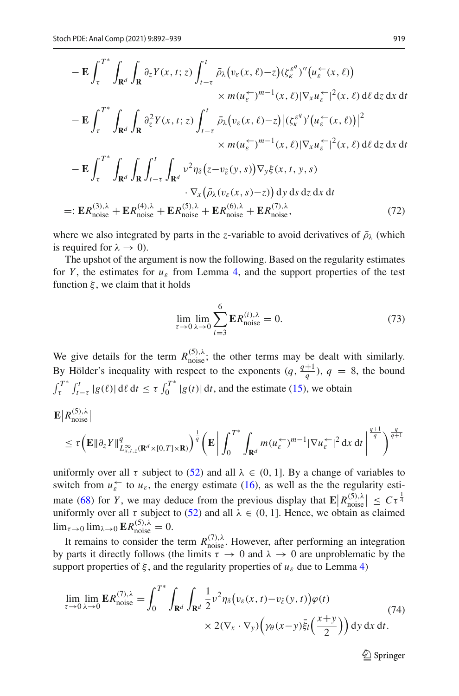$$
-\mathbf{E} \int_{\tau}^{T^*} \int_{\mathbf{R}^d} \int_{\mathbf{R}} \partial_z Y(x, t; z) \int_{t-\tau}^t \bar{\rho}_{\lambda} (v_{\varepsilon}(x, \ell) - z) (\zeta_{\kappa}^{\varepsilon^q})'' (u_{\varepsilon}^{\leftarrow}(x, \ell))
$$
  
\n
$$
\times m(u_{\varepsilon}^{\leftarrow})^{m-1}(x, \ell) |\nabla_x u_{\varepsilon}^{\leftarrow}|^2(x, \ell) d\ell dz dx dt
$$
  
\n
$$
-\mathbf{E} \int_{\tau}^{T^*} \int_{\mathbf{R}^d} \int_{\mathbf{R}} \partial_z^2 Y(x, t; z) \int_{t-\tau}^t \bar{\rho}_{\lambda} (v_{\varepsilon}(x, \ell) - z) |(\zeta_{\kappa}^{\varepsilon^q})'(u_{\varepsilon}^{\leftarrow}(x, \ell))|^2
$$
  
\n
$$
\times m(u_{\varepsilon}^{\leftarrow})^{m-1}(x, \ell) |\nabla_x u_{\varepsilon}^{\leftarrow}|^2(x, \ell) d\ell dz dx dt
$$
  
\n
$$
-\mathbf{E} \int_{\tau}^{T^*} \int_{\mathbf{R}^d} \int_{\mathbf{R}} \int_{t-\tau}^t \int_{\mathbf{R}^d} v^2 \eta_{\delta}(z - v_{\varepsilon}(y, s)) \nabla_y \xi(x, t, y, s)
$$
  
\n
$$
\cdot \nabla_x (\bar{\rho}_{\lambda}(v_{\varepsilon}(x, s) - z)) dy ds dz dx dt
$$
  
\n=:\n
$$
\mathbf{E} R_{\text{noise}}^{(3),\lambda} + \mathbf{E} R_{\text{noise}}^{(4),\lambda} + \mathbf{E} R_{\text{noise}}^{(5),\lambda} + \mathbf{E} R_{\text{noise}}^{(6),\lambda} + \mathbf{E} R_{\text{noise}}^{(7),\lambda},
$$
\n(72)

where we also integrated by parts in the *z*-variable to avoid derivatives of  $\bar{\rho}_{\lambda}$  (which is required for  $\lambda \to 0$ ).

The upshot of the argument is now the following. Based on the regularity estimates for *Y*, the estimates for  $u_{\varepsilon}$  from Lemma [4,](#page-6-2) and the support properties of the test function  $\xi$ , we claim that it holds

<span id="page-27-0"></span>
$$
\lim_{\tau \to 0} \lim_{\lambda \to 0} \sum_{i=3}^{6} \mathbf{E} R_{\text{noise}}^{(i),\lambda} = 0.
$$
 (73)

We give details for the term  $R_{\text{noise}}^{(5),\lambda}$ ; the other terms may be dealt with similarly. By Hölder's inequality with respect to the exponents  $(q, \frac{q+1}{q})$ ,  $q = 8$ , the bound  $\int_{\tau}^{T^*} \int_{t-\tau}^t |g(\ell)| d\ell dt \leq \tau \int_0^{T^*} |g(t)| dt$ , and the estimate [\(15\)](#page-6-4), we obtain

$$
\mathbf{E}|R_{\text{noise}}^{(5),\lambda}|
$$
\n
$$
\leq \tau \Big( \mathbf{E} \|\partial_z Y\|_{L_{x,t,z}^{\infty}(\mathbf{R}^d \times [0,T] \times \mathbf{R})}^q \Big)^{\frac{1}{q}} \Big( \mathbf{E} \bigg| \int_0^{T^*} \int_{\mathbf{R}^d} m(u_{\varepsilon} \zeta)^{m-1} |\nabla u_{\varepsilon} \zeta|^2 \, \mathrm{d}x \, \mathrm{d}t \bigg|^{\frac{q+1}{q}} \Big)^{\frac{q}{q+1}}
$$

uniformly over all  $\tau$  subject to [\(52\)](#page-20-0) and all  $\lambda \in (0, 1]$ . By a change of variables to switch from  $u_{\varepsilon}^{\leftarrow}$  to  $u_{\varepsilon}$ , the energy estimate [\(16\)](#page-6-5), as well as the the regularity esti-mate [\(68\)](#page-25-0) for *Y*, we may deduce from the previous display that  $\mathbf{E}|R_{\text{noise}}^{(5),\lambda}| \leq C\tau^{\frac{1}{4}}$ uniformly over all  $\tau$  subject to [\(52\)](#page-20-0) and all  $\lambda \in (0, 1]$ . Hence, we obtain as claimed  $\lim_{\tau \to 0} \lim_{\lambda \to 0} \mathbf{E} R_{\text{noise}}^{(5),\lambda} = 0.$ 

It remains to consider the term  $R_{\text{noise}}^{(7),\lambda}$ . However, after performing an integration by parts it directly follows (the limits  $\tau \to 0$  and  $\lambda \to 0$  are unproblematic by the support properties of  $\xi$ , and the regularity properties of  $u_{\varepsilon}$  due to Lemma [4\)](#page-6-2)

<span id="page-27-1"></span>
$$
\lim_{\tau \to 0} \lim_{\lambda \to 0} \mathbf{E} R_{\text{noise}}^{(7),\lambda} = \int_0^{T^*} \int_{\mathbf{R}^d} \int_{\mathbf{R}^d} \frac{1}{2} v^2 \eta_\delta \big( v_\varepsilon(x,t) - v_\varepsilon(y,t) \big) \varphi(t) \times 2(\nabla_x \cdot \nabla_y) \bigg( \gamma_\theta(x-y) \bar{\xi}_l \Big( \frac{x+y}{2} \Big) \bigg) \, dy \, dx \, dt.
$$
\n(74)

 $\mathcal{D}$  Springer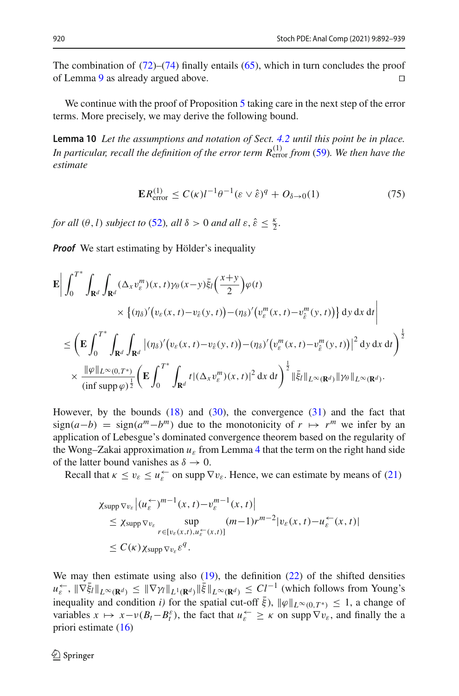The combination of  $(72)$ – $(74)$  finally entails [\(65\)](#page-24-0), which in turn concludes the proof of Lemma [9](#page-22-0) as already argued above.

We continue with the proof of Proposition [5](#page-8-0) taking care in the next step of the error terms. More precisely, we may derive the following bound.

**Lemma 10** *Let the assumptions and notation of Sect. [4.2](#page-11-0) until this point be in place. In particular, recall the definition of the error term*  $R_{\text{error}}^{(1)}$  *from* [\(59\)](#page-23-5)*. We then have the estimate*

<span id="page-28-1"></span><span id="page-28-0"></span>
$$
\mathbf{E}R_{\text{error}}^{(1)} \le C(\kappa)l^{-1}\theta^{-1}(\varepsilon \vee \hat{\varepsilon})^q + O_{\delta \to 0}(1) \tag{75}
$$

*for all*  $(\theta, l)$  *subject to* [\(52\)](#page-20-0)*, all*  $\delta > 0$  *and all*  $\varepsilon, \hat{\varepsilon} \leq \frac{\kappa}{2}$ *.* 

*Proof* We start estimating by Hölder's inequality

$$
\mathbf{E} \Bigg| \int_0^{T^*} \int_{\mathbf{R}^d} \int_{\mathbf{R}^d} (\Delta_x v_{\varepsilon}^m)(x, t) \gamma_{\theta}(x-y) \bar{\xi}_l \Big(\frac{x+y}{2}\Big) \varphi(t) \times \Big\{ (\eta_{\delta})' \big(v_{\varepsilon}(x, t) - v_{\varepsilon}(y, t) \big) - (\eta_{\delta})' \big(v_{\varepsilon}^m(x, t) - v_{\varepsilon}^m(y, t) \big) \Big\} \, \mathrm{d}y \, \mathrm{d}x \, \mathrm{d}t \Bigg|
$$
  

$$
\leq \left( \mathbf{E} \int_0^{T^*} \int_{\mathbf{R}^d} \int_{\mathbf{R}^d} \Big| (\eta_{\delta})' \big(v_{\varepsilon}(x, t) - v_{\varepsilon}(y, t) \big) - (\eta_{\delta})' \big(v_{\varepsilon}^m(x, t) - v_{\varepsilon}^m(y, t) \big) \Big|^2 \, \mathrm{d}y \, \mathrm{d}x \, \mathrm{d}t \right)^{\frac{1}{2}}
$$
  

$$
\times \frac{\|\varphi\|_{L^{\infty}(0, T^*)}}{\left(\inf \sup \varphi\right)^{\frac{1}{2}}} \left( \mathbf{E} \int_0^{T^*} \int_{\mathbf{R}^d} t |(\Delta_x v_{\varepsilon}^m)(x, t)|^2 \, \mathrm{d}x \, \mathrm{d}t \right)^{\frac{1}{2}} \|\bar{\xi}_l\|_{L^{\infty}(\mathbf{R}^d)} \|\gamma_{\theta}\|_{L^{\infty}(\mathbf{R}^d)}.
$$

However, by the bounds  $(18)$  and  $(30)$ , the convergence  $(31)$  and the fact that sign(*a*−*b*) = sign(*a*<sup>*m*</sup>−*b*<sup>*m*</sup>) due to the monotonicity of  $r \mapsto r^m$  we infer by an application of Lebesgue's dominated convergence theorem based on the regularity of the Wong–Zakai approximation  $u_{\varepsilon}$  from Lemma [4](#page-6-2) that the term on the right hand side of the latter bound vanishes as  $\delta \to 0$ .

Recall that  $\kappa \le v_{\varepsilon} \le u_{\varepsilon}^{\leftarrow}$  on supp  $\nabla v_{\varepsilon}$ . Hence, we can estimate by means of [\(21\)](#page-7-2)

$$
\chi_{\text{supp}\nabla v_{\varepsilon}}|(u_{\varepsilon}^{\leftarrow})^{m-1}(x,t)-v_{\varepsilon}^{m-1}(x,t)|
$$
\n
$$
\leq \chi_{\text{supp}\nabla v_{\varepsilon}}\sup_{r\in[v_{\varepsilon}(x,t),u_{\varepsilon}^{\leftarrow}(x,t)]}(m-1)r^{m-2}|v_{\varepsilon}(x,t)-u_{\varepsilon}^{\leftarrow}(x,t)|
$$
\n
$$
\leq C(\kappa)\chi_{\text{supp}\nabla v_{\varepsilon}}\varepsilon^{q}.
$$

We may then estimate using also  $(19)$ , the definition  $(22)$  of the shifted densities  $u_{\varepsilon}^{\leftarrow}$ ,  $\|\nabla \bar{\xi}_l\|_{L^{\infty}(\mathbf{R}^d)} \leq \|\nabla \gamma_l\|_{L^1(\mathbf{R}^d)} \|\bar{\xi}\|_{L^{\infty}(\mathbf{R}^d)} \leq C_l^{1-1}$  (which follows from Young's inequality and condition *i*) for the spatial cut-off  $\bar{\xi}$ ),  $\|\varphi\|_{L^{\infty}(0,T^*)} \leq 1$ , a change of variables  $x \mapsto x - \nu(B_t - B_t^{\varepsilon})$ , the fact that  $u_{\varepsilon}^{\leftarrow} \ge \kappa$  on supp  $\nabla v_{\varepsilon}$ , and finally the a priori estimate [\(16\)](#page-6-5)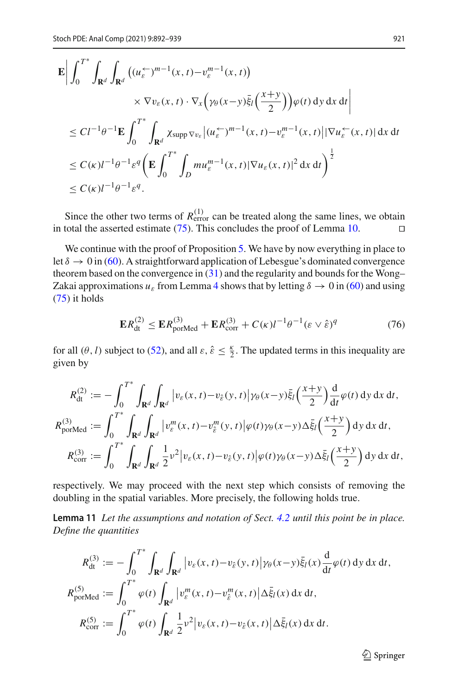$$
\mathbf{E} \Big| \int_0^{T^*} \int_{\mathbf{R}^d} \int_{\mathbf{R}^d} \left( (u_{\varepsilon}^{\leftarrow})^{m-1}(x, t) - v_{\varepsilon}^{m-1}(x, t) \right) \times \nabla v_{\varepsilon}(x, t) \cdot \nabla_x \left( \gamma_\theta(x - y) \bar{\xi}_l \left( \frac{x + y}{2} \right) \right) \varphi(t) \, dy \, dx \, dt \Big|
$$
  
\n
$$
\leq C l^{-1} \theta^{-1} \mathbf{E} \int_0^{T^*} \int_{\mathbf{R}^d} \chi_{\text{supp}} \nabla v_{\varepsilon} \Big| (u_{\varepsilon}^{\leftarrow})^{m-1}(x, t) - v_{\varepsilon}^{m-1}(x, t) \Big| |\nabla u_{\varepsilon}^{\leftarrow}(x, t)| \, dx \, dt \Big|
$$
  
\n
$$
\leq C(\kappa) l^{-1} \theta^{-1} \varepsilon^q \left( \mathbf{E} \int_0^{T^*} \int_D m u_{\varepsilon}^{m-1}(x, t) |\nabla u_{\varepsilon}(x, t)|^2 \, dx \, dt \right)^{\frac{1}{2}}
$$
  
\n
$$
\leq C(\kappa) l^{-1} \theta^{-1} \varepsilon^q.
$$

Since the other two terms of  $R_{\text{error}}^{(1)}$  can be treated along the same lines, we obtain in total the asserted estimate  $(75)$ . This concludes the proof of Lemma [10.](#page-28-1)

We continue with the proof of Proposition [5.](#page-8-0) We have by now everything in place to let  $\delta \to 0$  in [\(60\)](#page-23-4). A straightforward application of Lebesgue's dominated convergence theorem based on the convergence in [\(31\)](#page-12-3) and the regularity and bounds for the Wong– Zakai approximations  $u_{\varepsilon}$  from Lemma [4](#page-6-2) shows that by letting  $\delta \to 0$  in [\(60\)](#page-23-4) and using [\(75\)](#page-28-0) it holds

<span id="page-29-0"></span>
$$
\mathbf{E}R_{\rm dt}^{(2)} \le \mathbf{E}R_{\rm porMed}^{(3)} + \mathbf{E}R_{\rm corr}^{(3)} + C(\kappa)l^{-1}\theta^{-1}(\varepsilon \vee \hat{\varepsilon})^q \tag{76}
$$

for all  $(\theta, l)$  subject to [\(52\)](#page-20-0), and all  $\varepsilon$ ,  $\hat{\varepsilon} \leq \frac{\kappa}{2}$ . The updated terms in this inequality are given by

$$
R_{\text{dt}}^{(2)} := -\int_0^{T^*} \int_{\mathbf{R}^d} \int_{\mathbf{R}^d} |v_{\varepsilon}(x, t) - v_{\varepsilon}(y, t)| \gamma_{\theta}(x - y) \bar{\xi}_l \left(\frac{x + y}{2}\right) \frac{d}{dt} \varphi(t) \, dy \, dx \, dt,
$$
  
\n
$$
R_{\text{porMed}}^{(3)} := \int_0^{T^*} \int_{\mathbf{R}^d} \int_{\mathbf{R}^d} |v_{\varepsilon}^m(x, t) - v_{\varepsilon}^m(y, t)| \varphi(t) \gamma_{\theta}(x - y) \Delta \bar{\xi}_l \left(\frac{x + y}{2}\right) \, dy \, dx \, dt,
$$
  
\n
$$
R_{\text{corr}}^{(3)} := \int_0^{T^*} \int_{\mathbf{R}^d} \int_{\mathbf{R}^d} \frac{1}{2} v^2 |v_{\varepsilon}(x, t) - v_{\varepsilon}(y, t)| \varphi(t) \gamma_{\theta}(x - y) \Delta \bar{\xi}_l \left(\frac{x + y}{2}\right) \, dy \, dx \, dt,
$$

<span id="page-29-1"></span>respectively. We may proceed with the next step which consists of removing the doubling in the spatial variables. More precisely, the following holds true.

**Lemma 11** *Let the assumptions and notation of Sect. [4.2](#page-11-0) until this point be in place. Define the quantities*

$$
R_{\text{dt}}^{(3)} := -\int_0^{T^*} \int_{\mathbf{R}^d} \int_{\mathbf{R}^d} |v_{\varepsilon}(x, t) - v_{\varepsilon}(y, t)| \gamma_{\theta}(x - y) \bar{\xi}_l(x) \frac{d}{dt} \varphi(t) \, dy \, dx \, dt,
$$
  
\n
$$
R_{\text{portMed}}^{(5)} := \int_0^{T^*} \varphi(t) \int_{\mathbf{R}^d} |v_{\varepsilon}^m(x, t) - v_{\varepsilon}^m(x, t)| \Delta \bar{\xi}_l(x) \, dx \, dt,
$$
  
\n
$$
R_{\text{corr}}^{(5)} := \int_0^{T^*} \varphi(t) \int_{\mathbf{R}^d} \frac{1}{2} v^2 |v_{\varepsilon}(x, t) - v_{\varepsilon}(x, t)| \Delta \bar{\xi}_l(x) \, dx \, dt.
$$

 $\mathcal{D}$  Springer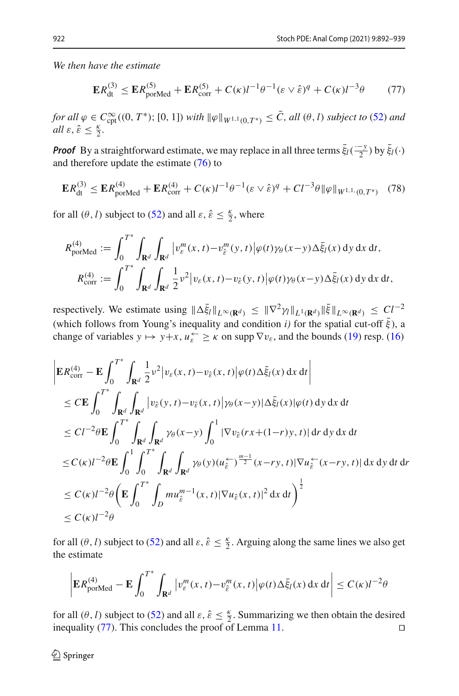*We then have the estimate*

<span id="page-30-0"></span>
$$
ER_{\text{dt}}^{(3)} \le ER_{\text{porMed}}^{(5)} + ER_{\text{corr}}^{(5)} + C(\kappa)l^{-1}\theta^{-1}(\varepsilon \vee \hat{\varepsilon})^q + C(\kappa)l^{-3}\theta \tag{77}
$$

 $f$ *or all*  $\varphi \in C^{\infty}_{\text{cpt}}((0, T^*); [0, 1])$  *with*  $\|\varphi\|_{W^{1,1}(0,T^*)} \leq C$ , all  $(\theta, l)$  *subject to* [\(52\)](#page-20-0) *and*  $all \varepsilon, \hat{\varepsilon} \leq \frac{\kappa}{2}.$ 

*Proof* By a straightforward estimate, we may replace in all three terms  $\bar{\xi}_l(\frac{-y}{2})$  by  $\bar{\xi}_l(\cdot)$ and therefore update the estimate [\(76\)](#page-29-0) to

$$
\mathbf{E}R_{\rm dt}^{(3)} \leq \mathbf{E}R_{\rm porMed}^{(4)} + \mathbf{E}R_{\rm corr}^{(4)} + C(\kappa)l^{-1}\theta^{-1}(\varepsilon \vee \hat{\varepsilon})^q + Cl^{-3}\theta \|\varphi\|_{W^{1,1}(0,T^*)} \tag{78}
$$

for all  $(\theta, l)$  subject to [\(52\)](#page-20-0) and all  $\varepsilon, \hat{\varepsilon} \leq \frac{\kappa}{2}$ , where

$$
R_{\text{porMed}}^{(4)} := \int_0^{T^*} \int_{\mathbf{R}^d} \int_{\mathbf{R}^d} \left| v_{\varepsilon}^m(x, t) - v_{\hat{\varepsilon}}^m(y, t) \right| \varphi(t) \gamma_\theta(x - y) \Delta \bar{\xi}_I(x) \, dy \, dx \, dt,
$$
  

$$
R_{\text{corr}}^{(4)} := \int_0^{T^*} \int_{\mathbf{R}^d} \int_{\mathbf{R}^d} \frac{1}{2} v^2 \left| v_{\varepsilon}(x, t) - v_{\hat{\varepsilon}}(y, t) \right| \varphi(t) \gamma_\theta(x - y) \Delta \bar{\xi}_I(x) \, dy \, dx \, dt,
$$

respectively. We estimate using  $\|\Delta \bar{\xi}_l\|_{L^{\infty}(\mathbf{R}^d)} \leq \|\nabla^2 \gamma_l\|_{L^1(\mathbf{R}^d)} \|\bar{\xi}\|_{L^{\infty}(\mathbf{R}^d)} \leq C l^{-2}$ (which follows from Young's inequality and condition *i*) for the spatial cut-off  $\bar{\xi}$ ), a change of variables  $y \mapsto y + x$ ,  $u_{\varepsilon} \ge \kappa$  on supp  $\nabla v_{\varepsilon}$ , and the bounds [\(19\)](#page-7-1) resp. [\(16\)](#page-6-5)

$$
\begin{split}\n&\left|\mathbf{E}R_{\text{corr}}^{(4)} - \mathbf{E} \int_{0}^{T^{*}} \int_{\mathbf{R}^{d}} \frac{1}{2} v^{2} |v_{\varepsilon}(x,t) - v_{\hat{\varepsilon}}(x,t)| \varphi(t) \Delta \bar{\xi}_{I}(x) \, dx \, dt\right| \\
&\leq C \mathbf{E} \int_{0}^{T^{*}} \int_{\mathbf{R}^{d}} \int_{\mathbf{R}^{d}} |v_{\hat{\varepsilon}}(y,t) - v_{\hat{\varepsilon}}(x,t)| \gamma_{\theta}(x-y) | \Delta \bar{\xi}_{I}(x) | \varphi(t) \, dy \, dx \, dt \\
&\leq C l^{-2} \theta \mathbf{E} \int_{0}^{T^{*}} \int_{\mathbf{R}^{d}} \int_{\mathbf{R}^{d}} \gamma_{\theta}(x-y) \int_{0}^{1} |\nabla v_{\hat{\varepsilon}}(rx + (1-r)y, t)| \, dr \, dy \, dx \, dt \\
&\leq C(\kappa) l^{-2} \theta \mathbf{E} \int_{0}^{1} \int_{0}^{T^{*}} \int_{\mathbf{R}^{d}} \int_{\mathbf{R}^{d}} \gamma_{\theta}(y) (u_{\hat{\varepsilon}}^{2})^{\frac{m-1}{2}}(x-ry, t) |\nabla u_{\hat{\varepsilon}}^{2}(x-ry, t)| \, dx \, dy \, dt \, dr \\
&\leq C(\kappa) l^{-2} \theta \left( \mathbf{E} \int_{0}^{T^{*}} \int_{D} mu_{\hat{\varepsilon}}^{m-1}(x, t) |\nabla u_{\hat{\varepsilon}}(x, t)|^{2} \, dx \, dt \right)^{\frac{1}{2}} \\
&\leq C(\kappa) l^{-2} \theta\n\end{split}
$$

for all  $(\theta, l)$  subject to [\(52\)](#page-20-0) and all  $\varepsilon$ ,  $\hat{\varepsilon} \leq \frac{\kappa}{2}$ . Arguing along the same lines we also get the estimate

$$
\left| \mathbf{E} R_{\text{porMed}}^{(4)} - \mathbf{E} \int_0^{T^*} \int_{\mathbf{R}^d} \left| v_{\varepsilon}^m(x, t) - v_{\varepsilon}^m(x, t) \right| \varphi(t) \Delta \bar{\xi}_I(x) \, \mathrm{d}x \, \mathrm{d}t \right| \le C(\kappa) l^{-2} \theta
$$

for all  $(\theta, l)$  subject to [\(52\)](#page-20-0) and all  $\varepsilon$ ,  $\hat{\varepsilon} \leq \frac{\kappa}{2}$ . Summarizing we then obtain the desired inequality [\(77\)](#page-30-0). This concludes the proof of Lemma [11.](#page-29-1)  $\Box$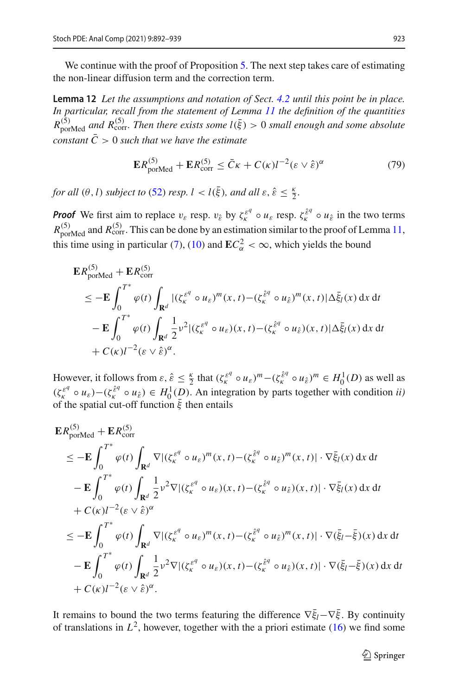We continue with the proof of Proposition [5.](#page-8-0) The next step takes care of estimating the non-linear diffusion term and the correction term.

**Lemma 12** *Let the assumptions and notation of Sect. [4.2](#page-11-0) until this point be in place. In particular, recall from the statement of Lemma [11](#page-29-1) the definition of the quantities*  $R_{\rm{porMed}}^{(5)}$  and  $R_{\rm{corr}}^{(5)}$ . Then there exists some  $l(\bar{\xi}) > 0$  small enough and some absolute *constant*  $\overline{C} > 0$  *such that we have the estimate* 

<span id="page-31-0"></span>
$$
\mathbf{E}R_{\text{porMed}}^{(5)} + \mathbf{E}R_{\text{corr}}^{(5)} \le \bar{C}\kappa + C(\kappa)l^{-2}(\varepsilon \vee \hat{\varepsilon})^{\alpha} \tag{79}
$$

*for all*  $(\theta, l)$  *subject to* [\(52\)](#page-20-0) *resp.*  $l < l(\bar{\xi})$ *, and all*  $\varepsilon, \hat{\varepsilon} \leq \frac{\kappa}{2}$ *.* 

*Proof* We first aim to replace  $v_{\varepsilon}$  resp.  $v_{\varepsilon}$  by  $\zeta_{\varepsilon}^{\varepsilon^q} \circ u_{\varepsilon}$  resp.  $\zeta_{\varepsilon}^{\varepsilon^q} \circ u_{\varepsilon}$  in the two terms  $R_{\rm{porMed}}^{(5)}$  and  $R_{\rm{corr}}^{(5)}$ . This can be done by an estimation similar to the proof of Lemma [11,](#page-29-1) this time using in particular [\(7\)](#page-5-2), [\(10\)](#page-6-7) and  $EC_{\alpha}^2 < \infty$ , which yields the bound

$$
\mathbf{E}R_{\text{portMed}}^{(5)} + \mathbf{E}R_{\text{corr}}^{(5)}
$$
\n
$$
\leq -\mathbf{E} \int_0^{T^*} \varphi(t) \int_{\mathbf{R}^d} |(\zeta_k^{\varepsilon^q} \circ u_{\varepsilon})^m(x, t) - (\zeta_k^{\varepsilon^q} \circ u_{\varepsilon})^m(x, t) | \Delta \bar{\xi}_l(x) \, dx \, dt
$$
\n
$$
- \mathbf{E} \int_0^{T^*} \varphi(t) \int_{\mathbf{R}^d} \frac{1}{2} v^2 |(\zeta_k^{\varepsilon^q} \circ u_{\varepsilon})(x, t) - (\zeta_k^{\varepsilon^q} \circ u_{\varepsilon})(x, t) | \Delta \bar{\xi}_l(x) \, dx \, dt
$$
\n
$$
+ C(\kappa) I^{-2} (\varepsilon \vee \hat{\varepsilon})^{\alpha}.
$$

However, it follows from  $\varepsilon$ ,  $\hat{\varepsilon} \leq \frac{\kappa}{2}$  that  $(\zeta_k^{\varepsilon q} \circ u_{\varepsilon})^m - (\zeta_k^{\hat{\varepsilon} q} \circ u_{\hat{\varepsilon}})^m \in H_0^1(D)$  as well as  $(\zeta_k^{\varepsilon^q} \circ u_{\varepsilon}) - (\zeta_k^{\varepsilon^q} \circ u_{\varepsilon}) \in H_0^1(D)$ . An integration by parts together with condition *ii*) of the spatial cut-off function  $\bar{\xi}$  then entails

$$
\mathbf{E}R_{\text{portMed}}^{(5)} + \mathbf{E}R_{\text{corr}}^{(5)}
$$
\n
$$
\leq -\mathbf{E} \int_0^{T^*} \varphi(t) \int_{\mathbf{R}^d} \nabla |(\zeta_k^{\varepsilon^q} \circ u_{\varepsilon})^m(x, t) - (\zeta_k^{\varepsilon^q} \circ u_{\varepsilon})^m(x, t)| \cdot \nabla \bar{\xi}_l(x) dx dt
$$
\n
$$
- \mathbf{E} \int_0^{T^*} \varphi(t) \int_{\mathbf{R}^d} \frac{1}{2} v^2 \nabla |(\zeta_k^{\varepsilon^q} \circ u_{\varepsilon})(x, t) - (\zeta_k^{\varepsilon^q} \circ u_{\varepsilon})(x, t)| \cdot \nabla \bar{\xi}_l(x) dx dt
$$
\n
$$
+ C(\kappa) l^{-2} (\varepsilon \vee \hat{\varepsilon})^{\alpha}
$$
\n
$$
\leq -\mathbf{E} \int_0^{T^*} \varphi(t) \int_{\mathbf{R}^d} \nabla |(\zeta_k^{\varepsilon^q} \circ u_{\varepsilon})^m(x, t) - (\zeta_k^{\varepsilon^q} \circ u_{\varepsilon})^m(x, t)| \cdot \nabla (\bar{\xi}_l - \bar{\xi})(x) dx dt
$$
\n
$$
- \mathbf{E} \int_0^{T^*} \varphi(t) \int_{\mathbf{R}^d} \frac{1}{2} v^2 \nabla |(\zeta_k^{\varepsilon^q} \circ u_{\varepsilon})(x, t) - (\zeta_k^{\varepsilon^q} \circ u_{\varepsilon})(x, t)| \cdot \nabla (\bar{\xi}_l - \bar{\xi})(x) dx dt
$$
\n
$$
+ C(\kappa) l^{-2} (\varepsilon \vee \hat{\varepsilon})^{\alpha}.
$$

It remains to bound the two terms featuring the difference  $\nabla \xi_l - \nabla \xi$ . By continuity of translations in  $L^2$ , however, together with the a priori estimate [\(16\)](#page-6-5) we find some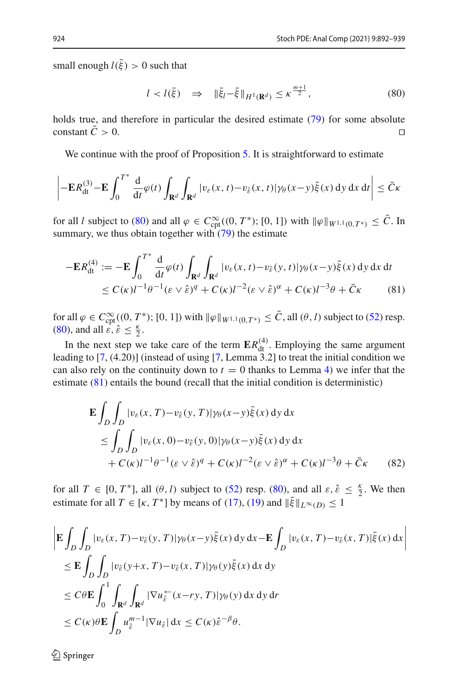small enough  $l(\bar{\xi}) > 0$  such that

<span id="page-32-1"></span><span id="page-32-0"></span>
$$
l < l(\bar{\xi}) \quad \Rightarrow \quad \|\bar{\xi}_l - \bar{\xi}\|_{H^1(\mathbf{R}^d)} \le \kappa^{\frac{m+1}{2}},\tag{80}
$$

holds true, and therefore in particular the desired estimate [\(79\)](#page-31-0) for some absolute constant  $\bar{C} > 0$ .

We continue with the proof of Proposition [5.](#page-8-0) It is straightforward to estimate

$$
\left| -\mathbf{E} R_{\mathrm{dt}}^{(3)} - \mathbf{E} \int_0^{T^*} \frac{\mathrm{d}}{\mathrm{d}t} \varphi(t) \int_{\mathbf{R}^d} \int_{\mathbf{R}^d} |v_{\varepsilon}(x,t) - v_{\hat{\varepsilon}}(x,t)| \gamma_{\theta}(x-y) \bar{\xi}(x) \, \mathrm{d}y \, \mathrm{d}x \, \mathrm{d}t \right| \leq \bar{C} \kappa
$$

for all *l* subject to [\(80\)](#page-32-0) and all  $\varphi \in C_{\text{cpt}}^{\infty}((0, T^*); [0, 1])$  with  $\|\varphi\|_{W^{1,1}(0, T^*)} \leq C$ . In summary, we thus obtain together with  $(79)$  the estimate

$$
-{\mathbf{E}}R_{\mathrm{dt}}^{(4)} := -{\mathbf{E}} \int_0^{T^*} \frac{\mathrm{d}}{\mathrm{d}t} \varphi(t) \int_{\mathbf{R}^d} \int_{\mathbf{R}^d} |v_{\varepsilon}(x, t) - v_{\hat{\varepsilon}}(y, t)| \gamma_{\theta}(x - y) \bar{\xi}(x) \, \mathrm{d}y \, \mathrm{d}x \, \mathrm{d}t \leq C(\kappa) l^{-1} \theta^{-1} (\varepsilon \vee \hat{\varepsilon})^q + C(\kappa) l^{-2} (\varepsilon \vee \hat{\varepsilon})^\alpha + C(\kappa) l^{-3} \theta + \bar{C}\kappa
$$
\n(81)

for all  $\varphi \in C_{\mathrm{cpt}}^{\infty}((0, T^*); [0, 1])$  with  $\|\varphi\|_{W^{1,1}(0,T^*)} \leq C$ , all  $(\theta, l)$  subject to [\(52\)](#page-20-0) resp. [\(80\)](#page-32-0), and all  $\mathcal{E}, \hat{\varepsilon} \leq \frac{\kappa}{2}$ .

In the next step we take care of the term  $\mathbf{E}R_{\text{dt}}^{(4)}$ . Employing the same argument leading to [\[7,](#page-47-8) (4.20)] (instead of using [\[7](#page-47-8), Lemma 3.2] to treat the initial condition we can also rely on the continuity down to  $t = 0$  thanks to Lemma [4\)](#page-6-2) we infer that the estimate [\(81\)](#page-32-1) entails the bound (recall that the initial condition is deterministic)

$$
\mathbf{E} \int_{D} \int_{D} |v_{\varepsilon}(x, T) - v_{\hat{\varepsilon}}(y, T)| \gamma_{\theta}(x - y) \bar{\xi}(x) \, dy \, dx
$$
\n
$$
\leq \int_{D} \int_{D} |v_{\varepsilon}(x, 0) - v_{\hat{\varepsilon}}(y, 0)| \gamma_{\theta}(x - y) \bar{\xi}(x) \, dy \, dx
$$
\n
$$
+ C(\kappa) l^{-1} \theta^{-1} (\varepsilon \vee \hat{\varepsilon})^q + C(\kappa) l^{-2} (\varepsilon \vee \hat{\varepsilon})^\alpha + C(\kappa) l^{-3} \theta + \bar{C} \kappa \qquad (82)
$$

for all  $T \in [0, T^*]$ , all  $(\theta, l)$  subject to [\(52\)](#page-20-0) resp. [\(80\)](#page-32-0), and all  $\varepsilon, \hat{\varepsilon} \leq \frac{\kappa}{2}$ . We then estimate for all  $T \in [\kappa, T^*]$  by means of [\(17\)](#page-6-6), [\(19\)](#page-7-1) and  $\|\bar{\xi}\|_{L^{\infty}(D)} \leq 1$ 

$$
\begin{split}\n&\left|\mathbf{E}\int_{D}\int_{D}|v_{\varepsilon}(x,T)-v_{\hat{\varepsilon}}(y,T)|\gamma_{\theta}(x-y)\bar{\xi}(x)\,dy\,dx-\mathbf{E}\int_{D}|v_{\varepsilon}(x,T)-v_{\hat{\varepsilon}}(x,T)|\bar{\xi}(x)\,dx\right| \\
&\leq \mathbf{E}\int_{D}\int_{D}|v_{\hat{\varepsilon}}(y+x,T)-v_{\hat{\varepsilon}}(x,T)|\gamma_{\theta}(y)\bar{\xi}(x)\,dx\,dy \\
&\leq C\theta\mathbf{E}\int_{0}^{1}\int_{\mathbf{R}^{d}}\int_{\mathbf{R}^{d}}|\nabla u_{\hat{\varepsilon}}^{+}(x-ry,T)|\gamma_{\theta}(y)\,dx\,dy\,dr \\
&\leq C(\kappa)\theta\mathbf{E}\int_{D}u_{\hat{\varepsilon}}^{m-1}|\nabla u_{\hat{\varepsilon}}|\,dx\leq C(\kappa)\hat{\varepsilon}^{-\beta}\theta.\n\end{split}
$$

 $\textcircled{2}$  Springer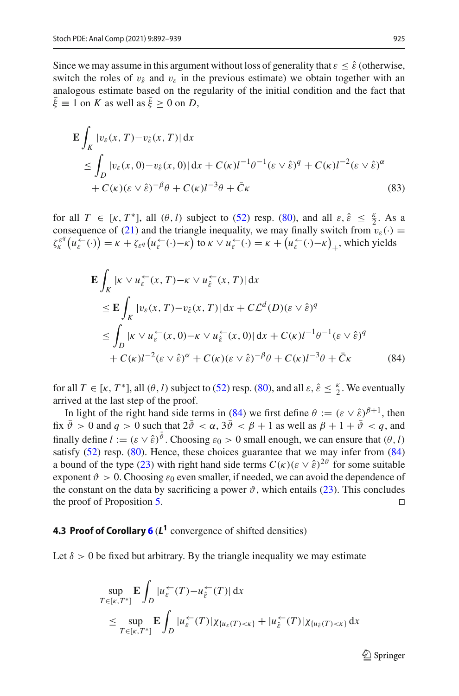Since we may assume in this argument without loss of generality that  $\varepsilon \leq \hat{\varepsilon}$  (otherwise, switch the roles of  $v_{\hat{\varepsilon}}$  and  $v_{\varepsilon}$  in the previous estimate) we obtain together with an analogous estimate based on the regularity of the initial condition and the fact that  $\bar{\xi} \equiv 1$  on *K* as well as  $\bar{\xi} > 0$  on *D*,

$$
\mathbf{E} \int_{K} |v_{\varepsilon}(x, T) - v_{\hat{\varepsilon}}(x, T)| dx
$$
  
\n
$$
\leq \int_{D} |v_{\varepsilon}(x, 0) - v_{\hat{\varepsilon}}(x, 0)| dx + C(\kappa) I^{-1} \theta^{-1} (\varepsilon \vee \hat{\varepsilon})^{q} + C(\kappa) I^{-2} (\varepsilon \vee \hat{\varepsilon})^{\alpha}
$$
  
\n
$$
+ C(\kappa) (\varepsilon \vee \hat{\varepsilon})^{-\beta} \theta + C(\kappa) I^{-3} \theta + \bar{C} \kappa
$$
\n(83)

for all  $T \in [\kappa, T^*]$ , all  $(\theta, l)$  subject to [\(52\)](#page-20-0) resp. [\(80\)](#page-32-0), and all  $\varepsilon, \hat{\varepsilon} \leq \frac{\kappa}{2}$ . As a consequence of [\(21\)](#page-7-2) and the triangle inequality, we may finally switch from  $v_{\varepsilon}(\cdot)$  =  $\zeta_{\kappa}^{\varepsilon^q} (u_{\varepsilon}^{\leftarrow}(\cdot)) = \kappa + \zeta_{\varepsilon^q} (u_{\varepsilon}^{\leftarrow}(\cdot) - \kappa)$  to  $\kappa \vee u_{\varepsilon}^{\leftarrow}(\cdot) = \kappa + (u_{\varepsilon}^{\leftarrow}(\cdot) - \kappa)_{+}$ , which yields

<span id="page-33-0"></span>
$$
\mathbf{E} \int_{K} |\kappa \vee u_{\varepsilon}^{\leftarrow}(x, T) - \kappa \vee u_{\varepsilon}^{\leftarrow}(x, T) | dx
$$
\n
$$
\leq \mathbf{E} \int_{K} |v_{\varepsilon}(x, T) - v_{\varepsilon}(x, T) | dx + C \mathcal{L}^{d}(D) (\varepsilon \vee \hat{\varepsilon})^{q}
$$
\n
$$
\leq \int_{D} |\kappa \vee u_{\varepsilon}^{\leftarrow}(x, 0) - \kappa \vee u_{\hat{\varepsilon}}^{\leftarrow}(x, 0) | dx + C(\kappa) l^{-1} \theta^{-1} (\varepsilon \vee \hat{\varepsilon})^{q}
$$
\n
$$
+ C(\kappa) l^{-2} (\varepsilon \vee \hat{\varepsilon})^{\alpha} + C(\kappa) (\varepsilon \vee \hat{\varepsilon})^{-\beta} \theta + C(\kappa) l^{-3} \theta + \bar{C} \kappa \tag{84}
$$

for all  $T \in [\kappa, T^*]$ , all  $(\theta, l)$  subject to [\(52\)](#page-20-0) resp. [\(80\)](#page-32-0), and all  $\varepsilon, \hat{\varepsilon} \leq \frac{\kappa}{2}$ . We eventually arrived at the last step of the proof.

In light of the right hand side terms in [\(84\)](#page-33-0) we first define  $\theta := (\varepsilon \vee \hat{\varepsilon})^{\beta+1}$ , then fix  $\bar{\vartheta} > 0$  and  $q > 0$  such that  $2\bar{\vartheta} < \alpha$ ,  $3\bar{\vartheta} < \beta + 1$  as well as  $\beta + 1 + \bar{\vartheta} < q$ , and finally define  $l := (\varepsilon \vee \hat{\varepsilon})^{\vartheta}$ . Choosing  $\varepsilon_0 > 0$  small enough, we can ensure that  $(\theta, l)$ satisfy  $(52)$  resp.  $(80)$ . Hence, these choices guarantee that we may infer from  $(84)$ a bound of the type [\(23\)](#page-8-3) with right hand side terms  $C(\kappa)(\varepsilon \vee \hat{\varepsilon})^{2\vartheta}$  for some suitable exponent  $\vartheta > 0$ . Choosing  $\varepsilon_0$  even smaller, if needed, we can avoid the dependence of the constant on the data by sacrificing a power  $\vartheta$ , which entails [\(23\)](#page-8-3). This concludes the proof of Proposition [5.](#page-8-0)  $\Box$ 

# **4.3 Proof of Corollary [6](#page-8-1)** (*L***<sup>1</sup>** convergence of shifted densities)

Let  $\delta > 0$  be fixed but arbitrary. By the triangle inequality we may estimate

$$
\sup_{T \in [\kappa, T^*]} \mathbf{E} \int_D |u_{\varepsilon}^{\leftarrow}(T) - u_{\varepsilon}^{\leftarrow}(T)| dx
$$
\n
$$
\leq \sup_{T \in [\kappa, T^*]} \mathbf{E} \int_D |u_{\varepsilon}^{\leftarrow}(T)| \chi_{\{u_{\varepsilon}(T) < \kappa\}} + |u_{\varepsilon}^{\leftarrow}(T)| \chi_{\{u_{\varepsilon}(T) < \kappa\}} dx
$$

 $\mathcal{L}$  Springer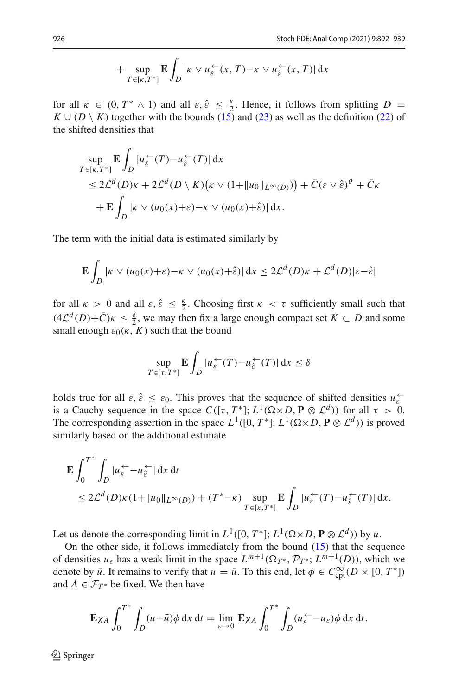$$
+\sup_{T\in[\kappa,T^*]} \mathbf{E}\int_D |\kappa \vee u_{\varepsilon}^{\leftarrow}(x,T)-\kappa \vee u_{\varepsilon}^{\leftarrow}(x,T)| dx
$$

for all  $\kappa \in (0, T^* \wedge 1)$  and all  $\varepsilon, \hat{\varepsilon} \leq \frac{\kappa}{2}$ . Hence, it follows from splitting  $D =$  $K \cup (D \setminus K)$  together with the bounds [\(15\)](#page-6-4) and [\(23\)](#page-8-3) as well as the definition [\(22\)](#page-8-2) of the shifted densities that

$$
\sup_{T \in [\kappa, T^*]} \mathbf{E} \int_D |u_{\varepsilon}^{\leftarrow}(T) - u_{\hat{\varepsilon}}^{\leftarrow}(T)| \, dx
$$
\n
$$
\leq 2\mathcal{L}^d(D)\kappa + 2\mathcal{L}^d(D \setminus K)(\kappa \vee (1 + \|u_0\|_{L^\infty(D)})) + \bar{C}(\varepsilon \vee \hat{\varepsilon})^{\vartheta} + \bar{C}\kappa
$$
\n
$$
+ \mathbf{E} \int_D |\kappa \vee (u_0(x) + \varepsilon) - \kappa \vee (u_0(x) + \hat{\varepsilon})| \, dx.
$$

The term with the initial data is estimated similarly by

$$
\mathbf{E} \int_D |\kappa \vee (u_0(x)+\varepsilon) - \kappa \vee (u_0(x)+\hat{\varepsilon})| \, dx \le 2\mathcal{L}^d(D)\kappa + \mathcal{L}^d(D)|\varepsilon - \hat{\varepsilon}|
$$

for all  $\kappa > 0$  and all  $\varepsilon$ ,  $\hat{\varepsilon} \leq \frac{\kappa}{2}$ . Choosing first  $\kappa < \tau$  sufficiently small such that  $(4\mathcal{L}^{d}(D)+\bar{C})\kappa \leq \frac{8}{2}$ , we may then fix a large enough compact set  $K \subset D$  and some small enough  $\varepsilon_0(\kappa, K)$  such that the bound

$$
\sup_{T \in [\tau, T^*]} \mathbf{E} \int_D |u_{\varepsilon}^{\leftarrow}(T) - u_{\hat{\varepsilon}}^{\leftarrow}(T)| \, \mathrm{d}x \le \delta
$$

holds true for all  $\varepsilon$ ,  $\hat{\varepsilon} \leq \varepsilon_0$ . This proves that the sequence of shifted densities  $u_{\varepsilon}^{\leftarrow}$ is a Cauchy sequence in the space  $C([\tau, T^*]; L^1(\Omega \times D, \mathbf{P} \otimes \mathcal{L}^d))$  for all  $\tau > 0$ . The corresponding assertion in the space  $L^1([0, T^*]; L^1(\Omega \times D, \mathbf{P} \otimes \mathcal{L}^d))$  is proved similarly based on the additional estimate

$$
\mathbf{E} \int_0^{T^*} \int_D |u_{\varepsilon}^{\leftarrow} - u_{\varepsilon}^{\leftarrow}| \, \mathrm{d}x \, \mathrm{d}t
$$
\n
$$
\leq 2\mathcal{L}^d(D)\kappa \left(1 + \|u_0\|_{L^{\infty}(D)}\right) + \left(T^* - \kappa\right) \sup_{T \in [\kappa, T^*]} \mathbf{E} \int_D |u_{\varepsilon}^{\leftarrow}(T) - u_{\varepsilon}^{\leftarrow}(T)| \, \mathrm{d}x.
$$

Let us denote the corresponding limit in  $L^1([0, T^*]; L^1(\Omega \times D, \mathbf{P} \otimes \mathcal{L}^d))$  by *u*.

On the other side, it follows immediately from the bound  $(15)$  that the sequence of densities  $u_{\varepsilon}$  has a weak limit in the space  $L^{m+1}(\Omega_{T^*}, \mathcal{P}_{T^*}; L^{m+1}(D))$ , which we denote by  $\bar{u}$ . It remains to verify that  $u = \bar{u}$ . To this end, let  $\phi \in C_{\text{cpt}}^{\infty}(D \times [0, T^*])$ and  $A \in \mathcal{F}_{T^*}$  be fixed. We then have

$$
\mathbf{E}\chi_A \int_0^{T^*} \int_D (u-\bar{u})\phi \,dx \,dt = \lim_{\varepsilon \to 0} \mathbf{E}\chi_A \int_0^{T^*} \int_D (u_\varepsilon^{\leftarrow} - u_\varepsilon)\phi \,dx \,dt.
$$

 $\textcircled{2}$  Springer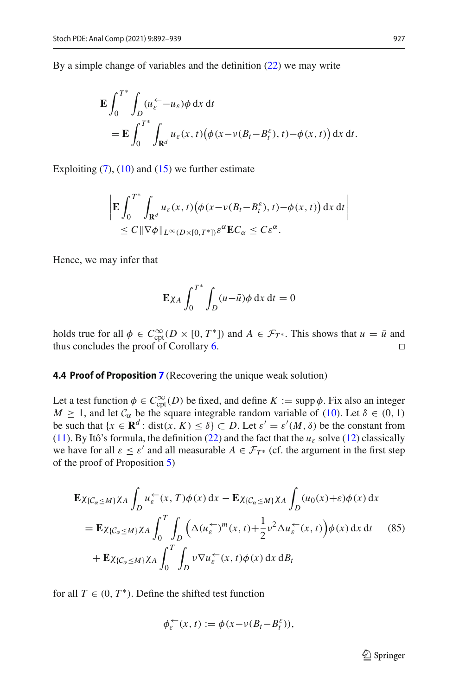By a simple change of variables and the definition [\(22\)](#page-8-2) we may write

$$
\mathbf{E} \int_0^{T^*} \int_D (u_{\varepsilon}^{\leftarrow} - u_{\varepsilon}) \phi \, dx \, dt
$$
  
= 
$$
\mathbf{E} \int_0^{T^*} \int_{\mathbf{R}^d} u_{\varepsilon}(x, t) (\phi(x - v(B_t - B_t^{\varepsilon}), t) - \phi(x, t)) \, dx \, dt.
$$

Exploiting  $(7)$ ,  $(10)$  and  $(15)$  we further estimate

$$
\left| \mathbf{E} \int_0^{T^*} \int_{\mathbf{R}^d} u_{\varepsilon}(x,t) \big( \phi(x-\nu(B_t-B_t^{\varepsilon}),t) - \phi(x,t) \big) dx dt \right|
$$
  
\n
$$
\leq C \| \nabla \phi \|_{L^{\infty}(D \times [0,T^*])} \varepsilon^{\alpha} \mathbf{E} C_{\alpha} \leq C \varepsilon^{\alpha}.
$$

Hence, we may infer that

$$
\mathbf{E}\chi_A \int_0^{T^*} \int_D (u-\bar{u})\phi \,dx \,dt = 0
$$

holds true for all  $\phi \in C_{\text{cpt}}^{\infty}(D \times [0, T^*])$  and  $A \in \mathcal{F}_{T^*}$ . This shows that  $u = \bar{u}$  and thus concludes the proof of Corollary [6.](#page-8-1)

### **4.4 Proof of Proposition [7](#page-8-4)** (Recovering the unique weak solution)

Let a test function  $\phi \in C_{\text{cpt}}^{\infty}(D)$  be fixed, and define  $K := \text{supp }\phi$ . Fix also an integer *M*  $\geq$  1, and let  $C_{\alpha}$  be the square integrable random variable of [\(10\)](#page-6-7). Let  $\delta \in (0, 1)$ be such that  $\{x \in \mathbf{R}^d : \text{dist}(x, K) \leq \delta\} \subset D$ . Let  $\varepsilon' = \varepsilon'(M, \delta)$  be the constant from [\(11\)](#page-6-3). By Itô's formula, the definition [\(22\)](#page-8-2) and the fact that the  $u_{\varepsilon}$  solve [\(12\)](#page-6-0) classically we have for all  $\varepsilon \leq \varepsilon'$  and all measurable  $A \in \mathcal{F}_{T^*}$  (cf. the argument in the first step of the proof of Proposition [5\)](#page-8-0)

$$
\mathbf{E}\chi_{\{\mathcal{C}_{\alpha}\leq M\}}\chi_{A} \int_{D} u_{\varepsilon}^{\leftarrow}(x, T)\phi(x) dx - \mathbf{E}\chi_{\{\mathcal{C}_{\alpha}\leq M\}}\chi_{A} \int_{D} (u_{0}(x) + \varepsilon)\phi(x) dx \n= \mathbf{E}\chi_{\{\mathcal{C}_{\alpha}\leq M\}}\chi_{A} \int_{0}^{T} \int_{D} \left(\Delta(u_{\varepsilon}^{\leftarrow})^{m}(x, t) + \frac{1}{2}v^{2} \Delta u_{\varepsilon}^{\leftarrow}(x, t)\right)\phi(x) dx dt \qquad (85) \n+ \mathbf{E}\chi_{\{\mathcal{C}_{\alpha}\leq M\}}\chi_{A} \int_{0}^{T} \int_{D} v \nabla u_{\varepsilon}^{\leftarrow}(x, t)\phi(x) dx dB_{t}
$$

for all  $T \in (0, T^*)$ . Define the shifted test function

$$
\phi_{\varepsilon}^{\leftarrow}(x,t) := \phi(x - \nu(B_t - B_t^{\varepsilon})),
$$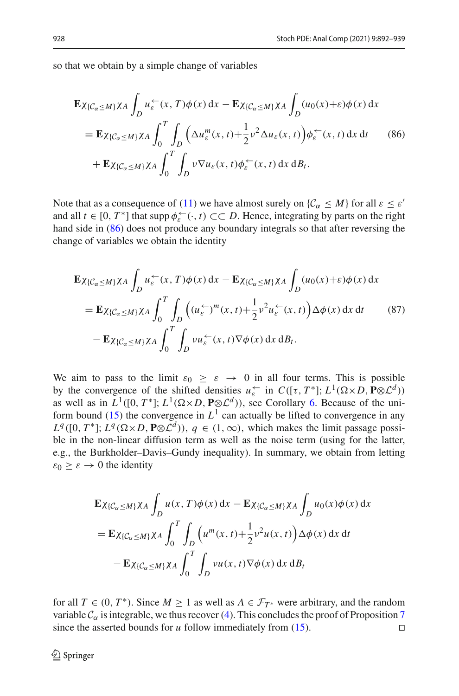so that we obtain by a simple change of variables

<span id="page-36-0"></span>
$$
\mathbf{E}\chi_{\{\mathcal{C}_{\alpha}\leq M\}}\chi_{A} \int_{D} u_{\varepsilon}^{\leftarrow}(x, T)\phi(x) dx - \mathbf{E}\chi_{\{\mathcal{C}_{\alpha}\leq M\}}\chi_{A} \int_{D} (u_{0}(x)+\varepsilon)\phi(x) dx \n= \mathbf{E}\chi_{\{\mathcal{C}_{\alpha}\leq M\}}\chi_{A} \int_{0}^{T} \int_{D} \left(\Delta u_{\varepsilon}^{m}(x, t)+\frac{1}{2}v^{2}\Delta u_{\varepsilon}(x, t)\right)\phi_{\varepsilon}^{\leftarrow}(x, t) dx dt \qquad (86) \n+ \mathbf{E}\chi_{\{\mathcal{C}_{\alpha}\leq M\}}\chi_{A} \int_{0}^{T} \int_{D} v \nabla u_{\varepsilon}(x, t)\phi_{\varepsilon}^{\leftarrow}(x, t) dx dB_{t}.
$$

Note that as a consequence of [\(11\)](#page-6-3) we have almost surely on  $\{\mathcal{C}_\alpha \leq M\}$  for all  $\varepsilon \leq \varepsilon'$ and all  $t \in [0, T^*]$  that supp  $\phi_{\varepsilon}^{\leftarrow}(\cdot, t) \subset\subset D$ . Hence, integrating by parts on the right hand side in [\(86\)](#page-36-0) does not produce any boundary integrals so that after reversing the change of variables we obtain the identity

$$
\mathbf{E}\chi_{\{\mathcal{C}_{\alpha}\leq M\}}\chi_{A} \int_{D} u_{\varepsilon}^{\leftarrow}(x, T)\phi(x) dx - \mathbf{E}\chi_{\{\mathcal{C}_{\alpha}\leq M\}}\chi_{A} \int_{D} (u_{0}(x)+\varepsilon)\phi(x) dx \n= \mathbf{E}\chi_{\{\mathcal{C}_{\alpha}\leq M\}}\chi_{A} \int_{0}^{T} \int_{D} \left( (u_{\varepsilon}^{\leftarrow})^{m}(x, t)+\frac{1}{2}v^{2}u_{\varepsilon}^{\leftarrow}(x, t) \right) \Delta\phi(x) dx dt \qquad (87) \n- \mathbf{E}\chi_{\{\mathcal{C}_{\alpha}\leq M\}}\chi_{A} \int_{0}^{T} \int_{D} vu_{\varepsilon}^{\leftarrow}(x, t) \nabla\phi(x) dx dB_{t}.
$$

We aim to pass to the limit  $\varepsilon_0 \geq \varepsilon \to 0$  in all four terms. This is possible by the convergence of the shifted densities  $u_{\varepsilon}^{\leftarrow}$  in  $C([t, T^*]; L^1(\Omega \times D, \mathbf{P} \otimes L^d))$ as well as in  $L^1([0, T^*]; L^1(\Omega \times D, \mathbf{P} \otimes \mathcal{L}^d))$ , see Corollary [6.](#page-8-1) Because of the uni-form bound [\(15\)](#page-6-4) the convergence in  $L^1$  can actually be lifted to convergence in any  $L^q([0, T^*]; L^q(\Omega \times D, \mathbf{P} \otimes \mathcal{L}^d))$ ,  $q \in (1, \infty)$ , which makes the limit passage possible in the non-linear diffusion term as well as the noise term (using for the latter, e.g., the Burkholder–Davis–Gundy inequality). In summary, we obtain from letting  $\varepsilon_0 \geq \varepsilon \to 0$  the identity

$$
\mathbf{E}\chi_{\{\mathcal{C}_{\alpha}\leq M\}}\chi_{A} \int_{D} u(x, T)\phi(x) dx - \mathbf{E}\chi_{\{\mathcal{C}_{\alpha}\leq M\}}\chi_{A} \int_{D} u_{0}(x)\phi(x) dx
$$
\n
$$
= \mathbf{E}\chi_{\{\mathcal{C}_{\alpha}\leq M\}}\chi_{A} \int_{0}^{T} \int_{D} \left(u^{m}(x, t) + \frac{1}{2}v^{2}u(x, t)\right) \Delta\phi(x) dx dt
$$
\n
$$
- \mathbf{E}\chi_{\{\mathcal{C}_{\alpha}\leq M\}}\chi_{A} \int_{0}^{T} \int_{D} vu(x, t)\nabla\phi(x) dx dB_{t}
$$

for all  $T \in (0, T^*)$ . Since  $M \ge 1$  as well as  $A \in \mathcal{F}_{T^*}$  were arbitrary, and the random variable  $C_\alpha$  is integrable, we thus recover [\(4\)](#page-4-3). This concludes the proof of Proposition [7](#page-8-4) since the asserted bounds for *u* follow immediately from (15). since the asserted bounds for *u* follow immediately from [\(15\)](#page-6-4).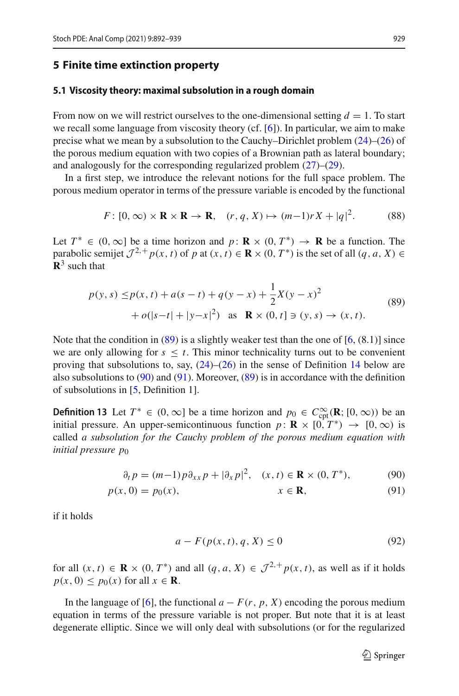### **5 Finite time extinction property**

### <span id="page-37-0"></span>**5.1 Viscosity theory: maximal subsolution in a rough domain**

From now on we will restrict ourselves to the one-dimensional setting  $d = 1$ . To start we recall some language from viscosity theory (cf. [\[6](#page-47-6)]). In particular, we aim to make precise what we mean by a subsolution to the Cauchy–Dirichlet problem [\(24\)](#page-9-0)–[\(26\)](#page-9-1) of the porous medium equation with two copies of a Brownian path as lateral boundary; and analogously for the corresponding regularized problem  $(27)$ – $(29)$ .

In a first step, we introduce the relevant notions for the full space problem. The porous medium operator in terms of the pressure variable is encoded by the functional

$$
F: [0, \infty) \times \mathbf{R} \times \mathbf{R} \to \mathbf{R}, \quad (r, q, X) \mapsto (m-1)rX + |q|^2. \tag{88}
$$

Let  $T^* \in (0, \infty]$  be a time horizon and  $p : \mathbf{R} \times (0, T^*) \to \mathbf{R}$  be a function. The parabolic semijet  $\mathcal{J}^{2,+}p(x, t)$  of *p* at  $(x, t) \in \mathbf{R} \times (0, T^*)$  is the set of all  $(q, a, X) \in$  $\mathbb{R}^3$  such that

<span id="page-37-1"></span>
$$
p(y, s) \le p(x, t) + a(s - t) + q(y - x) + \frac{1}{2}X(y - x)^2
$$
  
+  $o(|s - t| + |y - x|^2)$  as  $\mathbf{R} \times (0, t] \ni (y, s) \to (x, t).$  (89)

Note that the condition in  $(89)$  is a slightly weaker test than the one of  $[6, (8.1)]$  $[6, (8.1)]$  since we are only allowing for  $s \leq t$ . This minor technicality turns out to be convenient proving that subsolutions to, say,  $(24)$ – $(26)$  in the sense of Definition [14](#page-38-0) below are also subsolutions to  $(90)$  and  $(91)$ . Moreover,  $(89)$  is in accordance with the definition of subsolutions in [\[5](#page-47-4), Definition 1].

<span id="page-37-4"></span>**Definition 13** Let  $T^* \in (0, \infty]$  be a time horizon and  $p_0 \in C_{\text{cpt}}^{\infty}(\mathbb{R}; [0, \infty))$  be an initial pressure. An upper-semicontinuous function  $p : \mathbf{R} \times [0, T^*) \to [0, \infty)$  is called *a subsolution for the Cauchy problem of the porous medium equation with initial pressure p*<sup>0</sup>

$$
\partial_t p = (m-1)p \partial_{xx} p + |\partial_x p|^2, \quad (x, t) \in \mathbf{R} \times (0, T^*), \tag{90}
$$

$$
p(x, 0) = p_0(x), \qquad x \in \mathbf{R}, \tag{91}
$$

if it holds

<span id="page-37-5"></span><span id="page-37-3"></span><span id="page-37-2"></span>
$$
a - F(p(x, t), q, X) \le 0 \tag{92}
$$

for all  $(x, t) \in \mathbf{R} \times (0, T^*)$  and all  $(q, a, X) \in \mathcal{J}^{2,+} p(x, t)$ , as well as if it holds  $p(x, 0) \leq p_0(x)$  for all  $x \in \mathbf{R}$ .

In the language of [\[6](#page-47-6)], the functional  $a - F(r, p, X)$  encoding the porous medium equation in terms of the pressure variable is not proper. But note that it is at least degenerate elliptic. Since we will only deal with subsolutions (or for the regularized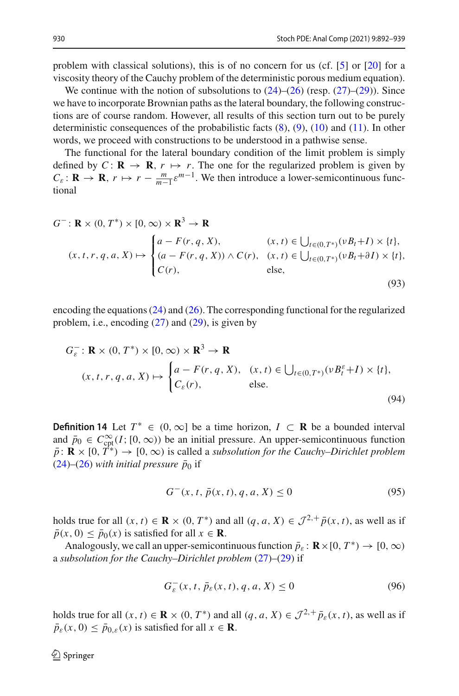problem with classical solutions), this is of no concern for us (cf. [\[5](#page-47-4)] or [\[20](#page-47-5)] for a viscosity theory of the Cauchy problem of the deterministic porous medium equation).

We continue with the notion of subsolutions to  $(24)$ – $(26)$  (resp.  $(27)$ – $(29)$ ). Since we have to incorporate Brownian paths as the lateral boundary, the following constructions are of course random. However, all results of this section turn out to be purely deterministic consequences of the probabilistic facts  $(8)$ ,  $(9)$ ,  $(10)$  and  $(11)$ . In other words, we proceed with constructions to be understood in a pathwise sense.

The functional for the lateral boundary condition of the limit problem is simply defined by  $C: \mathbf{R} \to \mathbf{R}$ ,  $r \mapsto r$ . The one for the regularized problem is given by  $C_{\varepsilon}$ : **R**  $\rightarrow$  **R**,  $r \mapsto r - \frac{m}{m-1} \varepsilon^{m-1}$ . We then introduce a lower-semicontinuous functional

$$
G^-: \mathbf{R} \times (0, T^*) \times [0, \infty) \times \mathbf{R}^3 \to \mathbf{R}
$$
  
\n
$$
(x, t, r, q, a, X) \mapsto \begin{cases} a - F(r, q, X), & (x, t) \in \bigcup_{t \in (0, T^*)} (\nu B_t + I) \times \{t\}, \\ (a - F(r, q, X)) \wedge C(r), & (x, t) \in \bigcup_{t \in (0, T^*)} (\nu B_t + \partial I) \times \{t\}, \\ C(r), & \text{else,} \end{cases}
$$
\n(93)

encoding the equations [\(24\)](#page-9-0) and [\(26\)](#page-9-1). The corresponding functional for the regularized problem, i.e., encoding  $(27)$  and  $(29)$ , is given by

$$
G_{\varepsilon}^{-}: \mathbf{R} \times (0, T^{*}) \times [0, \infty) \times \mathbf{R}^{3} \to \mathbf{R}
$$
  

$$
(x, t, r, q, a, X) \mapsto \begin{cases} a - F(r, q, X), & (x, t) \in \bigcup_{t \in (0, T^{*})} (\nu B_{t}^{\varepsilon} + I) \times \{t\}, \\ C_{\varepsilon}(r), & \text{else.} \end{cases}
$$
(94)

<span id="page-38-0"></span>**Definition 14** Let  $T^*$  ∈  $(0, \infty)$  be a time horizon,  $I \subset \mathbb{R}$  be a bounded interval and  $\bar{p}_0 \in C_{\text{cpt}}^{\infty}(I; [0, \infty))$  be an initial pressure. An upper-semicontinuous function  $\bar{p}$ :  $\mathbf{R} \times [0, T^*) \to [0, \infty)$  is called a *subsolution for the Cauchy–Dirichlet problem*  $(24)$ – $(26)$  *with initial pressure*  $\bar{p}_0$  if

<span id="page-38-4"></span><span id="page-38-3"></span><span id="page-38-2"></span>
$$
G^{-}(x, t, \bar{p}(x, t), q, a, X) \le 0
$$
\n(95)

holds true for all  $(x, t) \in \mathbf{R} \times (0, T^*)$  and all  $(q, a, X) \in \mathcal{J}^{2,+} \bar{p}(x, t)$ , as well as if  $\bar{p}(x, 0) \leq \bar{p}_0(x)$  is satisfied for all  $x \in \mathbf{R}$ .

Analogously, we call an upper-semicontinuous function  $\bar{p}_{\varepsilon}$ :  $\mathbf{R} \times [0, T^*) \to [0, \infty)$ a *subsolution for the Cauchy–Dirichlet problem* [\(27\)](#page-9-2)–[\(29\)](#page-9-3) if

<span id="page-38-1"></span>
$$
G_{\varepsilon}^{-}(x,t,\bar{p}_{\varepsilon}(x,t),q,a,X) \leq 0 \tag{96}
$$

holds true for all  $(x, t) \in \mathbf{R} \times (0, T^*)$  and all  $(q, a, X) \in \mathcal{J}^{2,+} \bar{p}_{\varepsilon}(x, t)$ , as well as if  $\bar{p}_{\varepsilon}(x, 0) \leq \bar{p}_{0,\varepsilon}(x)$  is satisfied for all  $x \in \mathbf{R}$ .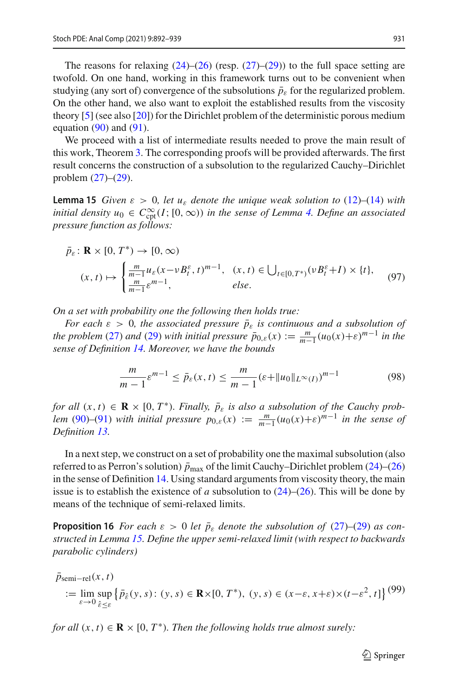The reasons for relaxing  $(24)$ – $(26)$  (resp.  $(27)$ – $(29)$ ) to the full space setting are twofold. On one hand, working in this framework turns out to be convenient when studying (any sort of) convergence of the subsolutions  $\bar{p}_{\varepsilon}$  for the regularized problem. On the other hand, we also want to exploit the established results from the viscosity theory [\[5](#page-47-4)] (see also [\[20](#page-47-5)]) for the Dirichlet problem of the deterministic porous medium equation  $(90)$  and  $(91)$ .

We proceed with a list of intermediate results needed to prove the main result of this work, Theorem [3.](#page-4-1) The corresponding proofs will be provided afterwards. The first result concerns the construction of a subsolution to the regularized Cauchy–Dirichlet problem [\(27\)](#page-9-2)–[\(29\)](#page-9-3).

<span id="page-39-0"></span>**Lemma 15** *Given*  $\varepsilon > 0$ *, let*  $u_{\varepsilon}$  *denote the unique weak solution to* [\(12\)](#page-6-0)–[\(14\)](#page-6-1) *with initial density*  $u_0 \in C^\infty_{\text{cpt}}(I; [0, \infty))$  *in the sense of Lemma [4.](#page-6-2) Define an associated pressure function as follows:*

$$
\bar{p}_{\varepsilon} : \mathbf{R} \times [0, T^*) \to [0, \infty)
$$
\n
$$
(x, t) \mapsto \begin{cases}\n\frac{m}{m-1} u_{\varepsilon} (x - v B_t^{\varepsilon}, t)^{m-1}, & (x, t) \in \bigcup_{t \in [0, T^*)} (v B_t^{\varepsilon} + I) \times \{t\}, \\
\frac{m}{m-1} \varepsilon^{m-1}, & else.\n\end{cases}
$$
\n
$$
(97)
$$

*On a set with probability one the following then holds true:*

*For each*  $\varepsilon > 0$ *, the associated pressure*  $\bar{p}_{\varepsilon}$  *is continuous and a subsolution of the problem* [\(27\)](#page-9-2) *and* [\(29\)](#page-9-3) *with initial pressure*  $\bar{p}_{0,\varepsilon}(x) := \frac{m}{m-1} (u_0(x)+\varepsilon)^{m-1}$  *in the sense of Definition [14.](#page-38-0) Moreover, we have the bounds*

<span id="page-39-3"></span><span id="page-39-2"></span>
$$
\frac{m}{m-1} \varepsilon^{m-1} \le \bar{p}_{\varepsilon}(x, t) \le \frac{m}{m-1} (\varepsilon + \|u_0\|_{L^{\infty}(I)})^{m-1}
$$
(98)

*for all*  $(x, t) \in \mathbf{R} \times [0, T^*)$ *. Finally,*  $\bar{p}_{\varepsilon}$  *is also a subsolution of the Cauchy problem* [\(90\)](#page-37-2)–[\(91\)](#page-37-3) *with initial pressure*  $p_{0,\varepsilon}(x) := \frac{m}{m-1} (u_0(x)+\varepsilon)^{m-1}$  *in the sense of Definition [13.](#page-37-4)*

In a next step, we construct on a set of probability one the maximal subsolution (also referred to as Perron's solution)  $\bar{p}_{\text{max}}$  of the limit Cauchy–Dirichlet problem [\(24\)](#page-9-0)–[\(26\)](#page-9-1) in the sense of Definition [14.](#page-38-0) Using standard arguments from viscosity theory, the main issue is to establish the existence of *a* subsolution to  $(24)$ – $(26)$ . This will be done by means of the technique of semi-relaxed limits.

<span id="page-39-1"></span>**Proposition 16** *For each*  $\varepsilon > 0$  *let*  $\bar{p}_{\varepsilon}$  *denote the subsolution of* [\(27\)](#page-9-2)–[\(29\)](#page-9-3) *as constructed in Lemma [15.](#page-39-0) Define the upper semi-relaxed limit (with respect to backwards parabolic cylinders)*

<span id="page-39-4"></span>
$$
\bar{p}_{semi-rel}(x, t)
$$
\n
$$
:= \lim_{\varepsilon \to 0} \sup_{\hat{\varepsilon} \le \varepsilon} \left\{ \bar{p}_{\hat{\varepsilon}}(y, s) : (y, s) \in \mathbf{R} \times [0, T^*), (y, s) \in (x - \varepsilon, x + \varepsilon) \times (t - \varepsilon^2, t] \right\} (99)
$$

*for all*  $(x, t) \in \mathbf{R} \times [0, T^*)$ *. Then the following holds true almost surely:*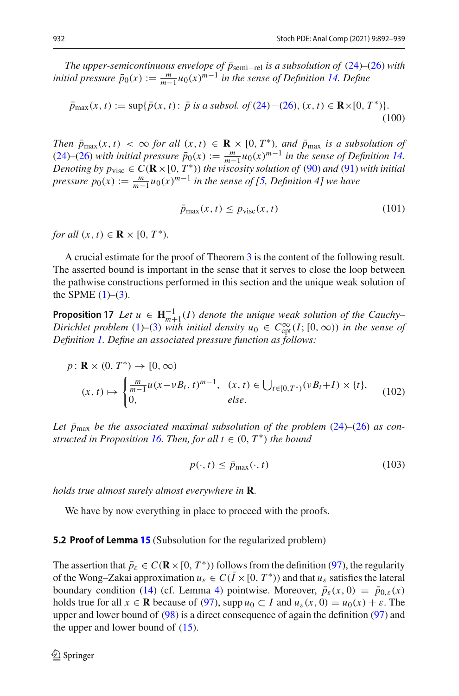*The upper-semicontinuous envelope of*  $\bar{p}_{semi-rel}$  *is a subsolution of* [\(24\)](#page-9-0)–[\(26\)](#page-9-1) *with initial pressure*  $\bar{p}_0(x) := \frac{m}{m-1} u_0(x)^{m-1}$  *in the sense of Definition [14.](#page-38-0) Define* 

$$
\bar{p}_{\max}(x,t) := \sup \{ \bar{p}(x,t) : \bar{p} \text{ is a subsol. of (24)-(26), } (x,t) \in \mathbf{R} \times [0, T^*) \}. \tag{100}
$$

*Then*  $\bar{p}_{\text{max}}(x, t) < \infty$  *for all*  $(x, t) \in \mathbf{R} \times [0, T^*)$ *, and*  $\bar{p}_{\text{max}}$  *is a subsolution of*  $(24)$ – $(26)$  *with initial pressure*  $\bar{p}_0(x) := \frac{m}{m-1} u_0(x)^{m-1}$  *in the sense of Definition* [14.](#page-38-0)<br>Denoting here  $\bar{p}_0(x) = \frac{m}{m-1} u_0(x)^{m-1}$  *in the sense of Definition* 14. *Denoting by*  $p_{\text{visc}} \in C(\mathbf{R} \times [0, T^*))$  *the viscosity solution of* [\(90\)](#page-37-2) *and* [\(91\)](#page-37-3) *with initial pressure*  $p_0(x) := \frac{m}{m-1} u_0(x)^{m-1}$  *in the sense of [\[5,](#page-47-4) Definition 4] we have* 

<span id="page-40-1"></span>
$$
\bar{p}_{\max}(x,t) \le p_{\text{visc}}(x,t) \tag{101}
$$

*for all*  $(x, t) \in \mathbf{R} \times [0, T^*)$ .

<span id="page-40-0"></span>A crucial estimate for the proof of Theorem [3](#page-4-1) is the content of the following result. The asserted bound is important in the sense that it serves to close the loop between the pathwise constructions performed in this section and the unique weak solution of the SPME  $(1)$ – $(3)$ .

**Proposition 17** *Let*  $u \in \mathbf{H}_{m+1}^{-1}(I)$  *denote the unique weak solution of the Cauchy– Dirichlet problem* [\(1\)](#page-1-0)–[\(3\)](#page-1-2) *with initial density*  $u_0 \in C^{\infty}_{\text{cpt}}(I; [0, \infty))$  *in the sense of Definition [1.](#page-4-0) Define an associated pressure function as follows:*

$$
p: \mathbf{R} \times (0, T^*) \to [0, \infty)
$$
  

$$
(x, t) \mapsto \begin{cases} \frac{m}{m-1} u(x - vB_t, t)^{m-1}, & (x, t) \in \bigcup_{t \in [0, T^*)} (vB_t + I) \times \{t\}, \\ 0, & else. \end{cases}
$$
(102)

Let  $\bar{p}_{\text{max}}$  be the associated maximal subsolution of the problem [\(24\)](#page-9-0)–[\(26\)](#page-9-1) as con-*structed in Proposition [16.](#page-39-1) Then, for all*  $t \in (0, T^*)$  *the bound* 

<span id="page-40-3"></span><span id="page-40-2"></span>
$$
p(\cdot, t) \le \bar{p}_{\max}(\cdot, t) \tag{103}
$$

*holds true almost surely almost everywhere in* **R***.*

We have by now everything in place to proceed with the proofs.

#### **5.2 Proof of Lemma [15](#page-39-0)** (Subsolution for the regularized problem)

The assertion that  $\bar{p}_{\varepsilon} \in C(\mathbf{R} \times [0, T^*))$  follows from the definition [\(97\)](#page-39-2), the regularity of the Wong–Zakai approximation  $u_{\varepsilon} \in C(\overline{I} \times [0, T^*))$  and that  $u_{\varepsilon}$  satisfies the lateral boundary condition [\(14\)](#page-6-1) (cf. Lemma [4\)](#page-6-2) pointwise. Moreover,  $\bar{p}_{\varepsilon}(x, 0) = \bar{p}_{0,\varepsilon}(x)$ holds true for all  $x \in \mathbb{R}$  because of [\(97\)](#page-39-2), supp  $u_0 \subset I$  and  $u_\varepsilon(x, 0) = u_0(x) + \varepsilon$ . The upper and lower bound of [\(98\)](#page-39-3) is a direct consequence of again the definition [\(97\)](#page-39-2) and the upper and lower bound of  $(15)$ .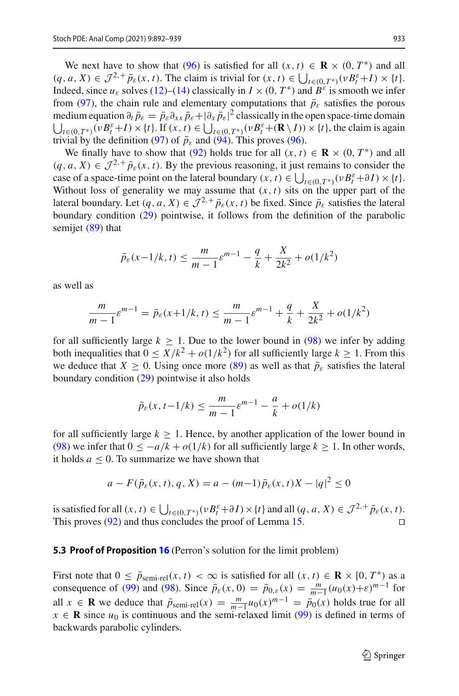We next have to show that [\(96\)](#page-38-1) is satisfied for all  $(x, t) \in \mathbf{R} \times (0, T^*)$  and all  $(q, a, X) \in \mathcal{J}^{2,+} \bar{p}_{\varepsilon}(x, t)$ . The claim is trivial for  $(x, t) \in \bigcup_{t \in (0, T^*)} (\nu B_t^{\varepsilon} + I) \times \{t\}.$ Indeed, since  $u_{\varepsilon}$  solves [\(12\)](#page-6-0)–[\(14\)](#page-6-1) classically in  $I \times (0, T^*)$  and  $B^{\varepsilon}$  is smooth we infer from [\(97\)](#page-39-2), the chain rule and elementary computations that  $\bar{p}_{\varepsilon}$  satisfies the porous medium equation  $\partial_t \bar{p}_{\varepsilon} = \bar{p}_{\varepsilon} \partial_{xx} \bar{p}_{\varepsilon} + |\partial_x \bar{p}_{\varepsilon}|^2$  classically in the open space-time domain  $\bigcup_{t \in (0, T^*)} (v B_t^{\varepsilon} + I) \times \{t\}$ . If  $(x, t) \in \bigcup_{t \in (0, T^*)} (v B_t^{\varepsilon} + (\mathbf{R} \setminus I)) \times \{t\}$ , the claim is again trivial by the definition [\(97\)](#page-39-2) of  $\bar{p}_{\varepsilon}$  and [\(94\)](#page-38-2). This proves [\(96\)](#page-38-1).

We finally have to show that [\(92\)](#page-37-5) holds true for all  $(x, t) \in \mathbf{R} \times (0, T^*)$  and all  $(q, a, X) \in \mathcal{J}^{2,+} \bar{p}_{\varepsilon}(x, t)$ . By the previous reasoning, it just remains to consider the case of a space-time point on the lateral boundary  $(x, t) \in \bigcup_{t \in (0, T^*)} (\nu B_t^{\varepsilon} + \partial I) \times \{t\}$ . Without loss of generality we may assume that  $(x, t)$  sits on the upper part of the lateral boundary. Let  $(q, a, X) \in \mathcal{J}^{2,+} \bar{p}_{\varepsilon}(x, t)$  be fixed. Since  $\bar{p}_{\varepsilon}$  satisfies the lateral boundary condition [\(29\)](#page-9-3) pointwise, it follows from the definition of the parabolic semijet [\(89\)](#page-37-1) that

$$
\bar{p}_{\varepsilon}(x-1/k, t) \le \frac{m}{m-1} \varepsilon^{m-1} - \frac{q}{k} + \frac{X}{2k^2} + o(1/k^2)
$$

as well as

$$
\frac{m}{m-1}\varepsilon^{m-1} = \bar{p}_{\varepsilon}(x+1/k, t) \le \frac{m}{m-1}\varepsilon^{m-1} + \frac{q}{k} + \frac{X}{2k^2} + o(1/k^2)
$$

for all sufficiently large  $k \geq 1$ . Due to the lower bound in [\(98\)](#page-39-3) we infer by adding both inequalities that  $0 \leq X/k^2 + o(1/k^2)$  for all sufficiently large  $k > 1$ . From this we deduce that  $X \geq 0$ . Using once more [\(89\)](#page-37-1) as well as that  $\bar{p}_{\varepsilon}$  satisfies the lateral boundary condition [\(29\)](#page-9-3) pointwise it also holds

$$
\bar{p}_{\varepsilon}(x, t-1/k) \le \frac{m}{m-1} \varepsilon^{m-1} - \frac{a}{k} + o(1/k)
$$

for all sufficiently large  $k \geq 1$ . Hence, by another application of the lower bound in [\(98\)](#page-39-3) we infer that  $0 \le -a/k + o(1/k)$  for all sufficiently large  $k \ge 1$ . In other words, it holds  $a \leq 0$ . To summarize we have shown that

$$
a - F(\bar{p}_{\varepsilon}(x, t), q, X) = a - (m-1)\bar{p}_{\varepsilon}(x, t)X - |q|^2 \le 0
$$

is satisfied for all  $(x, t) \in \bigcup_{t \in (0, T^*)} (v B_t^{\varepsilon} + \partial I) \times \{t\}$  and all  $(q, a, X) \in \mathcal{J}^{2,+} \bar{p}_{\varepsilon}(x, t)$ . This proves  $(92)$  and thus concludes the proof of Lemma [15.](#page-39-0)

### **5.3 Proof of Proposition [16](#page-39-1)** (Perron's solution for the limit problem)

First note that  $0 \le \bar{p}_{semi-rel}(x, t) < \infty$  is satisfied for all  $(x, t) \in \mathbf{R} \times [0, T^*)$  as a consequence of [\(99\)](#page-39-4) and [\(98\)](#page-39-3). Since  $\bar{p}_{\varepsilon}(x, 0) = \bar{p}_{0,\varepsilon}(x) = \frac{m}{m-1} (u_0(x) + \varepsilon)^{m-1}$  for all  $x \in \mathbf{R}$  we deduce that  $\bar{p}_{\text{semi-rel}}(x) = \frac{m}{m-1}u_0(x)^{m-1} = \bar{p}_0(x)$  holds true for all  $x \in \mathbb{R}$  since  $u_0$  is continuous and the semi-relaxed limit [\(99\)](#page-39-4) is defined in terms of backwards parabolic cylinders.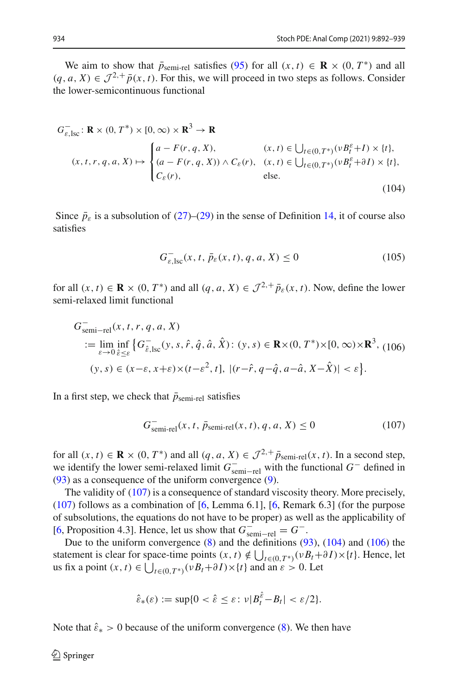We aim to show that  $\bar{p}_{semi-rel}$  satisfies [\(95\)](#page-38-3) for all  $(x, t) \in \mathbf{R} \times (0, T^*)$  and all  $(q, a, X) \in \mathcal{J}^{2,+} \bar{p}(x, t)$ . For this, we will proceed in two steps as follows. Consider the lower-semicontinuous functional

$$
G_{\varepsilon, \text{lsc}}^{-} \colon \mathbf{R} \times (0, T^*) \times [0, \infty) \times \mathbf{R}^3 \to \mathbf{R}
$$
  
\n
$$
(x, t, r, q, a, X) \mapsto \begin{cases} a - F(r, q, X), & (x, t) \in \bigcup_{t \in (0, T^*)} (\nu B_t^{\varepsilon} + I) \times \{t\}, \\ (a - F(r, q, X)) \wedge C_{\varepsilon}(r), & (x, t) \in \bigcup_{t \in (0, T^*)} (\nu B_t^{\varepsilon} + \partial I) \times \{t\}, \\ C_{\varepsilon}(r), & \text{else.} \end{cases}
$$
\n(104)

Since  $\bar{p}_{\varepsilon}$  is a subsolution of [\(27\)](#page-9-2)–[\(29\)](#page-9-3) in the sense of Definition [14,](#page-38-0) it of course also satisfies

<span id="page-42-1"></span>
$$
G_{\varepsilon, \text{loc}}^-(x, t, \bar{p}_{\varepsilon}(x, t), q, a, X) \le 0 \tag{105}
$$

for all  $(x, t) \in \mathbf{R} \times (0, T^*)$  and all  $(q, a, X) \in \mathcal{J}^{2,+} \overline{p}_{\varepsilon}(x, t)$ . Now, define the lower semi-relaxed limit functional

<span id="page-42-2"></span>
$$
G_{semi-rel}^-(x, t, r, q, a, X)
$$
  
\n:=  $\lim_{\varepsilon \to 0} \inf_{\hat{\varepsilon} \leq \varepsilon} \{ G_{\hat{\varepsilon}, \text{loc}}^-(y, s, \hat{r}, \hat{q}, \hat{a}, \hat{X}) : (y, s) \in \mathbf{R} \times (0, T^*) \times [0, \infty) \times \mathbf{R}^3, (106)$   
\n $(y, s) \in (x - \varepsilon, x + \varepsilon) \times (t - \varepsilon^2, t], |(r - \hat{r}, q - \hat{q}, a - \hat{a}, X - \hat{X})| < \varepsilon \}.$ 

In a first step, we check that  $\bar{p}_{semi-rel}$  satisfies

<span id="page-42-0"></span>
$$
Gsemi-rel-rel(x, t,  $\bar{p}_{semi-rel}(x, t), q, a, X$ )  $\leq 0$  (107)
$$

for all  $(x, t) \in \mathbf{R} \times (0, T^*)$  and all  $(q, a, X) \in \mathcal{J}^{2,+} \overline{p}_{semi-rel}(x, t)$ . In a second step, we identify the lower semi-relaxed limit  $G_{\text{semi-rel}}^-$  with the functional  $G^-$  defined in [\(93\)](#page-38-4) as a consequence of the uniform convergence [\(9\)](#page-6-8).

The validity of [\(107\)](#page-42-0) is a consequence of standard viscosity theory. More precisely,  $(107)$  follows as a combination of [\[6,](#page-47-6) Lemma 6.1], [6, Remark 6.3] (for the purpose of subsolutions, the equations do not have to be proper) as well as the applicability of [\[6](#page-47-6), Proposition 4.3]. Hence, let us show that  $G_{\text{semi-rel}}^- = G^-$ .

Due to the uniform convergence [\(8\)](#page-5-1) and the definitions [\(93\)](#page-38-4), [\(104\)](#page-42-1) and [\(106\)](#page-42-2) the statement is clear for space-time points  $(x, t) \notin \bigcup_{t \in (0, T^*)} (\nu B_t + \partial I) \times \{t\}$ . Hence, let us fix a point  $(x, t) \in \bigcup_{t \in (0, T^*)} (vB_t + \partial I) \times \{t\}$  and an  $\varepsilon > 0$ . Let

$$
\hat{\varepsilon}_*(\varepsilon) := \sup\{0 < \hat{\varepsilon} \leq \varepsilon \colon \nu |B_t^{\hat{\varepsilon}} - B_t| < \varepsilon/2\}.
$$

Note that  $\hat{\epsilon}_* > 0$  because of the uniform convergence [\(8\)](#page-5-1). We then have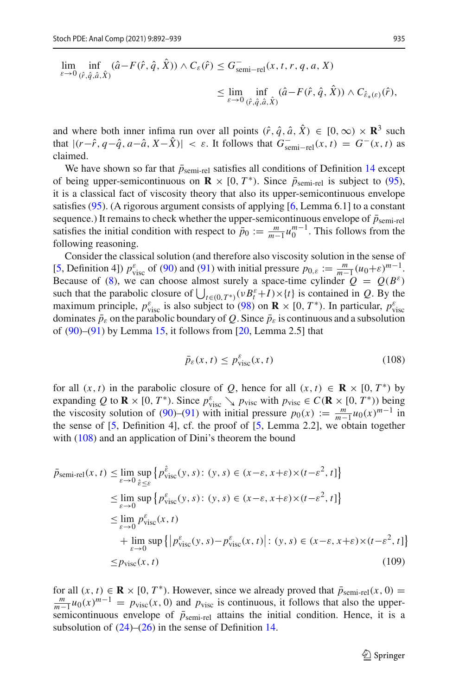$$
\lim_{\varepsilon \to 0} \inf_{(\hat{r}, \hat{q}, \hat{a}, \hat{X})} (\hat{a} - F(\hat{r}, \hat{q}, \hat{X})) \wedge C_{\varepsilon}(\hat{r}) \leq G_{\text{semi-rel}}^{-}(x, t, r, q, a, X) \n\leq \lim_{\varepsilon \to 0} \inf_{(\hat{r}, \hat{q}, \hat{a}, \hat{X})} (\hat{a} - F(\hat{r}, \hat{q}, \hat{X})) \wedge C_{\hat{\varepsilon}_{*}(\varepsilon)}(\hat{r}),
$$

and where both inner infima run over all points  $(\hat{r}, \hat{q}, \hat{a}, \hat{X}) \in [0, \infty) \times \mathbb{R}^3$  such that  $|(r-\hat{r}, q-\hat{q}, a-\hat{a}, X-X)| < \varepsilon$ . It follows that  $G_{\text{semi-rel}}^-(x, t) = G^-(x, t)$  as claimed.

We have shown so far that  $\bar{p}_{semi-rel}$  satisfies all conditions of Definition [14](#page-38-0) except of being upper-semicontinuous on  $\mathbf{R} \times [0, T^*)$ . Since  $\bar{p}_{semi-rel}$  is subject to [\(95\)](#page-38-3), it is a classical fact of viscosity theory that also its upper-semicontinuous envelope satisfies [\(95\)](#page-38-3). (A rigorous argument consists of applying [\[6](#page-47-6), Lemma 6.1] to a constant sequence.) It remains to check whether the upper-semicontinuous envelope of  $\bar{p}_{\text{semi-rel}}$ satisfies the initial condition with respect to  $\bar{p}_0 := \frac{m}{m-1} u_0^{m-1}$ . This follows from the following reasoning.

Consider the classical solution (and therefore also viscosity solution in the sense of [\[5](#page-47-4), Definition 4])  $p_{\text{visc}}^{\varepsilon}$  of [\(90\)](#page-37-2) and [\(91\)](#page-37-3) with initial pressure  $p_{0,\varepsilon} := \frac{m}{m-1} (u_0 + \varepsilon)^{m-1}$ . Because of [\(8\)](#page-5-1), we can choose almost surely a space-time cylinder  $Q = Q(B^{\varepsilon})$ such that the parabolic closure of  $\bigcup_{t \in (0,T^*)} (\nu B_t^{\varepsilon} + I) \times \{t\}$  is contained in *Q*. By the maximum principle,  $p_{\text{visc}}^{\varepsilon}$  is also subject to [\(98\)](#page-39-3) on **R** × [0,  $T^*$ ). In particular,  $p_{\text{visc}}^{\varepsilon}$ dominates  $\bar{p}_{\varepsilon}$  on the parabolic boundary of *Q*. Since  $\bar{p}_{\varepsilon}$  is continuous and a subsolution of  $(90)$ – $(91)$  by Lemma [15,](#page-39-0) it follows from [\[20,](#page-47-5) Lemma 2.5] that

<span id="page-43-1"></span><span id="page-43-0"></span>
$$
\bar{p}_{\varepsilon}(x,t) \le p_{\text{visc}}^{\varepsilon}(x,t) \tag{108}
$$

for all  $(x, t)$  in the parabolic closure of *Q*, hence for all  $(x, t) \in \mathbf{R} \times [0, T^*)$  by expanding *Q* to **R** × [0, *T*<sup>\*</sup>). Since  $p_{\text{visc}}^{\varepsilon} \searrow p_{\text{visc}}$  with  $p_{\text{visc}} \in C(\mathbf{R} \times [0, T^*))$  being the viscosity solution of [\(90\)](#page-37-2)–[\(91\)](#page-37-3) with initial pressure  $p_0(x) := \frac{m}{m-1} u_0(x)^{m-1}$  in the sense of [\[5,](#page-47-4) Definition 4], cf. the proof of [\[5](#page-47-4), Lemma 2.2], we obtain together with [\(108\)](#page-43-0) and an application of Dini's theorem the bound

$$
\bar{p}_{semi-rel}(x, t) \leq \lim_{\varepsilon \to 0} \sup_{\hat{\varepsilon} \leq \varepsilon} \left\{ p_{visc}^{\hat{\varepsilon}}(y, s) : (y, s) \in (x - \varepsilon, x + \varepsilon) \times (t - \varepsilon^2, t] \right\}
$$
\n
$$
\leq \lim_{\varepsilon \to 0} \sup \left\{ p_{visc}^{\varepsilon}(y, s) : (y, s) \in (x - \varepsilon, x + \varepsilon) \times (t - \varepsilon^2, t] \right\}
$$
\n
$$
\leq \lim_{\varepsilon \to 0} p_{visc}^{\varepsilon}(x, t)
$$
\n
$$
+ \lim_{\varepsilon \to 0} \sup \left\{ \left| p_{visc}^{\varepsilon}(y, s) - p_{visc}^{\varepsilon}(x, t) \right| : (y, s) \in (x - \varepsilon, x + \varepsilon) \times (t - \varepsilon^2, t] \right\}
$$
\n
$$
\leq p_{visc}(x, t) \tag{109}
$$

for all  $(x, t) \in \mathbf{R} \times [0, T^*)$ . However, since we already proved that  $\bar{p}_{semi-rel}(x, 0) =$  $\frac{m}{m-1}u_0(x)^{m-1} = p_{\text{visc}}(x, 0)$  and  $p_{\text{visc}}$  is continuous, it follows that also the uppersemicontinuous envelope of  $\bar{p}_{semi-rel}$  attains the initial condition. Hence, it is a subsolution of  $(24)$ – $(26)$  in the sense of Definition [14.](#page-38-0)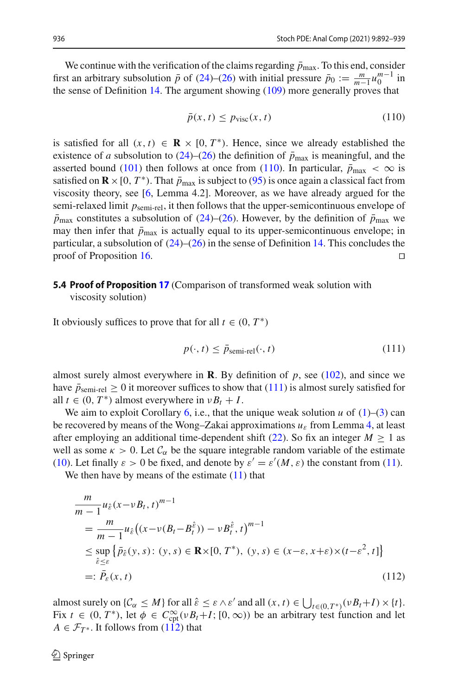We continue with the verification of the claims regarding  $\bar{p}_{\text{max}}$ . To this end, consider first an arbitrary subsolution  $\bar{p}$  of [\(24\)](#page-9-0)–[\(26\)](#page-9-1) with initial pressure  $\bar{p}_0 := \frac{m}{m-1}u_0^{m-1}$  in the sense of Definition [14.](#page-38-0) The argument showing  $(109)$  more generally proves that

<span id="page-44-0"></span>
$$
\bar{p}(x,t) \le p_{\text{visc}}(x,t) \tag{110}
$$

is satisfied for all  $(x, t) \in \mathbf{R} \times [0, T^*)$ . Hence, since we already established the existence of *a* subsolution to [\(24\)](#page-9-0)–[\(26\)](#page-9-1) the definition of  $\bar{p}_{\text{max}}$  is meaningful, and the asserted bound [\(101\)](#page-40-1) then follows at once from [\(110\)](#page-44-0). In particular,  $\bar{p}_{\text{max}} < \infty$  is satisfied on  $\mathbf{R} \times [0, T^*)$ . That  $\bar{p}_{\text{max}}$  is subject to [\(95\)](#page-38-3) is once again a classical fact from viscosity theory, see [\[6](#page-47-6), Lemma 4.2]. Moreover, as we have already argued for the semi-relaxed limit *p*semi-rel, it then follows that the upper-semicontinuous envelope of  $\bar{p}_{\text{max}}$  constitutes a subsolution of [\(24\)](#page-9-0)–[\(26\)](#page-9-1). However, by the definition of  $\bar{p}_{\text{max}}$  we may then infer that  $\bar{p}_{\text{max}}$  is actually equal to its upper-semicontinuous envelope; in particular, a subsolution of  $(24)$ – $(26)$  in the sense of Definition [14.](#page-38-0) This concludes the proof of Proposition [16.](#page-39-1)

# **5.4 Proof of Proposition [17](#page-40-0)** (Comparison of transformed weak solution with

viscosity solution)

It obviously suffices to prove that for all  $t \in (0, T^*)$ 

<span id="page-44-2"></span><span id="page-44-1"></span>
$$
p(\cdot, t) \le \bar{p}_{semi-rel}(\cdot, t)
$$
\n(111)

almost surely almost everywhere in **R**. By definition of  $p$ , see [\(102\)](#page-40-2), and since we have  $\bar{p}_{semi-rel} \geq 0$  it moreover suffices to show that [\(111\)](#page-44-1) is almost surely satisfied for all  $t \in (0, T^*)$  almost everywhere in  $vB_t + I$ .

We aim to exploit Corollary [6,](#page-8-1) i.e., that the unique weak solution  $u$  of  $(1)$ – $(3)$  can be recovered by means of the Wong–Zakai approximations *u*<sup>ε</sup> from Lemma [4,](#page-6-2) at least after employing an additional time-dependent shift [\(22\)](#page-8-2). So fix an integer  $M \geq 1$  as well as some  $\kappa > 0$ . Let  $\mathcal{C}_{\alpha}$  be the square integrable random variable of the estimate [\(10\)](#page-6-7). Let finally  $\varepsilon > 0$  be fixed, and denote by  $\varepsilon' = \varepsilon'(M, \varepsilon)$  the constant from [\(11\)](#page-6-3).

We then have by means of the estimate  $(11)$  that

$$
\begin{split}\n&\frac{m}{m-1}u_{\hat{\varepsilon}}(x-\nu B_t, t)^{m-1} \\
&=\frac{m}{m-1}u_{\hat{\varepsilon}}\big((x-\nu(B_t-B_t^{\hat{\varepsilon}}))-\nu B_t^{\hat{\varepsilon}}, t\big)^{m-1} \\
&\leq \sup_{\hat{\varepsilon}\leq\varepsilon}\big\{\bar{p}_{\hat{\varepsilon}}(y, s): (y, s) \in \mathbf{R}\times[0, T^*), (y, s) \in (x-\varepsilon, x+\varepsilon)\times(t-\varepsilon^2, t]\big\} \\
&=:\bar{P}_{\varepsilon}(x, t)\n\end{split}
$$
\n(112)

almost surely on  $\{\mathcal{C}_{\alpha} \leq M\}$  for all  $\hat{\varepsilon} \leq \varepsilon \wedge \varepsilon'$  and all  $(x, t) \in \bigcup_{t \in (0, T^*)} (\nu B_t + I) \times \{t\}.$ Fix  $t \in (0, T^*)$ , let  $\phi \in C_{\text{cpt}}^{\infty}(\nu B_t + I; [0, \infty))$  be an arbitrary test function and let  $A \in \mathcal{F}_{T^*}$ . It follows from [\(112\)](#page-44-2) that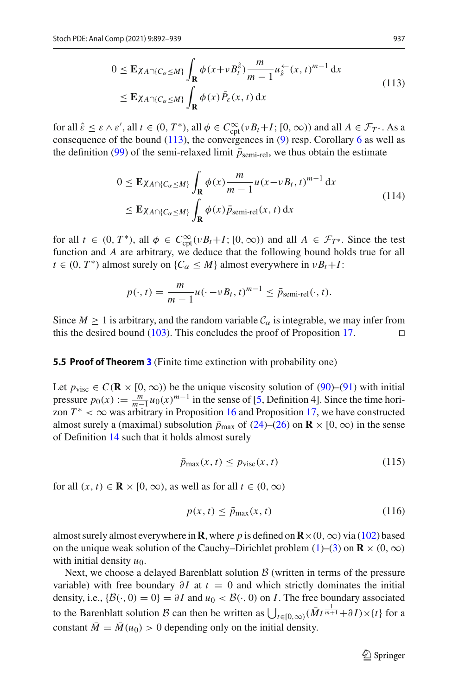<span id="page-45-1"></span>
$$
0 \le \mathbf{E}\chi_{A \cap \{C_{\alpha} \le M\}} \int_{\mathbf{R}} \phi(x + v B_t^{\hat{\varepsilon}}) \frac{m}{m-1} u_{\hat{\varepsilon}}^{\leftarrow}(x, t)^{m-1} dx
$$
  
\n
$$
\le \mathbf{E}\chi_{A \cap \{C_{\alpha} \le M\}} \int_{\mathbf{R}} \phi(x) \overline{P}_{\varepsilon}(x, t) dx
$$
\n(113)

for all  $\hat{\varepsilon} \leq \varepsilon \wedge \varepsilon'$ , all  $t \in (0, T^*)$ , all  $\phi \in C^\infty_{\text{cpt}}(\nu B_t + I; [0, \infty))$  and all  $A \in \mathcal{F}_{T^*}$ . As a consequence of the bound  $(113)$ , the convergences in  $(9)$  resp. Corollary [6](#page-8-1) as well as the definition [\(99\)](#page-39-4) of the semi-relaxed limit  $\bar{p}_{\text{semi-rel}}$ , we thus obtain the estimate

$$
0 \le \mathbf{E}\chi_{A \cap \{C_{\alpha} \le M\}} \int_{\mathbf{R}} \phi(x) \frac{m}{m-1} u(x - vB_t, t)^{m-1} dx
$$
  
\n
$$
\le \mathbf{E}\chi_{A \cap \{C_{\alpha} \le M\}} \int_{\mathbf{R}} \phi(x) \bar{p}_{\text{semi-rel}}(x, t) dx
$$
\n(114)

for all  $t \in (0, T^*)$ , all  $\phi \in C^\infty_{\text{cpt}}(\nu B_t + I; [0, \infty))$  and all  $A \in \mathcal{F}_{T^*}$ . Since the test function and *A* are arbitrary, we deduce that the following bound holds true for all  $t \in (0, T^*)$  almost surely on  $\{C_\alpha \leq M\}$  almost everywhere in  $vB_t + I$ :

$$
p(\cdot, t) = \frac{m}{m-1}u(\cdot - vB_t, t)^{m-1} \leq \bar{p}_{semi-rel}(\cdot, t).
$$

Since  $M \geq 1$  is arbitrary, and the random variable  $\mathcal{C}_{\alpha}$  is integrable, we may infer from this the desired bound [\(103\)](#page-40-3). This concludes the proof of Proposition [17.](#page-40-0)  $\Box$ 

#### <span id="page-45-0"></span>**5.5 Proof of Theorem [3](#page-4-1)** (Finite time extinction with probability one)

Let  $p_{\text{visc}}$  ∈  $C$ (**R** × [0, ∞)) be the unique viscosity solution of [\(90\)](#page-37-2)–[\(91\)](#page-37-3) with initial pressure  $p_0(x) := \frac{m}{m-1} u_0(x)^{m-1}$  in the sense of [\[5,](#page-47-4) Definition 4]. Since the time horizon  $T^* < \infty$  was arbitrary in Proposition [16](#page-39-1) and Proposition [17,](#page-40-0) we have constructed almost surely a (maximal) subsolution  $\bar{p}_{\text{max}}$  of [\(24\)](#page-9-0)–[\(26\)](#page-9-1) on **R** × [0, ∞) in the sense of Definition [14](#page-38-0) such that it holds almost surely

<span id="page-45-2"></span>
$$
\bar{p}_{\max}(x,t) \le p_{\text{visc}}(x,t) \tag{115}
$$

for all  $(x, t) \in \mathbb{R} \times [0, \infty)$ , as well as for all  $t \in (0, \infty)$ 

<span id="page-45-3"></span>
$$
p(x,t) \le \bar{p}_{\text{max}}(x,t) \tag{116}
$$

almost surely almost everywhere in **R**, where p is defined on  $\mathbf{R} \times (0, \infty)$  via [\(102\)](#page-40-2) based on the unique weak solution of the Cauchy–Dirichlet problem  $(1)$ – $(3)$  on  $\mathbf{R} \times (0, \infty)$ with initial density  $u_0$ .

Next, we choose a delayed Barenblatt solution *B* (written in terms of the pressure variable) with free boundary  $\partial I$  at  $t = 0$  and which strictly dominates the initial density, i.e.,  $\{\mathcal{B}(\cdot, 0) = 0\} = \partial I$  and  $u_0 < \mathcal{B}(\cdot, 0)$  on *I*. The free boundary associated to the Barenblatt solution *B* can then be written as  $\bigcup_{t \in [0,\infty)} (\overline{M}t^{\frac{1}{m+1}} + \partial I) \times \{t\}$  for a constant  $\overline{M} = \overline{M}(u_0) > 0$  depending only on the initial density.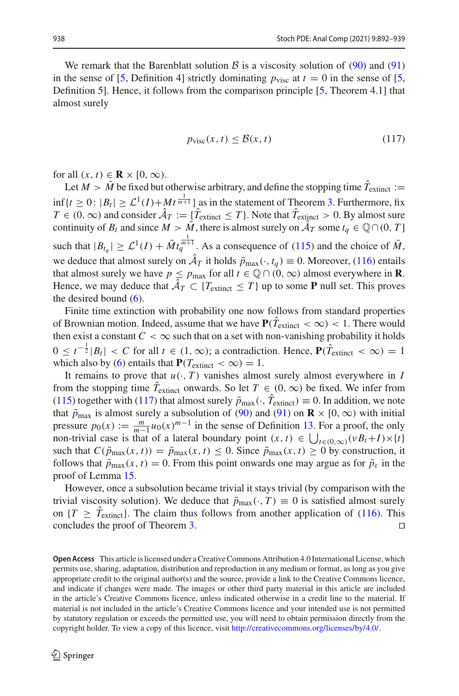We remark that the Barenblatt solution  $\beta$  is a viscosity solution of [\(90\)](#page-37-2) and [\(91\)](#page-37-3) in the sense of [\[5](#page-47-4), Definition 4] strictly dominating  $p_{\text{visc}}$  at  $t = 0$  in the sense of [\[5,](#page-47-4) Definition 5]. Hence, it follows from the comparison principle [\[5,](#page-47-4) Theorem 4.1] that almost surely

<span id="page-46-0"></span>
$$
p_{\text{visc}}(x, t) \le \mathcal{B}(x, t) \tag{117}
$$

for all  $(x, t) \in \mathbf{R} \times [0, \infty)$ .

Let  $M > M$  be fixed but otherwise arbitrary, and define the stopping time  $T_{\text{extinct}} :=$ inf{*t* ≥ 0:  $|B_t|$  ≥  $\mathcal{L}^1(I) + Mt^{\frac{1}{m+1}}$ } as in the statement of Theorem [3.](#page-4-1) Furthermore, fix *T* ∈ (0, ∞) and consider  $A_T := \{T_{\text{extinct}} \leq T\}$ . Note that  $T_{\text{extinct}} > 0$ . By almost sure continuity of *B<sub>t</sub>* and since  $M > \overline{M}$ , there is almost surely on  $\mathcal{A}_T$  some  $t_q \in \mathbb{Q} \cap (0, T]$ such that  $|B_{t_q}| \geq \mathcal{L}^1(I) + \bar{M}t_q^{\frac{1}{m+1}}$ . As a consequence of [\(115\)](#page-45-2) and the choice of  $\bar{M}$ , we deduce that almost surely on  $\hat{A}_T$  it holds  $\bar{p}_{\text{max}}(\cdot, t_q) \equiv 0$ . Moreover, [\(116\)](#page-45-3) entails that almost surely we have  $p \le p_{\text{max}}$  for all  $t \in \mathbb{Q} \cap (0, \infty)$  almost everywhere in **R**. Hence, we may deduce that  $\mathcal{A}_T \subset \{T_{\text{extinct}} \leq T\}$  up to some **P** null set. This proves the desired bound  $(6)$ .

Finite time extinction with probability one now follows from standard properties of Brownian motion. Indeed, assume that we have  $P(T_{\text{extinct}} < \infty) < 1$ . There would then exist a constant  $C < \infty$  such that on a set with non-vanishing probability it holds  $0 \le t^{-\frac{1}{2}} |B_t|$  < *C* for all *t* ∈ (1, ∞); a contradiction. Hence,  $P(\hat{T}_{\text{extinct}} < \infty) = 1$ which also by [\(6\)](#page-4-2) entails that  $P(T_{\text{extinct}} < \infty) = 1$ .

It remains to prove that  $u(\cdot, T)$  vanishes almost surely almost everywhere in *I* from the stopping time  $T_{\text{extinct}}$  onwards. So let  $T \in (0, \infty)$  be fixed. We infer from [\(115\)](#page-45-2) together with [\(117\)](#page-46-0) that almost surely  $\bar{p}_{\text{max}}(\cdot, T_{\text{extinct}}) \equiv 0$ . In addition, we note that  $\bar{p}_{\text{max}}$  is almost surely a subsolution of [\(90\)](#page-37-2) and [\(91\)](#page-37-3) on **R** × [0, ∞) with initial pressure  $p_0(x) := \frac{m}{m-1} u_0(x)^{m-1}$  in the sense of Definition [13.](#page-37-4) For a proof, the only non-trivial case is that of a lateral boundary point  $(x, t) \in \bigcup_{t \in (0,\infty)} (\nu B_t + I) \times \{t\}$ such that  $C(\bar{p}_{\text{max}}(x, t)) = \bar{p}_{\text{max}}(x, t) \le 0$ . Since  $\bar{p}_{\text{max}}(x, t) \ge 0$  by construction, it follows that  $\bar{p}_{\text{max}}(x, t) = 0$ . From this point onwards one may argue as for  $\bar{p}_{\varepsilon}$  in the proof of Lemma [15.](#page-39-0)

However, once a subsolution became trivial it stays trivial (by comparison with the trivial viscosity solution). We deduce that  $\bar{p}_{\text{max}}(\cdot, T) \equiv 0$  is satisfied almost surely on  $\{T \geq T_{\text{extinct}}\}$ . The claim thus follows from another application of [\(116\)](#page-45-3). This concludes the proof of Theorem [3.](#page-4-1)

**Open Access** This article is licensed under a Creative Commons Attribution 4.0 International License, which permits use, sharing, adaptation, distribution and reproduction in any medium or format, as long as you give appropriate credit to the original author(s) and the source, provide a link to the Creative Commons licence, and indicate if changes were made. The images or other third party material in this article are included in the article's Creative Commons licence, unless indicated otherwise in a credit line to the material. If material is not included in the article's Creative Commons licence and your intended use is not permitted by statutory regulation or exceeds the permitted use, you will need to obtain permission directly from the copyright holder. To view a copy of this licence, visit [http://creativecommons.org/licenses/by/4.0/.](http://creativecommons.org/licenses/by/4.0/)